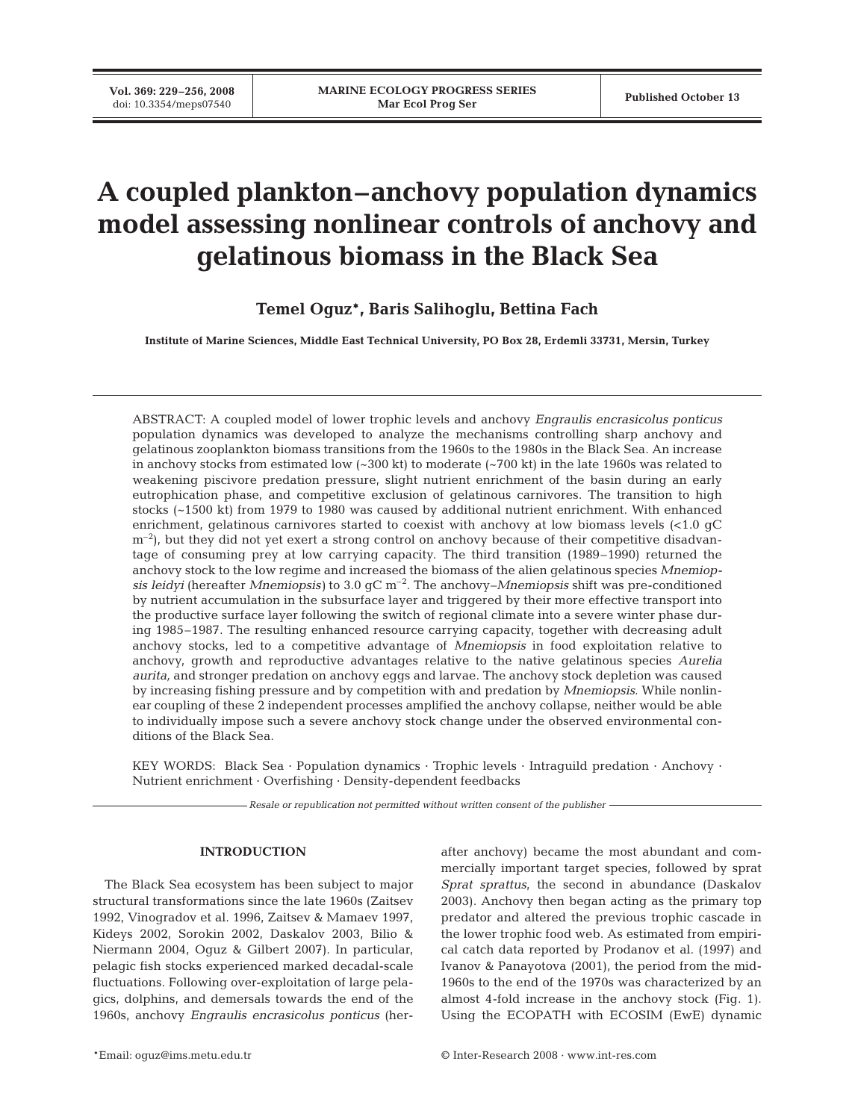# **A coupled plankton–anchovy population dynamics model assessing nonlinear controls of anchovy and gelatinous biomass in the Black Sea**

**Temel Oguz\*, Baris Salihoglu, Bettina Fach**

**Institute of Marine Sciences, Middle East Technical University, PO Box 28, Erdemli 33731, Mersin, Turkey**

ABSTRACT: A coupled model of lower trophic levels and anchovy *Engraulis encrasicolus ponticus* population dynamics was developed to analyze the mechanisms controlling sharp anchovy and gelatinous zooplankton biomass transitions from the 1960s to the 1980s in the Black Sea. An increase in anchovy stocks from estimated low (~300 kt) to moderate (~700 kt) in the late 1960s was related to weakening piscivore predation pressure, slight nutrient enrichment of the basin during an early eutrophication phase, and competitive exclusion of gelatinous carnivores. The transition to high stocks (~1500 kt) from 1979 to 1980 was caused by additional nutrient enrichment. With enhanced enrichment, gelatinous carnivores started to coexist with anchovy at low biomass levels (<1.0 gC  $\rm{m}^{-2}$ , but they did not yet exert a strong control on anchovy because of their competitive disadvantage of consuming prey at low carrying capacity. The third transition (1989–1990) returned the anchovy stock to the low regime and increased the biomass of the alien gelatinous species *Mnemiopsis leidyi* (hereafter *Mnemiopsis)* to 3.0 gC m–2. The anchovy–*Mnemiopsis* shift was pre-conditioned by nutrient accumulation in the subsurface layer and triggered by their more effective transport into the productive surface layer following the switch of regional climate into a severe winter phase during 1985–1987. The resulting enhanced resource carrying capacity, together with decreasing adult anchovy stocks, led to a competitive advantage of *Mnemiopsis* in food exploitation relative to anchovy, growth and reproductive advantages relative to the native gelatinous species *Aurelia aurita,* and stronger predation on anchovy eggs and larvae. The anchovy stock depletion was caused by increasing fishing pressure and by competition with and predation by *Mnemiopsis*. While nonlinear coupling of these 2 independent processes amplified the anchovy collapse, neither would be able to individually impose such a severe anchovy stock change under the observed environmental conditions of the Black Sea.

KEY WORDS: Black Sea · Population dynamics · Trophic levels · Intraguild predation · Anchovy · Nutrient enrichment · Overfishing · Density-dependent feedbacks

*Resale or republication not permitted without written consent of the publisher*

## **INTRODUCTION**

The Black Sea ecosystem has been subject to major structural transformations since the late 1960s (Zaitsev 1992, Vinogradov et al. 1996, Zaitsev & Mamaev 1997, Kideys 2002, Sorokin 2002, Daskalov 2003, Bilio & Niermann 2004, Oguz & Gilbert 2007). In particular, pelagic fish stocks experienced marked decadal-scale fluctuations. Following over-exploitation of large pelagics, dolphins, and demersals towards the end of the 1960s, anchovy *Engraulis encrasicolus ponticus* (herafter anchovy) became the most abundant and commercially important target species, followed by sprat *Sprat sprattus*, the second in abundance (Daskalov 2003). Anchovy then began acting as the primary top predator and altered the previous trophic cascade in the lower trophic food web. As estimated from empirical catch data reported by Prodanov et al. (1997) and Ivanov & Panayotova (2001), the period from the mid-1960s to the end of the 1970s was characterized by an almost 4-fold increase in the anchovy stock (Fig. 1). Using the ECOPATH with ECOSIM (EwE) dynamic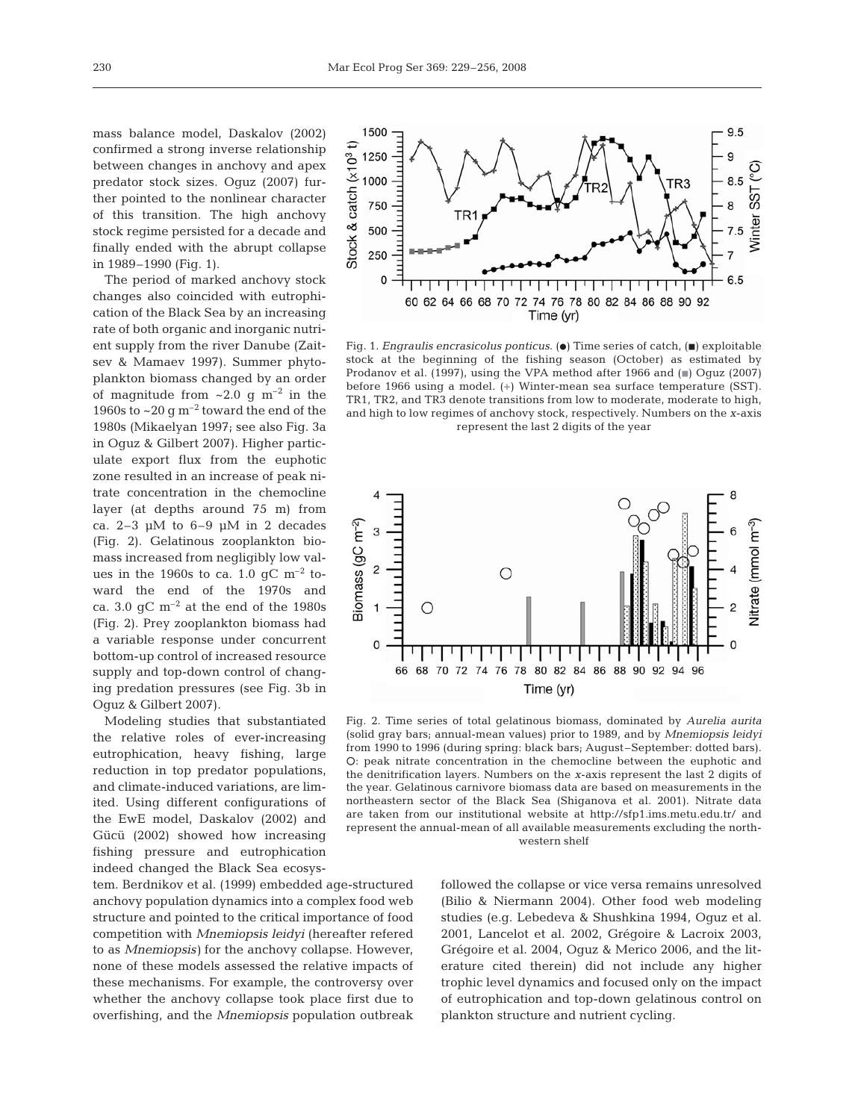mass balance model, Daskalov (2002) confirmed a strong inverse relationship between changes in anchovy and apex predator stock sizes. Oguz (2007) further pointed to the nonlinear character of this transition. The high anchovy stock regime persisted for a decade and finally ended with the abrupt collapse in 1989–1990 (Fig. 1).

The period of marked anchovy stock changes also coincided with eutrophication of the Black Sea by an increasing rate of both organic and inorganic nutrient supply from the river Danube (Zaitsev & Mamaev 1997). Summer phytoplankton biomass changed by an order of magnitude from  $\sim 2.0$  g m<sup>-2</sup> in the 1960s to  $\sim$  20 g m<sup>-2</sup> toward the end of the 1980s (Mikaelyan 1997; see also Fig. 3a in Oguz & Gilbert 2007). Higher particulate export flux from the euphotic zone resulted in an increase of peak nitrate concentration in the chemocline layer (at depths around 75 m) from ca. 2–3 μM to 6–9 μM in 2 decades (Fig. 2). Gelatinous zooplankton biomass increased from negligibly low values in the 1960s to ca. 1.0  $qC$  m<sup>-2</sup> toward the end of the 1970s and ca. 3.0  $qC$  m<sup>-2</sup> at the end of the 1980s (Fig. 2). Prey zooplankton biomass had a variable response under concurrent bottom-up control of increased resource supply and top-down control of changing predation pressures (see Fig. 3b in Oguz & Gilbert 2007).

Modeling studies that substantiated the relative roles of ever-increasing eutrophication, heavy fishing, large reduction in top predator populations, and climate-induced variations, are limited. Using different configurations of the EwE model, Daskalov (2002) and Gücü (2002) showed how increasing fishing pressure and eutrophication indeed changed the Black Sea ecosys-

tem. Berdnikov et al. (1999) embedded age-structured anchovy population dynamics into a complex food web structure and pointed to the critical importance of food competition with *Mnemiopsis leidyi* (hereafter refered to as *Mnemiopsis)* for the anchovy collapse. However, none of these models assessed the relative impacts of these mechanisms. For example, the controversy over whether the anchovy collapse took place first due to overfishing, and the *Mnemiopsis* population outbreak



Fig. 1. *Engraulis encrasicolus ponticus*. ( $\bullet$ ) Time series of catch, ( $\bullet$ ) exploitable stock at the beginning of the fishing season (October) as estimated by Prodanov et al. (1997), using the VPA method after 1966 and  $\equiv$  Oguz (2007) before 1966 using a model. (**+**) Winter-mean sea surface temperature (SST). TR1, TR2, and TR3 denote transitions from low to moderate, moderate to high, and high to low regimes of anchovy stock, respectively. Numbers on the *x*-axis represent the last 2 digits of the year



Fig. 2. Time series of total gelatinous biomass, dominated by *Aurelia aurita* (solid gray bars; annual-mean values) prior to 1989, and by *Mnemiopsis leidyi* from 1990 to 1996 (during spring: black bars; August –September: dotted bars). s: peak nitrate concentration in the chemocline between the euphotic and the denitrification layers. Numbers on the *x*-axis represent the last 2 digits of the year. Gelatinous carnivore biomass data are based on measurements in the northeastern sector of the Black Sea (Shiganova et al. 2001). Nitrate data are taken from our institutional website at http://sfp1.ims.metu.edu.tr/ and represent the annual-mean of all available measurements excluding the northwestern shelf

followed the collapse or vice versa remains unresolved (Bilio & Niermann 2004). Other food web modeling studies (e.g. Lebedeva & Shushkina 1994, Oguz et al. 2001, Lancelot et al. 2002, Grégoire & Lacroix 2003, Grégoire et al. 2004, Oguz & Merico 2006, and the literature cited therein) did not include any higher trophic level dynamics and focused only on the impact of eutrophication and top-down gelatinous control on plankton structure and nutrient cycling.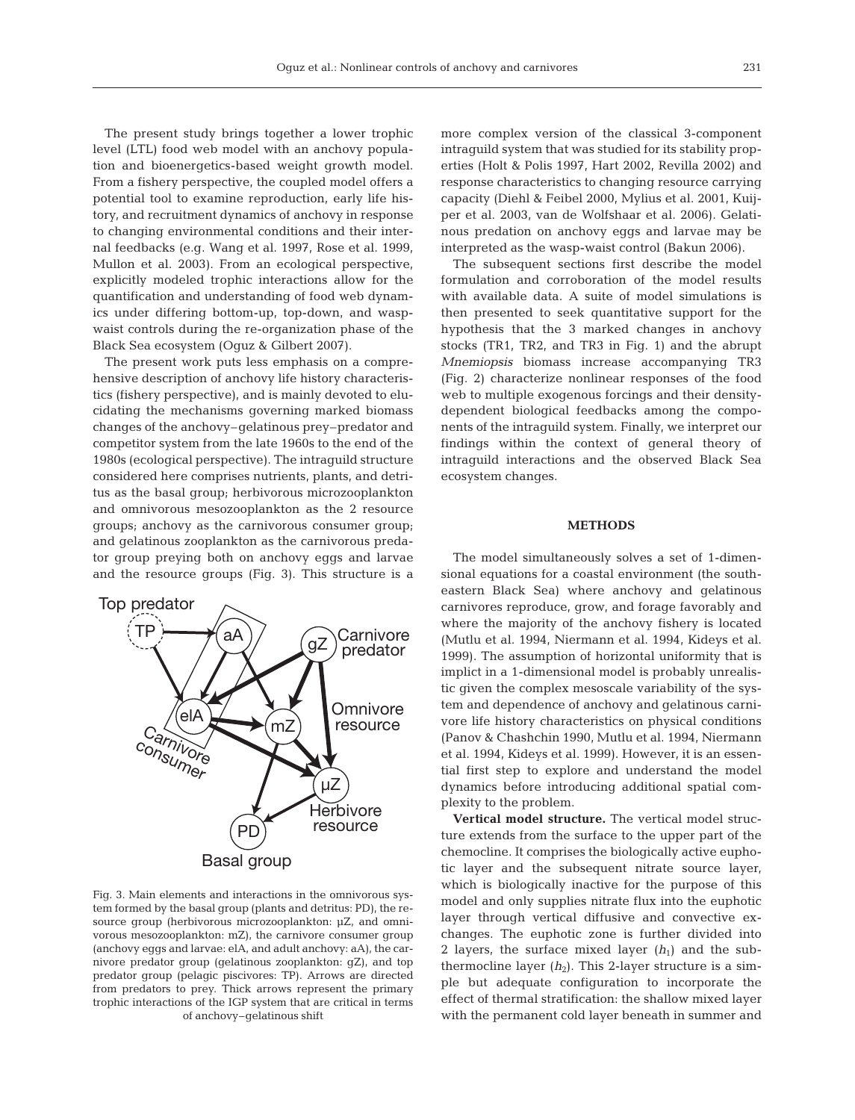The present study brings together a lower trophic level (LTL) food web model with an anchovy population and bioenergetics-based weight growth model. From a fishery perspective, the coupled model offers a potential tool to examine reproduction, early life history, and recruitment dynamics of anchovy in response to changing environmental conditions and their internal feedbacks (e.g. Wang et al. 1997, Rose et al. 1999, Mullon et al. 2003). From an ecological perspective, explicitly modeled trophic interactions allow for the quantification and understanding of food web dynamics under differing bottom-up, top-down, and waspwaist controls during the re-organization phase of the Black Sea ecosystem (Oguz & Gilbert 2007).

The present work puts less emphasis on a comprehensive description of anchovy life history characteristics (fishery perspective), and is mainly devoted to elucidating the mechanisms governing marked biomass changes of the anchovy–gelatinous prey–predator and competitor system from the late 1960s to the end of the 1980s (ecological perspective). The intraguild structure considered here comprises nutrients, plants, and detritus as the basal group; herbivorous microzooplankton and omnivorous mesozooplankton as the 2 resource groups; anchovy as the carnivorous consumer group; and gelatinous zooplankton as the carnivorous predator group preying both on anchovy eggs and larvae and the resource groups (Fig. 3). This structure is a



Fig. 3. Main elements and interactions in the omnivorous system formed by the basal group (plants and detritus: PD), the resource group (herbivorous microzooplankton: μZ, and omnivorous mesozooplankton: mZ), the carnivore consumer group (anchovy eggs and larvae: elA, and adult anchovy: aA), the carnivore predator group (gelatinous zooplankton: gZ), and top predator group (pelagic piscivores: TP). Arrows are directed from predators to prey. Thick arrows represent the primary trophic interactions of the IGP system that are critical in terms of anchovy–gelatinous shift

more complex version of the classical 3-component intraguild system that was studied for its stability properties (Holt & Polis 1997, Hart 2002, Revilla 2002) and response characteristics to changing resource carrying capacity (Diehl & Feibel 2000, Mylius et al. 2001, Kuijper et al. 2003, van de Wolfshaar et al. 2006). Gelatinous predation on anchovy eggs and larvae may be interpreted as the wasp-waist control (Bakun 2006).

The subsequent sections first describe the model formulation and corroboration of the model results with available data. A suite of model simulations is then presented to seek quantitative support for the hypothesis that the 3 marked changes in anchovy stocks (TR1, TR2, and TR3 in Fig. 1) and the abrupt *Mnemiopsis* biomass increase accompanying TR3 (Fig. 2) characterize nonlinear responses of the food web to multiple exogenous forcings and their densitydependent biological feedbacks among the components of the intraguild system. Finally, we interpret our findings within the context of general theory of intraguild interactions and the observed Black Sea ecosystem changes.

## **METHODS**

The model simultaneously solves a set of 1-dimensional equations for a coastal environment (the southeastern Black Sea) where anchovy and gelatinous carnivores reproduce, grow, and forage favorably and where the majority of the anchovy fishery is located (Mutlu et al. 1994, Niermann et al. 1994, Kideys et al. 1999). The assumption of horizontal uniformity that is implict in a 1-dimensional model is probably unrealistic given the complex mesoscale variability of the system and dependence of anchovy and gelatinous carnivore life history characteristics on physical conditions (Panov & Chashchin 1990, Mutlu et al. 1994, Niermann et al. 1994, Kideys et al. 1999). However, it is an essential first step to explore and understand the model dynamics before introducing additional spatial complexity to the problem.

**Vertical model structure.** The vertical model structure extends from the surface to the upper part of the chemocline. It comprises the biologically active euphotic layer and the subsequent nitrate source layer, which is biologically inactive for the purpose of this model and only supplies nitrate flux into the euphotic layer through vertical diffusive and convective exchanges. The euphotic zone is further divided into 2 layers, the surface mixed layer  $(h_1)$  and the subthermocline layer  $(h_2)$ . This 2-layer structure is a simple but adequate configuration to incorporate the effect of thermal stratification: the shallow mixed layer with the permanent cold layer beneath in summer and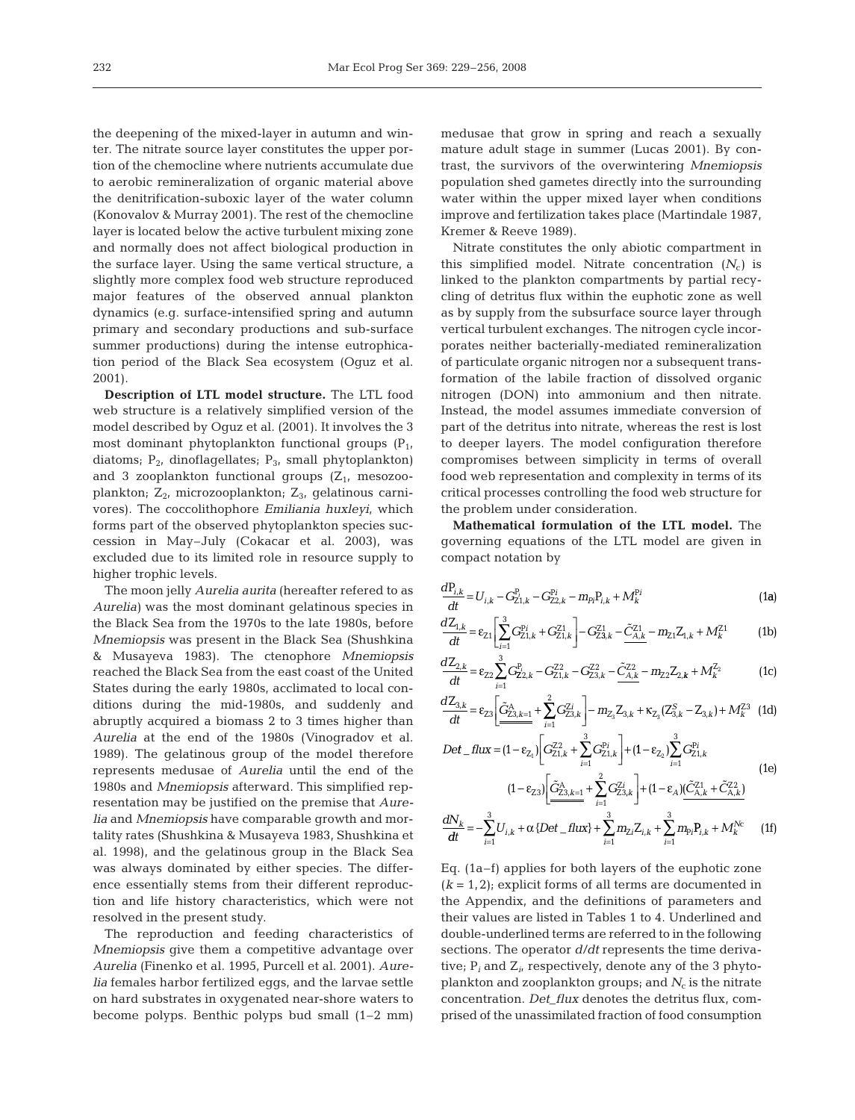the deepening of the mixed-layer in autumn and winter. The nitrate source layer constitutes the upper portion of the chemocline where nutrients accumulate due to aerobic remineralization of organic material above the denitrification-suboxic layer of the water column (Konovalov & Murray 2001). The rest of the chemocline layer is located below the active turbulent mixing zone and normally does not affect biological production in the surface layer. Using the same vertical structure, a slightly more complex food web structure reproduced major features of the observed annual plankton dynamics (e.g. surface-intensified spring and autumn primary and secondary productions and sub-surface summer productions) during the intense eutrophication period of the Black Sea ecosystem (Oguz et al. 2001).

**Description of LTL model structure.** The LTL food web structure is a relatively simplified version of the model described by Oguz et al. (2001). It involves the 3 most dominant phytoplankton functional groups  $(P_1, P_2)$ diatoms;  $P_2$ , dinoflagellates;  $P_3$ , small phytoplankton) and 3 zooplankton functional groups  $(Z_1, \text{ mesozo-}$ plankton;  $Z_{2}$ , microzooplankton;  $Z_{3}$ , gelatinous carnivores). The coccolithophore *Emiliania huxleyi*, which forms part of the observed phytoplankton species succession in May–July (Cokacar et al. 2003), was excluded due to its limited role in resource supply to higher trophic levels.

The moon jelly *Aurelia aurita* (hereafter refered to as *Aurelia)* was the most dominant gelatinous species in the Black Sea from the 1970s to the late 1980s, before *Mnemiopsis* was present in the Black Sea (Shushkina & Musayeva 1983). The ctenophore *Mnemiopsis* reached the Black Sea from the east coast of the United States during the early 1980s, acclimated to local conditions during the mid-1980s, and suddenly and abruptly acquired a biomass 2 to 3 times higher than *Aurelia* at the end of the 1980s (Vinogradov et al. 1989). The gelatinous group of the model therefore represents medusae of *Aurelia* until the end of the 1980s and *Mnemiopsis* afterward. This simplified representation may be justified on the premise that *Aurelia* and *Mnemiopsis* have comparable growth and mortality rates (Shushkina & Musayeva 1983, Shushkina et al. 1998), and the gelatinous group in the Black Sea was always dominated by either species. The difference essentially stems from their different reproduction and life history characteristics, which were not resolved in the present study.

The reproduction and feeding characteristics of *Mnemiopsis* give them a competitive advantage over *Aurelia* (Finenko et al. 1995, Purcell et al. 2001). *Aurelia* females harbor fertilized eggs, and the larvae settle on hard substrates in oxygenated near-shore waters to become polyps. Benthic polyps bud small (1–2 mm)

medusae that grow in spring and reach a sexually mature adult stage in summer (Lucas 2001). By contrast, the survivors of the overwintering *Mnemiopsis* population shed gametes directly into the surrounding water within the upper mixed layer when conditions improve and fertilization takes place (Martindale 1987, Kremer & Reeve 1989).

Nitrate constitutes the only abiotic compartment in this simplified model. Nitrate concentration  $(N_c)$  is linked to the plankton compartments by partial recycling of detritus flux within the euphotic zone as well as by supply from the subsurface source layer through vertical turbulent exchanges. The nitrogen cycle incorporates neither bacterially-mediated remineralization of particulate organic nitrogen nor a subsequent transformation of the labile fraction of dissolved organic nitrogen (DON) into ammonium and then nitrate. Instead, the model assumes immediate conversion of part of the detritus into nitrate, whereas the rest is lost to deeper layers. The model configuration therefore compromises between simplicity in terms of overall food web representation and complexity in terms of its critical processes controlling the food web structure for the problem under consideration.

**Mathematical formulation of the LTL model.** The governing equations of the LTL model are given in compact notation by

$$
\frac{dP_{i,k}}{dt} = U_{i,k} - G_{Z1,k}^{P_i} - G_{Z2,k}^{P_i} - m_{P_i}P_{i,k} + M_k^{P_i}
$$
\n(1a)

$$
\frac{dZ_{1,k}}{dt} = \varepsilon_{Z1} \left[ \sum_{i=1}^{3} G_{Z1,k}^{Pi} + G_{Z1,k}^{Z1} \right] - G_{Z3,k}^{Z1} - \tilde{C}_{A,k}^{Z1} - m_{Z1} Z_{1,k} + M_k^{Z1}
$$
 (1b)

$$
\frac{dZ_{2,k}}{dt} = \varepsilon_{Z2} \sum_{i=1}^{3} G_{Z2,k}^{P_i} - G_{Z1,k}^{Z2} - G_{Z3,k}^{Z2} - \tilde{C}_{A,k}^{Z2} - m_{Z2} Z_{2,k} + M_k^{Z_2}
$$
(1c)

$$
\frac{dZ_{3,k}}{dt} = \varepsilon_{23} \left[ \frac{\tilde{G}_{23,k=1}^A}{2} + \sum_{i=1}^2 G_{23,k}^{Zi} \right] - m_{Z_3} Z_{3,k} + \kappa_{Z_3} (Z_{3,k}^S - Z_{3,k}) + M_k^{Z3} \tag{1d}
$$

$$
Det\_flux = (1 - \varepsilon_{Z_1}) \left[ G_{Z1,k}^{Z2} + \sum_{i=1}^{3} G_{Z1,k}^{Pi} \right] + (1 - \varepsilon_{Z_2}) \sum_{i=1}^{3} G_{Z1,k}^{Pi}
$$
(1e)  

$$
(1 - \varepsilon_{Z3}) \left[ \underbrace{\tilde{G}_{Z3,k=1}^{A}}_{i=1} + \sum_{i=1}^{2} G_{Z3,k}^{Zi} \right] + (1 - \varepsilon_{A}) \underbrace{(\tilde{C}_{A,k}^{Z1} + \tilde{C}_{A,k}^{Z2})}_{(A,A,K)} \tag{1e}
$$

$$
\frac{dN_k}{dt} = -\sum_{i=1}^{3} U_{i,k} + \alpha \{ Det_{-}flux \} + \sum_{i=1}^{3} m_{2i} Z_{i,k} + \sum_{i=1}^{3} m_{pi} P_{i,k} + M_k^{Nc} \tag{1f}
$$

Eq. (1a–f) applies for both layers of the euphotic zone  $(k = 1, 2)$ ; explicit forms of all terms are documented in the Appendix, and the definitions of parameters and their values are listed in Tables 1 to 4. Underlined and double-underlined terms are referred to in the following sections. The operator *d/dt* represents the time derivative; P*<sup>i</sup>* and Z*i*, respectively, denote any of the 3 phytoplankton and zooplankton groups; and  $N_c$  is the nitrate concentration. *Det\_flux* denotes the detritus flux, comprised of the unassimilated fraction of food consumption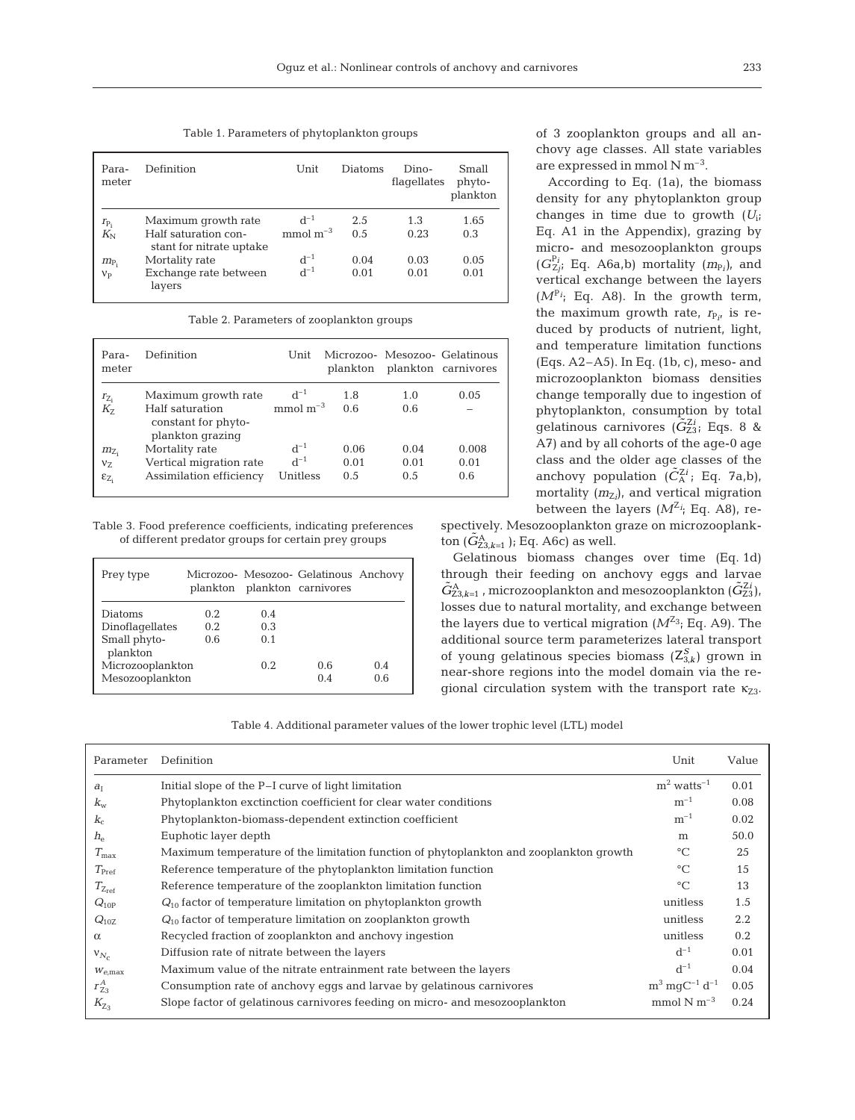Table 1. Parameters of phytoplankton groups

| Para-<br>meter | Definition                                       | Unit       | <b>Diatoms</b> | Dino-<br>flagellates | Small<br>phyto-<br>plankton |
|----------------|--------------------------------------------------|------------|----------------|----------------------|-----------------------------|
| $r_{P_i}$      | Maximum growth rate                              | $d^{-1}$   | 2.5            | 1.3                  | 1.65                        |
| $K_{\rm N}$    | Half saturation con-<br>stant for nitrate uptake | $mmol m-3$ | 0.5            | 0.23                 | 0.3                         |
| $m_{\rm P_i}$  | Mortality rate                                   | $d^{-1}$   | 0.04           | 0.03                 | 0.05                        |
| $V_{P}$        | Exchange rate between<br>layers                  | $d^{-1}$   | 0.01           | 0.01                 | 0.01                        |

Table 2. Parameters of zooplankton groups

| Para-<br>meter   | Definition                                                 | Unit       | plankton |      | Microzoo- Mesozoo- Gelatinous<br>plankton carnivores |
|------------------|------------------------------------------------------------|------------|----------|------|------------------------------------------------------|
| $r_{Z_i}$        | Maximum growth rate                                        | $d^{-1}$   | 1.8      | 1.0  | 0.05                                                 |
| K <sub>7</sub>   | Half saturation<br>constant for phyto-<br>plankton grazing | $mmol m-3$ | 0.6      | 0.6  |                                                      |
| $m_{Z_i}$        | Mortality rate                                             | $d^{-1}$   | 0.06     | 0.04 | 0.008                                                |
| $V_{7}$          | Vertical migration rate                                    | $d^{-1}$   | 0.01     | 0.01 | 0.01                                                 |
| $\epsilon_{Z_i}$ | Assimilation efficiency                                    | Unitless   | 0.5      | 0.5  | 0.6                                                  |

Table 3. Food preference coefficients, indicating preferences of different predator groups for certain prey groups

| Prey type                |      |      | Microzoo- Mesozoo- Gelatinous Anchovy<br>plankton plankton carnivores |     |
|--------------------------|------|------|-----------------------------------------------------------------------|-----|
| Diatoms                  | 0.2. | 0.4  |                                                                       |     |
| Dinoflagellates          | 0.2  | 0.3  |                                                                       |     |
| Small phyto-<br>plankton | 0.6  | 0.1  |                                                                       |     |
| Microzooplankton         |      | 0.2. | 0.6                                                                   | 0.4 |
| Mesozooplankton          |      |      | 0.4                                                                   | 0.6 |

of 3 zooplankton groups and all anchovy age classes. All state variables are expressed in mmol  $N m^{-3}$ .

According to Eq. (1a), the biomass density for any phytoplankton group changes in time due to growth (*U*i; Eq. A1 in the Appendix), grazing by micro- and mesozooplankton groups  $(G_{Zj}^{P_i};$  Eq. A6a,b) mortality  $(m_{P_i})$ , and vertical exchange between the layers  $(M<sup>P<sub>i</sub></sup>$ ; Eq. A8). In the growth term, the maximum growth rate,  $r_{P_{i'}}$  is reduced by products of nutrient, light, and temperature limitation functions (Eqs. A2–A5). In Eq. (1b, c), meso- and microzooplankton biomass densities change temporally due to ingestion of phytoplankton, consumption by total gelatinous carnivores  $(\tilde{G}_{Z3}^{Zi}; Eqs. 8 \&$ A7) and by all cohorts of the age-0 age class and the older age classes of the anchovy population  $(\tilde{C}_{A}^{Zi};$  Eq. 7a,b), mortality ( $m_{Z_i}$ ), and vertical migration between the layers  $(M^{Z_i};$  Eq. A8), re-

spectively. Mesozooplankton graze on microzooplank- $\text{tan}(\tilde{G}_{23,k=1}^{\text{A}})$ ; Eq. A6c) as well.

Gelatinous biomass changes over time (Eq. 1d) through their feeding on anchovy eggs and larvae  $\tilde{G}_{23,k=1}^{\text{A}}$ , microzooplankton and mesozooplankton  $(\tilde{G}_{23}^{\text{Z}})$ , losses due to natural mortality, and exchange between the layers due to vertical migration  $(M^{Z_3};$  Eq. A9). The additional source term parameterizes lateral transport of young gelatinous species biomass  $(Z_{3,k}^S)$  grown in near-shore regions into the model domain via the regional circulation system with the transport rate  $\kappa_{73}$ .

Table 4. Additional parameter values of the lower trophic level (LTL) model

| Parameter            | Definition                                                                             | Unit                              | Value |
|----------------------|----------------------------------------------------------------------------------------|-----------------------------------|-------|
| $a_I$                | Initial slope of the P-I curve of light limitation                                     | $m2$ watts <sup>-1</sup>          | 0.01  |
| $k_{\rm w}$          | Phytoplankton exctinction coefficient for clear water conditions                       | $m^{-1}$                          | 0.08  |
| $K_c$                | Phytoplankton-biomass-dependent extinction coefficient                                 | $m^{-1}$                          | 0.02  |
| $h_{\rho}$           | Euphotic layer depth                                                                   | m                                 | 50.0  |
| $T_{\rm max}$        | Maximum temperature of the limitation function of phytoplankton and zooplankton growth | $\rm ^{\circ}C$                   | 25    |
| $T_{\rm Pref}$       | Reference temperature of the phytoplankton limitation function                         | $\rm ^{\circ}C$                   | 15    |
| $T_{Z_{\text{ref}}}$ | Reference temperature of the zooplankton limitation function                           | $\rm ^{\circ}C$                   | 13    |
| $Q_{10P}$            | $Q_{10}$ factor of temperature limitation on phytoplankton growth                      | unitless                          | 1.5   |
| $Q_{10Z}$            | $Q_{10}$ factor of temperature limitation on zooplankton growth                        | unitless                          | 2.2   |
| $\alpha$             | Recycled fraction of zooplankton and anchovy ingestion                                 | unitless                          | 0.2   |
| $V_{N_c}$            | Diffusion rate of nitrate between the layers                                           | $d^{-1}$                          | 0.01  |
| $W_{e,\text{max}}$   | Maximum value of the nitrate entrainment rate between the layers                       | $d^{-1}$                          | 0.04  |
| $r_{Z_3}^A$          | Consumption rate of anchovy eqgs and larvae by gelatinous carnivores                   | $\rm m^3 \, m g C^{-1} \, d^{-1}$ | 0.05  |
| $K_{Z_3}$            | Slope factor of gelatinous carnivores feeding on micro- and mesozooplankton            | mmol $N m^{-3}$                   | 0.24  |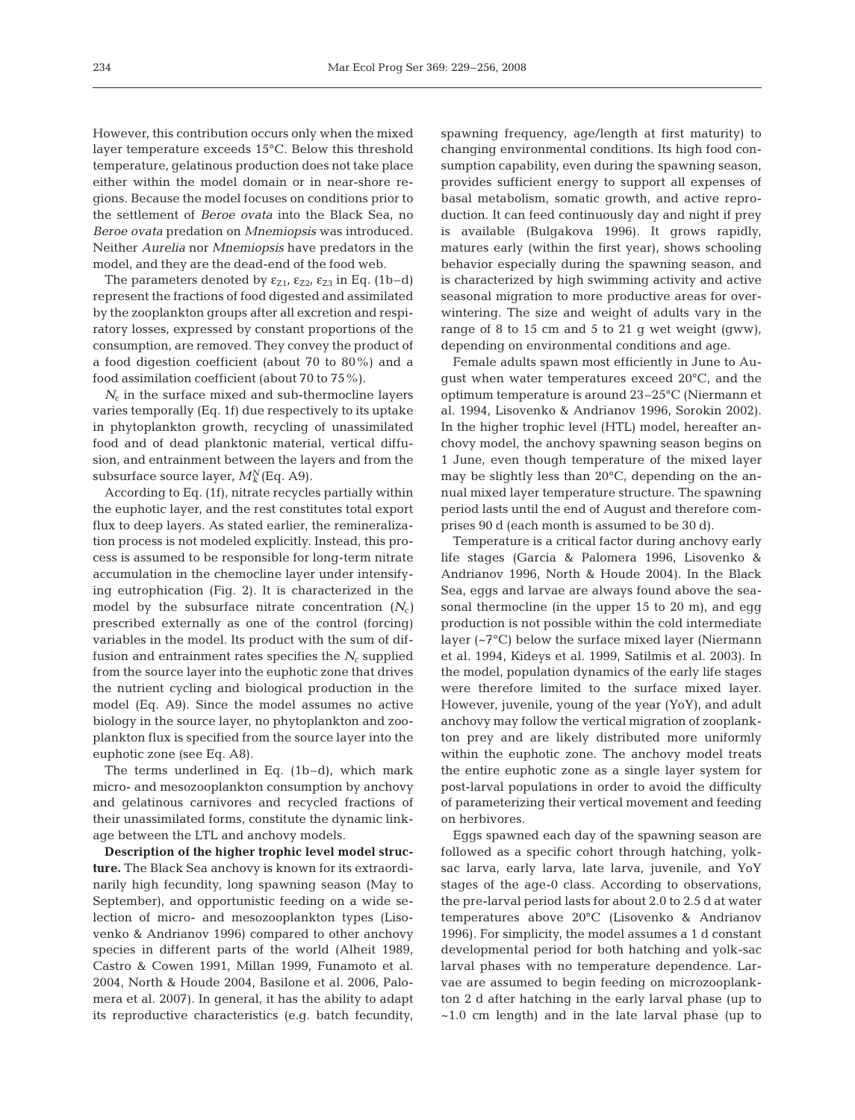However, this contribution occurs only when the mixed layer temperature exceeds 15°C. Below this threshold temperature, gelatinous production does not take place either within the model domain or in near-shore regions. Because the model focuses on conditions prior to the settlement of *Beroe ovata* into the Black Sea, no *Beroe ovata* predation on *Mnemiopsis* was introduced. Neither *Aurelia* nor *Mnemiopsis* have predators in the model, and they are the dead-end of the food web.

The parameters denoted by  $\varepsilon_{Z1}$ ,  $\varepsilon_{Z2}$ ,  $\varepsilon_{Z3}$  in Eq. (1b–d) represent the fractions of food digested and assimilated by the zooplankton groups after all excretion and respiratory losses, expressed by constant proportions of the consumption, are removed. They convey the product of a food digestion coefficient (about 70 to 80%) and a food assimilation coefficient (about 70 to 75%).

 $N_c$  in the surface mixed and sub-thermocline layers varies temporally (Eq. 1f) due respectively to its uptake in phytoplankton growth, recycling of unassimilated food and of dead planktonic material, vertical diffusion, and entrainment between the layers and from the subsurface source layer,  $M_k^N$  (Eq. A9).

According to Eq. (1f), nitrate recycles partially within the euphotic layer, and the rest constitutes total export flux to deep layers. As stated earlier, the remineralization process is not modeled explicitly. Instead, this process is assumed to be responsible for long-term nitrate accumulation in the chemocline layer under intensifying eutrophication (Fig. 2). It is characterized in the model by the subsurface nitrate concentration  $(N_c)$ prescribed externally as one of the control (forcing) variables in the model. Its product with the sum of diffusion and entrainment rates specifies the  $N_c$  supplied from the source layer into the euphotic zone that drives the nutrient cycling and biological production in the model (Eq. A9). Since the model assumes no active biology in the source layer, no phytoplankton and zooplankton flux is specified from the source layer into the euphotic zone (see Eq. A8).

The terms underlined in Eq. (1b–d), which mark micro- and mesozooplankton consumption by anchovy and gelatinous carnivores and recycled fractions of their unassimilated forms, constitute the dynamic linkage between the LTL and anchovy models.

**Description of the higher trophic level model structure.** The Black Sea anchovy is known for its extraordinarily high fecundity, long spawning season (May to September), and opportunistic feeding on a wide selection of micro- and mesozooplankton types (Lisovenko & Andrianov 1996) compared to other anchovy species in different parts of the world (Alheit 1989, Castro & Cowen 1991, Millan 1999, Funamoto et al. 2004, North & Houde 2004, Basilone et al. 2006, Palomera et al. 2007). In general, it has the ability to adapt its reproductive characteristics (e.g. batch fecundity,

spawning frequency, age/length at first maturity) to changing environmental conditions. Its high food consumption capability, even during the spawning season, provides sufficient energy to support all expenses of basal metabolism, somatic growth, and active reproduction. It can feed continuously day and night if prey is available (Bulgakova 1996). It grows rapidly, matures early (within the first year), shows schooling behavior especially during the spawning season, and is characterized by high swimming activity and active seasonal migration to more productive areas for overwintering. The size and weight of adults vary in the range of 8 to 15 cm and 5 to 21 g wet weight (gww), depending on environmental conditions and age.

Female adults spawn most efficiently in June to August when water temperatures exceed 20°C, and the optimum temperature is around 23–25°C (Niermann et al. 1994, Lisovenko & Andrianov 1996, Sorokin 2002). In the higher trophic level (HTL) model, hereafter anchovy model, the anchovy spawning season begins on 1 June, even though temperature of the mixed layer may be slightly less than 20°C, depending on the annual mixed layer temperature structure. The spawning period lasts until the end of August and therefore comprises 90 d (each month is assumed to be 30 d).

Temperature is a critical factor during anchovy early life stages (Garcia & Palomera 1996, Lisovenko & Andrianov 1996, North & Houde 2004). In the Black Sea, eggs and larvae are always found above the seasonal thermocline (in the upper 15 to 20 m), and egg production is not possible within the cold intermediate layer (~7°C) below the surface mixed layer (Niermann et al. 1994, Kideys et al. 1999, Satilmis et al. 2003). In the model, population dynamics of the early life stages were therefore limited to the surface mixed layer. However, juvenile, young of the year (YoY), and adult anchovy may follow the vertical migration of zooplankton prey and are likely distributed more uniformly within the euphotic zone. The anchovy model treats the entire euphotic zone as a single layer system for post-larval populations in order to avoid the difficulty of parameterizing their vertical movement and feeding on herbivores.

Eggs spawned each day of the spawning season are followed as a specific cohort through hatching, yolksac larva, early larva, late larva, juvenile, and YoY stages of the age-0 class. According to observations, the pre-larval period lasts for about 2.0 to 2.5 d at water temperatures above 20°C (Lisovenko & Andrianov 1996). For simplicity, the model assumes a 1 d constant developmental period for both hatching and yolk-sac larval phases with no temperature dependence. Larvae are assumed to begin feeding on microzooplankton 2 d after hatching in the early larval phase (up to  $~1.0$  cm length) and in the late larval phase (up to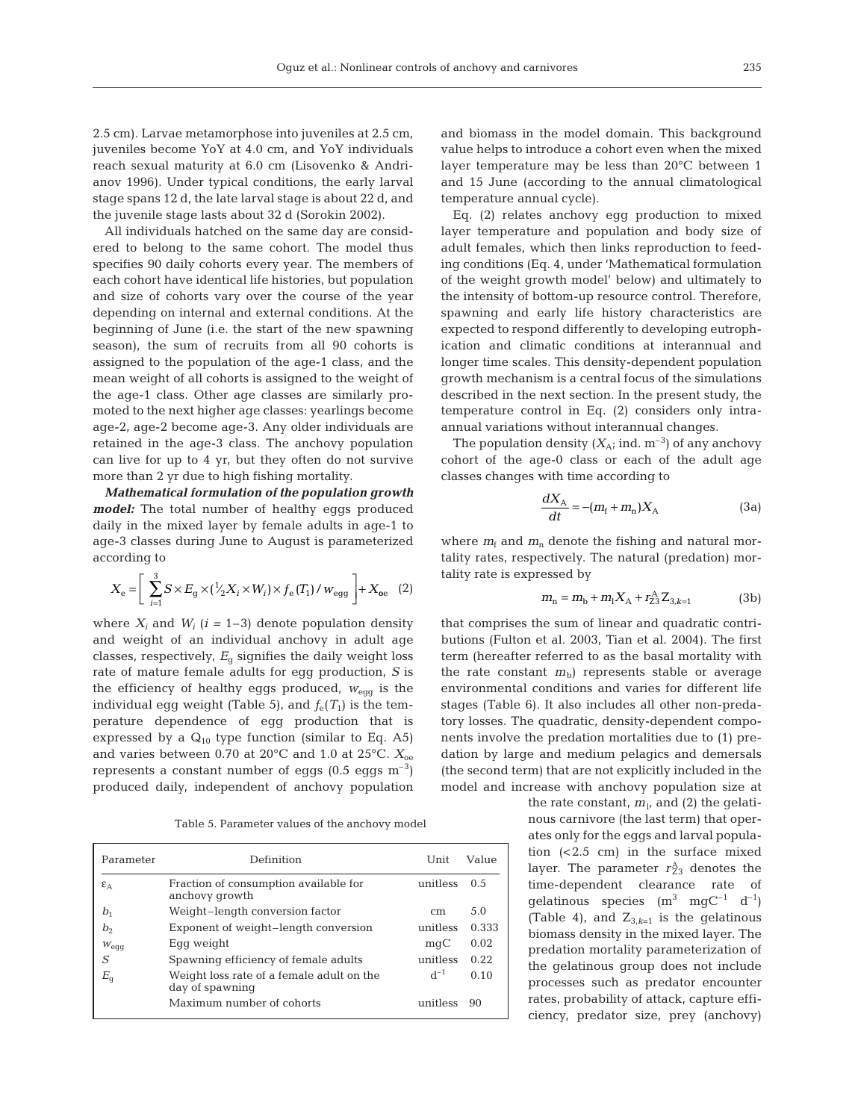2.5 cm). Larvae metamorphose into juveniles at 2.5 cm, juveniles become YoY at 4.0 cm, and YoY individuals reach sexual maturity at 6.0 cm (Lisovenko & Andrianov 1996). Under typical conditions, the early larval stage spans 12 d, the late larval stage is about 22 d, and the juvenile stage lasts about 32 d (Sorokin 2002).

All individuals hatched on the same day are considered to belong to the same cohort. The model thus specifies 90 daily cohorts every year. The members of each cohort have identical life histories, but population and size of cohorts vary over the course of the year depending on internal and external conditions. At the beginning of June (i.e. the start of the new spawning season), the sum of recruits from all 90 cohorts is assigned to the population of the age-1 class, and the mean weight of all cohorts is assigned to the weight of the age-1 class. Other age classes are similarly promoted to the next higher age classes: yearlings become age-2, age-2 become age-3. Any older individuals are retained in the age-3 class. The anchovy population can live for up to 4 yr, but they often do not survive more than 2 yr due to high fishing mortality.

*Mathematical formulation of the population growth model:* The total number of healthy eggs produced daily in the mixed layer by female adults in age-1 to age-3 classes during June to August is parameterized according to

$$
X_{\rm e} = \left[ \sum_{i=1}^{3} S \times E_{\rm g} \times (\sqrt[1]{2} X_i \times W_i) \times f_{\rm e}(T_1) / w_{\rm egg} \right] + X_{\rm oe} \quad (2)
$$

where  $X_i$  and  $W_i$  ( $i = 1-3$ ) denote population density and weight of an individual anchovy in adult age classes, respectively,  $E_{q}$  signifies the daily weight loss rate of mature female adults for egg production, *S* is the efficiency of healthy eggs produced, *w*egg is the individual egg weight (Table 5), and  $f_e(T_1)$  is the temperature dependence of egg production that is expressed by a  $Q_{10}$  type function (similar to Eq. A5) and varies between 0.70 at  $20^{\circ}$ C and 1.0 at  $25^{\circ}$ C.  $X_{oe}$ represents a constant number of eggs  $(0.5 \text{ eggs m}^{-3})$ produced daily, independent of anchovy population

Table 5. Parameter values of the anchovy model

| Parameter        | Definition                                                   | Unit     | Value |
|------------------|--------------------------------------------------------------|----------|-------|
| $\epsilon_{A}$   | Fraction of consumption available for<br>anchovy growth      | unitless | 0.5   |
| b <sub>1</sub>   | Weight-length conversion factor                              | cm       | 5.0   |
| b <sub>2</sub>   | Exponent of weight-length conversion                         | unitless | 0.333 |
| $W_{\text{eqg}}$ | Eqq weight                                                   | mqC      | 0.02  |
| S                | Spawning efficiency of female adults                         | unitless | 0.22  |
| $E_{q}$          | Weight loss rate of a female adult on the<br>day of spawning | $d^{-1}$ | 0.10  |
|                  | Maximum number of cohorts                                    | unitless | 90    |

and biomass in the model domain. This background value helps to introduce a cohort even when the mixed layer temperature may be less than 20°C between 1 and 15 June (according to the annual climatological temperature annual cycle).

Eq. (2) relates anchovy egg production to mixed layer temperature and population and body size of adult females, which then links reproduction to feeding conditions (Eq. 4, under 'Mathematical formulation of the weight growth model' below) and ultimately to the intensity of bottom-up resource control. Therefore, spawning and early life history characteristics are expected to respond differently to developing eutrophication and climatic conditions at interannual and longer time scales. This density-dependent population growth mechanism is a central focus of the simulations described in the next section. In the present study, the temperature control in Eq. (2) considers only intraannual variations without interannual changes.

The population density  $(X_A; \text{ind. m}^{-3})$  of any anchovy cohort of the age-0 class or each of the adult age classes changes with time according to

$$
\frac{dX_{\rm A}}{dt} = -(m_{\rm f} + m_{\rm n})X_{\rm A} \tag{3a}
$$

where  $m_f$  and  $m_n$  denote the fishing and natural mortality rates, respectively. The natural (predation) mortality rate is expressed by

$$
m_{\rm n} = m_{\rm b} + m_{\rm l} X_{\rm A} + r_{\rm Z3}^{\rm A} Z_{3, k=1}
$$
 (3b)

that comprises the sum of linear and quadratic contributions (Fulton et al. 2003, Tian et al. 2004). The first term (hereafter referred to as the basal mortality with the rate constant  $m<sub>b</sub>$ ) represents stable or average environmental conditions and varies for different life stages (Table 6). It also includes all other non-predatory losses. The quadratic, density-dependent components involve the predation mortalities due to (1) predation by large and medium pelagics and demersals (the second term) that are not explicitly included in the model and increase with anchovy population size at

> the rate constant,  $m_l$ , and (2) the gelatinous carnivore (the last term) that operates only for the eggs and larval population  $( $2.5 \text{ cm}$ )$  in the surface mixed layer. The parameter  $r_{Z3}^{\rm A}$  denotes the time-dependent clearance rate of gelatinous species  $(m^3 \text{ mgC}^{-1} d^{-1})$ (Table 4), and  $Z_{3,k=1}$  is the gelatinous biomass density in the mixed layer. The predation mortality parameterization of the gelatinous group does not include processes such as predator encounter rates, probability of attack, capture efficiency, predator size, prey (anchovy)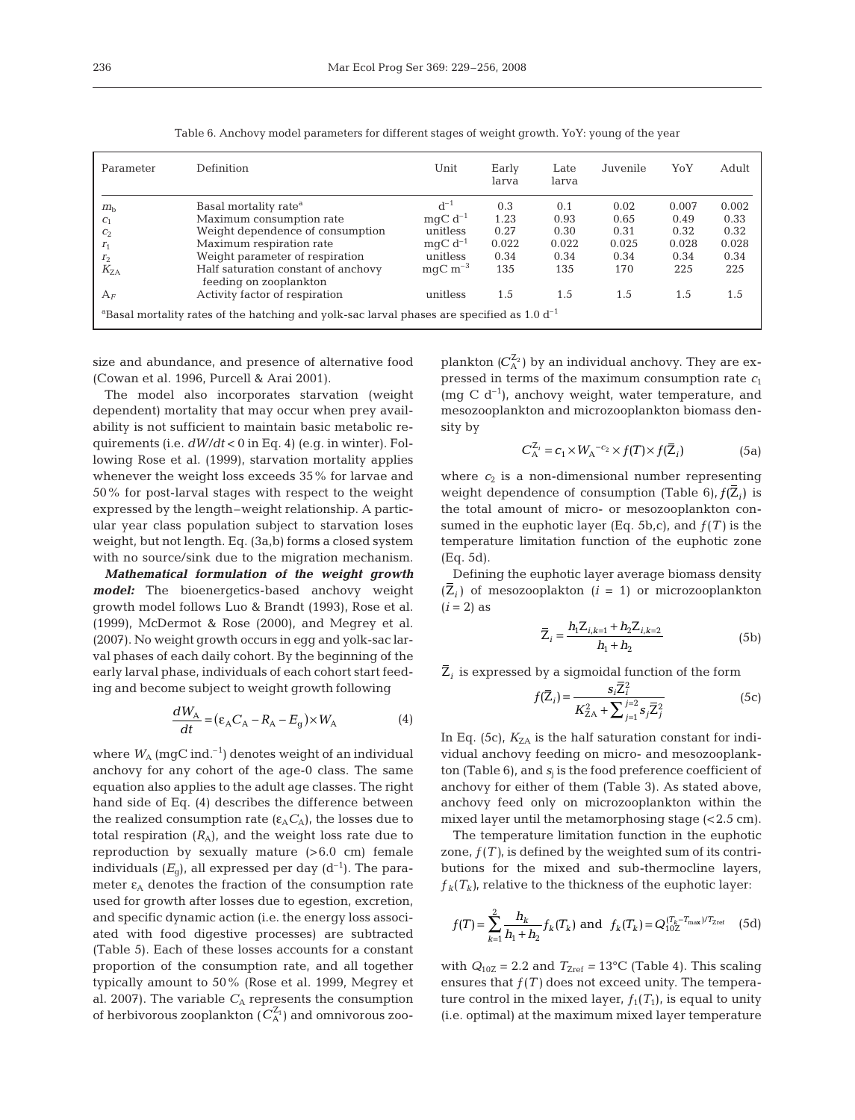| Parameter                                                                                                   | Definition                          | Unit                     | Early<br>larva | Late<br>larva | Juvenile | YoY   | Adult |  |  |
|-------------------------------------------------------------------------------------------------------------|-------------------------------------|--------------------------|----------------|---------------|----------|-------|-------|--|--|
| $m_{\rm h}$                                                                                                 | Basal mortality rate <sup>a</sup>   | $d^{-1}$                 | 0.3            | 0.1           | 0.02     | 0.007 | 0.002 |  |  |
| C <sub>1</sub>                                                                                              | Maximum consumption rate            | $mqC d^{-1}$             | 1.23           | 0.93          | 0.65     | 0.49  | 0.33  |  |  |
| C <sub>2</sub>                                                                                              | Weight dependence of consumption    | unitless                 | 0.27           | 0.30          | 0.31     | 0.32  | 0.32  |  |  |
| r <sub>1</sub>                                                                                              | Maximum respiration rate            | $mqC d^{-1}$             | 0.022          | 0.022         | 0.025    | 0.028 | 0.028 |  |  |
| r <sub>2</sub>                                                                                              | Weight parameter of respiration     | unitless                 | 0.34           | 0.34          | 0.34     | 0.34  | 0.34  |  |  |
| $K_{7A}$                                                                                                    | Half saturation constant of anchovy | $mgC \; \mathrm{m}^{-3}$ | 135            | 135           | 170      | 225   | 225   |  |  |
|                                                                                                             | feeding on zooplankton              |                          |                |               |          |       |       |  |  |
| $A_F$                                                                                                       | Activity factor of respiration      | unitless                 | 1.5            | 1.5           | 1.5      | 1.5   | 1.5   |  |  |
| <sup>a</sup> Basal mortality rates of the hatching and yolk-sac larval phases are specified as 1.0 $d^{-1}$ |                                     |                          |                |               |          |       |       |  |  |

Table 6. Anchovy model parameters for different stages of weight growth. YoY: young of the year

size and abundance, and presence of alternative food (Cowan et al. 1996, Purcell & Arai 2001).

The model also incorporates starvation (weight dependent) mortality that may occur when prey availability is not sufficient to maintain basic metabolic requirements (i.e. *dW/dt* < 0 in Eq. 4) (e.g. in winter). Following Rose et al. (1999), starvation mortality applies whenever the weight loss exceeds 35% for larvae and 50% for post-larval stages with respect to the weight expressed by the length–weight relationship. A particular year class population subject to starvation loses weight, but not length. Eq. (3a,b) forms a closed system with no source/sink due to the migration mechanism.

*Mathematical formulation of the weight growth model:* The bioenergetics-based anchovy weight growth model follows Luo & Brandt (1993), Rose et al. (1999), McDermot & Rose (2000), and Megrey et al. (2007). No weight growth occurs in egg and yolk-sac larval phases of each daily cohort. By the beginning of the early larval phase, individuals of each cohort start feeding and become subject to weight growth following

$$
\frac{dW_{A}}{dt} = (\varepsilon_{A}C_{A} - R_{A} - E_{g}) \times W_{A}
$$
 (4)

where  $W_A$  (mgC ind.<sup>-1</sup>) denotes weight of an individual anchovy for any cohort of the age-0 class. The same equation also applies to the adult age classes. The right hand side of Eq. (4) describes the difference between the realized consumption rate  $(\epsilon_A C_A)$ , the losses due to total respiration  $(R_A)$ , and the weight loss rate due to reproduction by sexually mature  $(>6.0$  cm) female individuals  $(E_{q})$ , all expressed per day  $(d^{-1})$ . The parameter  $\varepsilon_A$  denotes the fraction of the consumption rate used for growth after losses due to egestion, excretion, and specific dynamic action (i.e. the energy loss associated with food digestive processes) are subtracted (Table 5). Each of these losses accounts for a constant proportion of the consumption rate, and all together typically amount to 50% (Rose et al. 1999, Megrey et al. 2007). The variable  $C_A$  represents the consumption of herbivorous zooplankton  $(C_{\rm A}^{Z_1})$  and omnivorous zooplankton  $(C_A^{\mathbb{Z}_2})$  by an individual anchovy. They are expressed in terms of the maximum consumption rate  $c_1$ (mg C  $d^{-1}$ ), anchovy weight, water temperature, and mesozooplankton and microzooplankton biomass density by

$$
C_A^{\mathbb{Z}_i} = c_1 \times W_A^{-c_2} \times f(T) \times f(\overline{\mathbb{Z}}_i)
$$
 (5a)

where  $c_2$  is a non-dimensional number representing weight dependence of consumption (Table 6),  $f(Z_i)$  is the total amount of micro- or mesozooplankton consumed in the euphotic layer (Eq. 5b,c), and  $f(T)$  is the temperature limitation function of the euphotic zone (Eq. 5d).

Defining the euphotic layer average biomass density  $(Z_i)$  of mesozooplakton  $(i = 1)$  or microzooplankton  $(i = 2)$  as

$$
\overline{Z}_{i} = \frac{h_{1}Z_{i,k=1} + h_{2}Z_{i,k=2}}{h_{1} + h_{2}}
$$
\n(5b)

 $Z_i$  is expressed by a sigmoidal function of the form

$$
f(\overline{Z}_{i}) = \frac{s_{i} \overline{Z}_{i}^{2}}{K_{ZA}^{2} + \sum_{j=1}^{j=2} s_{j} \overline{Z}_{j}^{2}}
$$
(5c)

In Eq. (5c),  $K_{ZA}$  is the half saturation constant for individual anchovy feeding on micro- and mesozooplankton (Table 6), and  $s_i$  is the food preference coefficient of anchovy for either of them (Table 3). As stated above, anchovy feed only on microzooplankton within the mixed layer until the metamorphosing stage (< 2.5 cm).

The temperature limitation function in the euphotic zone,  $f(T)$ , is defined by the weighted sum of its contributions for the mixed and sub-thermocline layers,  $f_k(T_k)$ , relative to the thickness of the euphotic layer:

$$
f(T) = \sum_{k=1}^{2} \frac{h_k}{h_1 + h_2} f_k(T_k) \text{ and } f_k(T_k) = Q_{10Z}^{(T_k - T_{\text{max}})/T_{\text{Zref}}}
$$
 (5d)

with  $Q_{10Z} = 2.2$  and  $T_{Zref} = 13^{\circ}\text{C}$  (Table 4). This scaling ensures that  $f(T)$  does not exceed unity. The temperature control in the mixed layer,  $f_1(T_1)$ , is equal to unity (i.e. optimal) at the maximum mixed layer temperature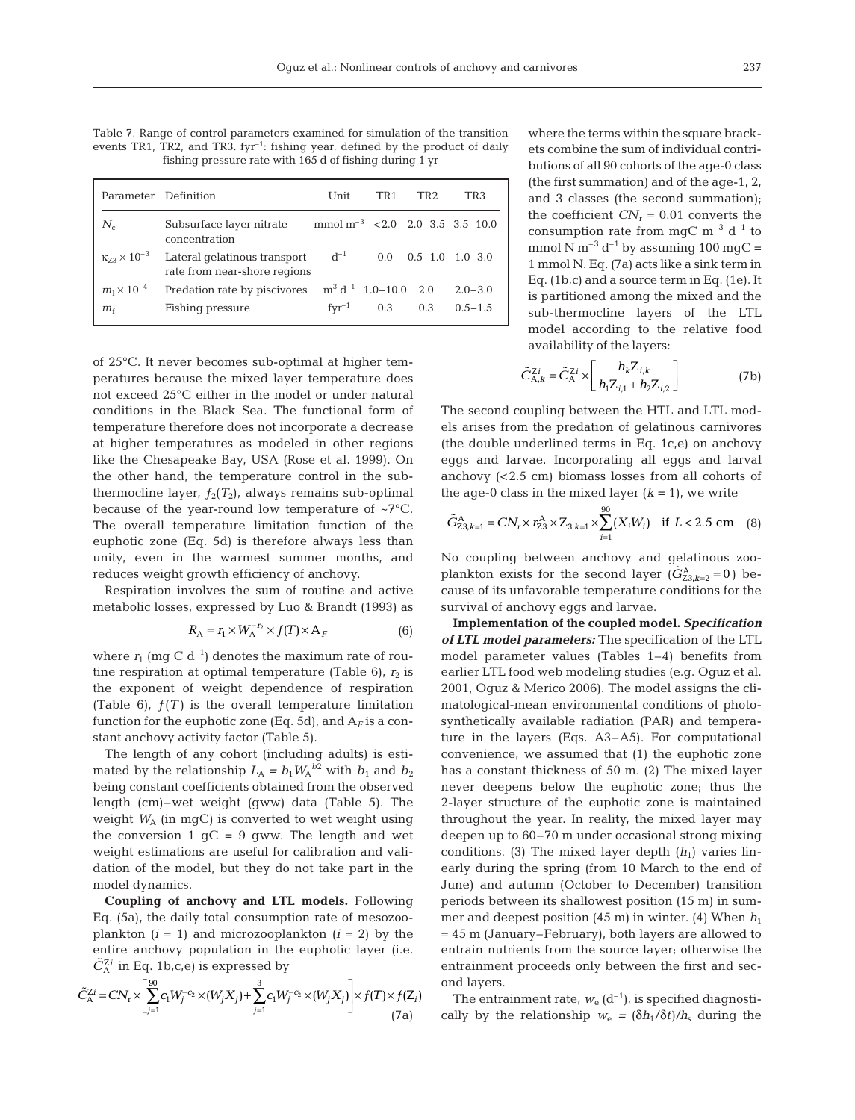Table 7. Range of control parameters examined for simulation of the transition events TR1, TR2, and TR3.  $fyr^{-1}$ : fishing year, defined by the product of daily fishing pressure rate with 165 d of fishing during 1 yr

|                              | Parameter Definition                                         | Unit                                                 | TR <sub>1</sub> | TR <sub>2</sub>     | TR3         |
|------------------------------|--------------------------------------------------------------|------------------------------------------------------|-----------------|---------------------|-------------|
| $N_c$                        | Subsurface layer nitrate<br>concentration                    | mmol m <sup>-3</sup> $\leq$ 2.0 2.0 - 3.5 3.5 - 10.0 |                 |                     |             |
| $\kappa_{73} \times 10^{-3}$ | Lateral gelatinous transport<br>rate from near-shore regions | $d^{-1}$                                             | $0.0^{\circ}$   | $0.5-1.0$ $1.0-3.0$ |             |
| $m_1 \times 10^{-4}$         | Predation rate by piscivores                                 | $\text{m}^3$ d <sup>-1</sup> 1.0-10.0 2.0            |                 |                     | $2.0 - 3.0$ |
| $m_{\rm f}$                  | Fishing pressure                                             | $fyr^{-1}$                                           | 0.3             | 0.3                 | $0.5 - 1.5$ |

of 25°C. It never becomes sub-optimal at higher temperatures because the mixed layer temperature does not exceed 25°C either in the model or under natural conditions in the Black Sea. The functional form of temperature therefore does not incorporate a decrease at higher temperatures as modeled in other regions like the Chesapeake Bay, USA (Rose et al. 1999). On the other hand, the temperature control in the subthermocline layer,  $f_2(T_2)$ , always remains sub-optimal because of the year-round low temperature of ~7°C. The overall temperature limitation function of the euphotic zone (Eq. 5d) is therefore always less than unity, even in the warmest summer months, and reduces weight growth efficiency of anchovy.

Respiration involves the sum of routine and active metabolic losses, expressed by Luo & Brandt (1993) as

$$
R_{A} = r_{1} \times W_{A}^{-r_{2}} \times f(T) \times A_{F}
$$
 (6)

where  $r_1$  (mg C d<sup>-1</sup>) denotes the maximum rate of routine respiration at optimal temperature (Table 6),  $r_2$  is the exponent of weight dependence of respiration (Table 6),  $f(T)$  is the overall temperature limitation function for the euphotic zone (Eq. 5d), and  $A_F$  is a constant anchovy activity factor (Table 5).

The length of any cohort (including adults) is estimated by the relationship  $L_A = b_1 W_A^{b2}$  with  $b_1$  and  $b_2$ being constant coefficients obtained from the observed length (cm)–wet weight (gww) data (Table 5). The weight  $W_A$  (in mgC) is converted to wet weight using the conversion 1  $gC = 9$  gww. The length and wet weight estimations are useful for calibration and validation of the model, but they do not take part in the model dynamics.

**Coupling of anchovy and LTL models.** Following Eq. (5a), the daily total consumption rate of mesozooplankton  $(i = 1)$  and microzooplankton  $(i = 2)$  by the entire anchovy population in the euphotic layer (i.e.  $\tilde{C}_{\rm A}^{\rm Zi}$  in Eq. 1b,c,e) is expressed by

$$
\tilde{C}_{\mathcal{A}}^{\mathbb{Z}i} = CN_{\mathbf{r}} \times \left[ \sum_{j=1}^{90} c_{1} W_{j}^{-c_{2}} \times (W_{j} X_{j}) + \sum_{j=1}^{3} c_{1} W_{j}^{-c_{2}} \times (W_{j} X_{j}) \right] \times f(T) \times f(\overline{Z}_{i})
$$
\n(7a)

where the terms within the square brackets combine the sum of individual contributions of all 90 cohorts of the age-0 class (the first summation) and of the age-1, 2, and 3 classes (the second summation); the coefficient  $CN_r = 0.01$  converts the consumption rate from mgC  $\mathrm{m}^{-3}$  d<sup>-1</sup> to mmol N m<sup>-3</sup> d<sup>-1</sup> by assuming 100 mgC = 1 mmol N. Eq. (7a) acts like a sink term in Eq. (1b,c) and a source term in Eq. (1e). It is partitioned among the mixed and the sub-thermocline layers of the LTL model according to the relative food availability of the layers:

$$
\tilde{C}_{\mathbf{A},k}^{Zi} = \tilde{C}_{\mathbf{A}}^{Zi} \times \left[ \frac{h_{k} Z_{i,k}}{h_{1} Z_{i,1} + h_{2} Z_{i,2}} \right]
$$
(7b)

The second coupling between the HTL and LTL models arises from the predation of gelatinous carnivores (the double underlined terms in Eq. 1c,e) on anchovy eggs and larvae. Incorporating all eggs and larval anchovy (< 2.5 cm) biomass losses from all cohorts of the age-0 class in the mixed layer  $(k = 1)$ , we write

$$
\tilde{G}_{23,k=1}^{\mathcal{A}} = C N_r \times r_{23}^{\mathcal{A}} \times Z_{3,k=1} \times \sum_{i=1}^{90} (X_i W_i) \quad \text{if } L < 2.5 \text{ cm} \quad (8)
$$

No coupling between anchovy and gelatinous zooplankton exists for the second layer  $(\tilde{G}_{23,k=2}^A = 0)$  because of its unfavorable temperature conditions for the survival of anchovy eggs and larvae.

**Implementation of the coupled model.** *Specification of LTL model parameters:* The specification of the LTL model parameter values (Tables 1–4) benefits from earlier LTL food web modeling studies (e.g. Oguz et al. 2001, Oguz & Merico 2006). The model assigns the climatological-mean environmental conditions of photosynthetically available radiation (PAR) and temperature in the layers (Eqs. A3–A5). For computational convenience, we assumed that (1) the euphotic zone has a constant thickness of 50 m. (2) The mixed layer never deepens below the euphotic zone; thus the 2-layer structure of the euphotic zone is maintained throughout the year. In reality, the mixed layer may deepen up to 60–70 m under occasional strong mixing conditions. (3) The mixed layer depth  $(h_1)$  varies linearly during the spring (from 10 March to the end of June) and autumn (October to December) transition periods between its shallowest position (15 m) in summer and deepest position  $(45 \text{ m})$  in winter.  $(4)$  When  $h_1$ = 45 m (January–February), both layers are allowed to entrain nutrients from the source layer; otherwise the entrainment proceeds only between the first and second layers.

The entrainment rate,  $w_e$  ( $d^{-1}$ ), is specified diagnostically by the relationship  $w_e = (\delta h_1/\delta t)/h_s$  during the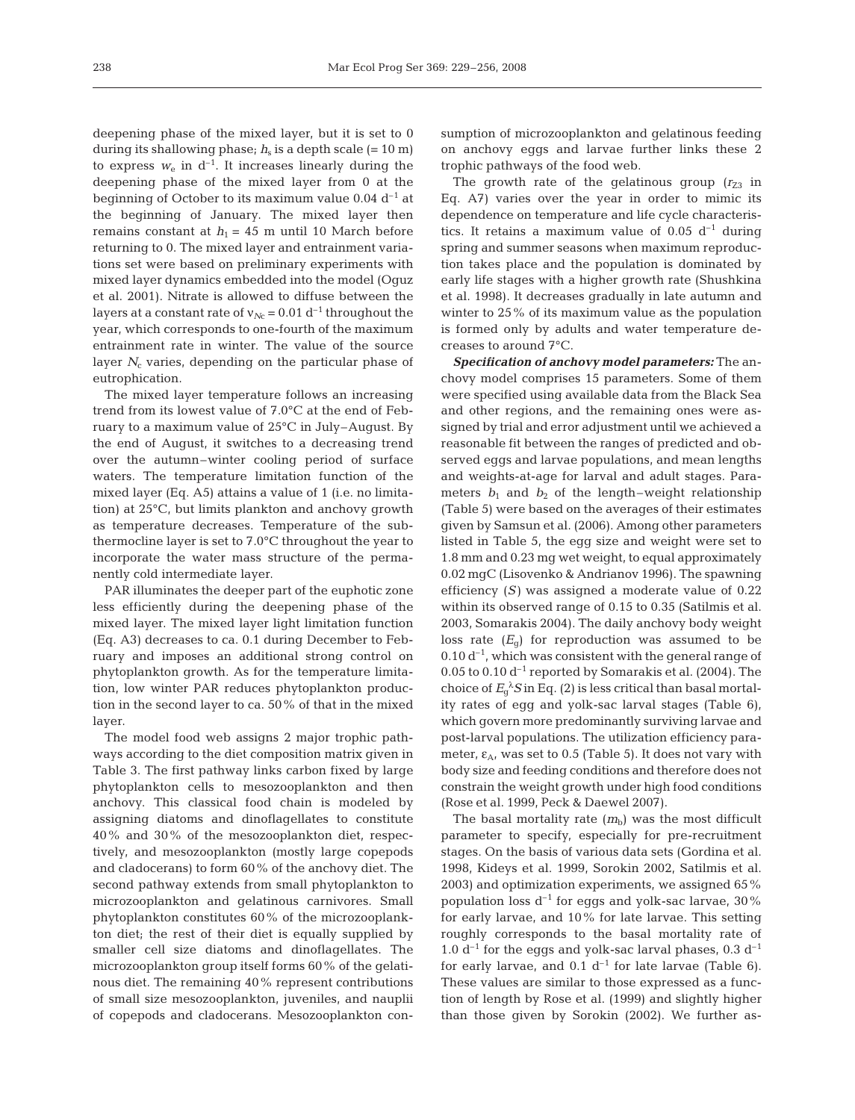deepening phase of the mixed layer, but it is set to 0 during its shallowing phase;  $h<sub>s</sub>$  is a depth scale (= 10 m) to express  $w_e$  in  $d^{-1}$ . It increases linearly during the deepening phase of the mixed layer from 0 at the beginning of October to its maximum value  $0.04$  d<sup>-1</sup> at the beginning of January. The mixed layer then remains constant at  $h_1 = 45$  m until 10 March before returning to 0. The mixed layer and entrainment variations set were based on preliminary experiments with mixed layer dynamics embedded into the model (Oguz et al. 2001). Nitrate is allowed to diffuse between the layers at a constant rate of  $v_{Nc}$  = 0.01 d<sup>-1</sup> throughout the year, which corresponds to one-fourth of the maximum entrainment rate in winter. The value of the source layer  $N_c$  varies, depending on the particular phase of eutrophication.

The mixed layer temperature follows an increasing trend from its lowest value of 7.0°C at the end of February to a maximum value of 25°C in July–August. By the end of August, it switches to a decreasing trend over the autumn–winter cooling period of surface waters. The temperature limitation function of the mixed layer (Eq. A5) attains a value of 1 (i.e. no limitation) at 25°C, but limits plankton and anchovy growth as temperature decreases. Temperature of the subthermocline layer is set to 7.0°C throughout the year to incorporate the water mass structure of the permanently cold intermediate layer.

PAR illuminates the deeper part of the euphotic zone less efficiently during the deepening phase of the mixed layer. The mixed layer light limitation function (Eq. A3) decreases to ca. 0.1 during December to February and imposes an additional strong control on phytoplankton growth. As for the temperature limitation, low winter PAR reduces phytoplankton production in the second layer to ca. 50% of that in the mixed layer.

The model food web assigns 2 major trophic pathways according to the diet composition matrix given in Table 3. The first pathway links carbon fixed by large phytoplankton cells to mesozooplankton and then anchovy. This classical food chain is modeled by assigning diatoms and dinoflagellates to constitute 40% and 30% of the mesozooplankton diet, respectively, and mesozooplankton (mostly large copepods and cladocerans) to form 60% of the anchovy diet. The second pathway extends from small phytoplankton to microzooplankton and gelatinous carnivores. Small phytoplankton constitutes 60% of the microzooplankton diet; the rest of their diet is equally supplied by smaller cell size diatoms and dinoflagellates. The microzooplankton group itself forms 60% of the gelatinous diet. The remaining 40% represent contributions of small size mesozooplankton, juveniles, and nauplii of copepods and cladocerans. Mesozooplankton consumption of microzooplankton and gelatinous feeding on anchovy eggs and larvae further links these 2 trophic pathways of the food web.

The growth rate of the gelatinous group  $(r_{Z3}$  in Eq. A7) varies over the year in order to mimic its dependence on temperature and life cycle characteristics. It retains a maximum value of 0.05  $d^{-1}$  during spring and summer seasons when maximum reproduction takes place and the population is dominated by early life stages with a higher growth rate (Shushkina et al. 1998). It decreases gradually in late autumn and winter to 25% of its maximum value as the population is formed only by adults and water temperature decreases to around 7°C.

*Specification of anchovy model parameters:* The anchovy model comprises 15 parameters. Some of them were specified using available data from the Black Sea and other regions, and the remaining ones were assigned by trial and error adjustment until we achieved a reasonable fit between the ranges of predicted and observed eggs and larvae populations, and mean lengths and weights-at-age for larval and adult stages. Parameters  $b_1$  and  $b_2$  of the length–weight relationship (Table 5) were based on the averages of their estimates given by Samsun et al. (2006). Among other parameters listed in Table 5, the egg size and weight were set to 1.8 mm and 0.23 mg wet weight, to equal approximately 0.02 mgC (Lisovenko & Andrianov 1996). The spawning efficiency (*S)* was assigned a moderate value of 0.22 within its observed range of 0.15 to 0.35 (Satilmis et al. 2003, Somarakis 2004). The daily anchovy body weight loss rate  $(E_{\alpha})$  for reproduction was assumed to be  $0.10 d^{-1}$ , which was consistent with the general range of 0.05 to 0.10  $d^{-1}$  reported by Somarakis et al. (2004). The choice of  $E_g^{\lambda} S$  in Eq. (2) is less critical than basal mortality rates of egg and yolk-sac larval stages (Table 6), which govern more predominantly surviving larvae and post-larval populations. The utilization efficiency parameter,  $\varepsilon_{A}$ , was set to 0.5 (Table 5). It does not vary with body size and feeding conditions and therefore does not constrain the weight growth under high food conditions (Rose et al. 1999, Peck & Daewel 2007).

The basal mortality rate  $(m_b)$  was the most difficult parameter to specify, especially for pre-recruitment stages. On the basis of various data sets (Gordina et al. 1998, Kideys et al. 1999, Sorokin 2002, Satilmis et al. 2003) and optimization experiments, we assigned 65% population loss  $d^{-1}$  for eggs and yolk-sac larvae, 30% for early larvae, and 10% for late larvae. This setting roughly corresponds to the basal mortality rate of 1.0  $d^{-1}$  for the eggs and yolk-sac larval phases, 0.3  $d^{-1}$ for early larvae, and  $0.1 d^{-1}$  for late larvae (Table 6). These values are similar to those expressed as a function of length by Rose et al. (1999) and slightly higher than those given by Sorokin (2002). We further as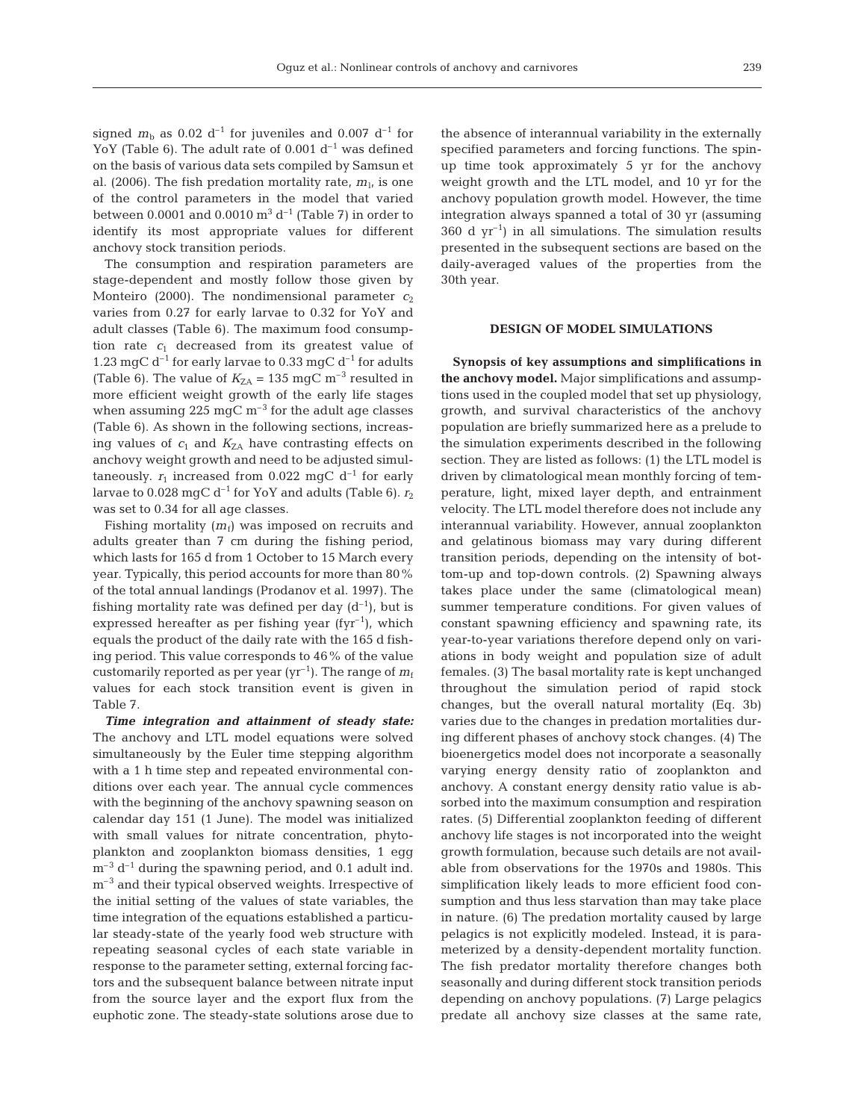signed  $m_b$  as 0.02 d<sup>-1</sup> for juveniles and 0.007 d<sup>-1</sup> for YoY (Table 6). The adult rate of 0.001  $d^{-1}$  was defined on the basis of various data sets compiled by Samsun et al. (2006). The fish predation mortality rate,  $m<sub>1</sub>$ , is one of the control parameters in the model that varied between 0.0001 and 0.0010  $\text{m}^3$  d<sup>-1</sup> (Table 7) in order to identify its most appropriate values for different anchovy stock transition periods.

The consumption and respiration parameters are stage-dependent and mostly follow those given by Monteiro (2000). The nondimensional parameter  $c_2$ varies from 0.27 for early larvae to 0.32 for YoY and adult classes (Table 6). The maximum food consumption rate  $c_1$  decreased from its greatest value of 1.23 mgC  $d^{-1}$  for early larvae to 0.33 mgC  $d^{-1}$  for adults (Table 6). The value of  $K_{\text{ZA}} = 135 \text{ mgC m}^{-3}$  resulted in more efficient weight growth of the early life stages when assuming 225 mgC  $\mathrm{m}^{-3}$  for the adult age classes (Table 6). As shown in the following sections, increasing values of  $c_1$  and  $K_{\text{ZA}}$  have contrasting effects on anchovy weight growth and need to be adjusted simultaneously.  $r_1$  increased from 0.022 mgC  $d^{-1}$  for early larvae to 0.028 mgC  $d^{-1}$  for YoY and adults (Table 6).  $r_2$ was set to 0.34 for all age classes.

Fishing mortality  $(m_f)$  was imposed on recruits and adults greater than 7 cm during the fishing period, which lasts for 165 d from 1 October to 15 March every year. Typically, this period accounts for more than 80% of the total annual landings (Prodanov et al. 1997). The fishing mortality rate was defined per day  $(d^{-1})$ , but is expressed hereafter as per fishing year (fyr<sup>-1</sup>), which equals the product of the daily rate with the 165 d fishing period. This value corresponds to 46% of the value customarily reported as per year  $(yr^{-1})$ . The range of  $m_f$ values for each stock transition event is given in Table 7.

*Time integration and attainment of steady state:* The anchovy and LTL model equations were solved simultaneously by the Euler time stepping algorithm with a 1 h time step and repeated environmental conditions over each year. The annual cycle commences with the beginning of the anchovy spawning season on calendar day 151 (1 June). The model was initialized with small values for nitrate concentration, phytoplankton and zooplankton biomass densities, 1 egg  $m^{-3}$  d<sup>-1</sup> during the spawning period, and 0.1 adult ind.  $m<sup>-3</sup>$  and their typical observed weights. Irrespective of the initial setting of the values of state variables, the time integration of the equations established a particular steady-state of the yearly food web structure with repeating seasonal cycles of each state variable in response to the parameter setting, external forcing factors and the subsequent balance between nitrate input from the source layer and the export flux from the euphotic zone. The steady-state solutions arose due to

the absence of interannual variability in the externally specified parameters and forcing functions. The spinup time took approximately 5 yr for the anchovy weight growth and the LTL model, and 10 yr for the anchovy population growth model. However, the time integration always spanned a total of 30 yr (assuming  $360$  d yr<sup>-1</sup>) in all simulations. The simulation results presented in the subsequent sections are based on the daily-averaged values of the properties from the 30th year.

#### **DESIGN OF MODEL SIMULATIONS**

**Synopsis of key assumptions and simplifications in the anchovy model.** Major simplifications and assumptions used in the coupled model that set up physiology, growth, and survival characteristics of the anchovy population are briefly summarized here as a prelude to the simulation experiments described in the following section. They are listed as follows: (1) the LTL model is driven by climatological mean monthly forcing of temperature, light, mixed layer depth, and entrainment velocity. The LTL model therefore does not include any interannual variability. However, annual zooplankton and gelatinous biomass may vary during different transition periods, depending on the intensity of bottom-up and top-down controls. (2) Spawning always takes place under the same (climatological mean) summer temperature conditions. For given values of constant spawning efficiency and spawning rate, its year-to-year variations therefore depend only on variations in body weight and population size of adult females. (3) The basal mortality rate is kept unchanged throughout the simulation period of rapid stock changes, but the overall natural mortality (Eq. 3b) varies due to the changes in predation mortalities during different phases of anchovy stock changes. (4) The bioenergetics model does not incorporate a seasonally varying energy density ratio of zooplankton and anchovy. A constant energy density ratio value is absorbed into the maximum consumption and respiration rates. (5) Differential zooplankton feeding of different anchovy life stages is not incorporated into the weight growth formulation, because such details are not available from observations for the 1970s and 1980s. This simplification likely leads to more efficient food consumption and thus less starvation than may take place in nature. (6) The predation mortality caused by large pelagics is not explicitly modeled. Instead, it is parameterized by a density-dependent mortality function. The fish predator mortality therefore changes both seasonally and during different stock transition periods depending on anchovy populations. (7) Large pelagics predate all anchovy size classes at the same rate,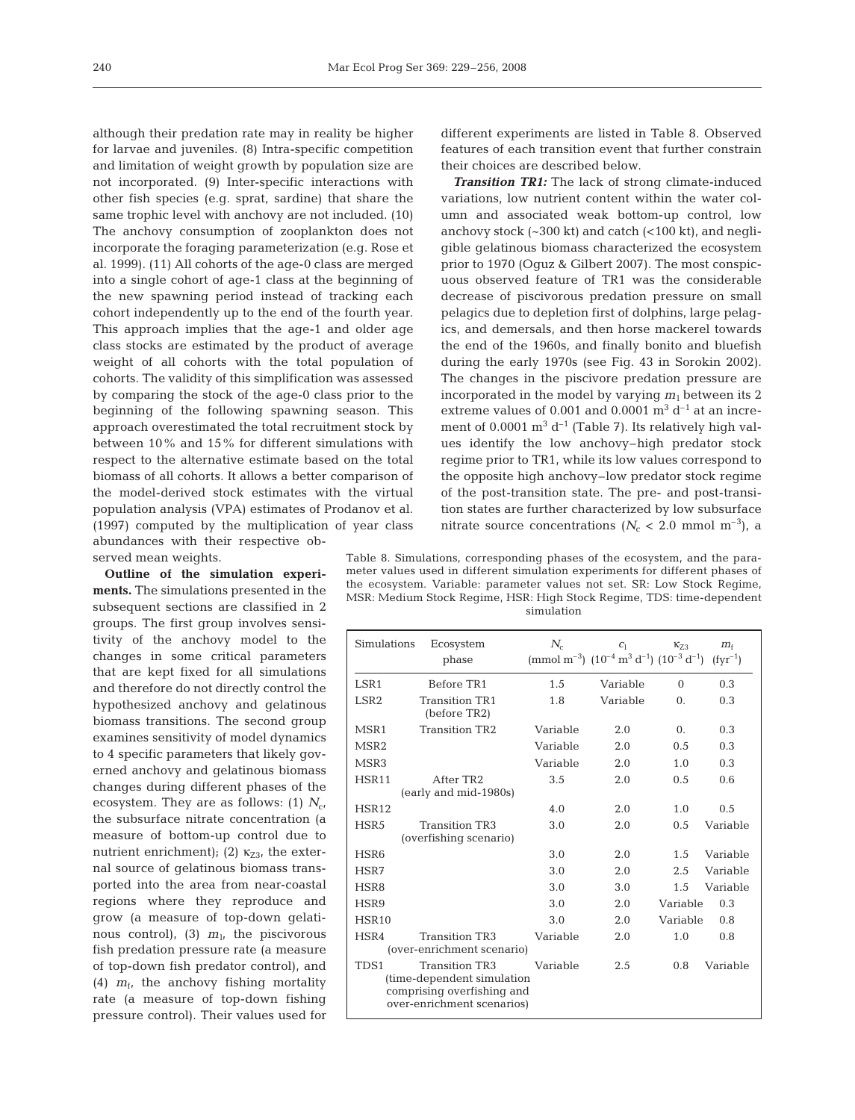although their predation rate may in reality be higher for larvae and juveniles. (8) Intra-specific competition and limitation of weight growth by population size are not incorporated. (9) Inter-specific interactions with other fish species (e.g. sprat, sardine) that share the same trophic level with anchovy are not included. (10) The anchovy consumption of zooplankton does not incorporate the foraging parameterization (e.g. Rose et al. 1999). (11) All cohorts of the age-0 class are merged into a single cohort of age-1 class at the beginning of the new spawning period instead of tracking each cohort independently up to the end of the fourth year. This approach implies that the age-1 and older age class stocks are estimated by the product of average weight of all cohorts with the total population of cohorts. The validity of this simplification was assessed by comparing the stock of the age-0 class prior to the beginning of the following spawning season. This approach overestimated the total recruitment stock by between 10% and 15% for different simulations with respect to the alternative estimate based on the total biomass of all cohorts. It allows a better comparison of the model-derived stock estimates with the virtual population analysis (VPA) estimates of Prodanov et al. (1997) computed by the multiplication of year class abundances with their respective observed mean weights.

**Outline of the simulation experiments.** The simulations presented in the subsequent sections are classified in 2 groups. The first group involves sensitivity of the anchovy model to the changes in some critical parameters that are kept fixed for all simulations and therefore do not directly control the hypothesized anchovy and gelatinous biomass transitions. The second group examines sensitivity of model dynamics to 4 specific parameters that likely governed anchovy and gelatinous biomass changes during different phases of the ecosystem. They are as follows: (1)  $N_{\rm cr}$ the subsurface nitrate concentration (a measure of bottom-up control due to nutrient enrichment); (2)  $\kappa_{Z3}$ , the external source of gelatinous biomass transported into the area from near-coastal regions where they reproduce and grow (a measure of top-down gelatinous control), (3)  $m_l$ , the piscivorous fish predation pressure rate (a measure of top-down fish predator control), and (4)  $m_f$ , the anchovy fishing mortality rate (a measure of top-down fishing pressure control). Their values used for

different experiments are listed in Table 8. Observed features of each transition event that further constrain their choices are described below.

**Transition TR1:** The lack of strong climate-induced variations, low nutrient content within the water column and associated weak bottom-up control, low anchovy stock  $(-300 \text{ kt})$  and catch  $(-100 \text{ kt})$ , and negligible gelatinous biomass characterized the ecosystem prior to 1970 (Oguz & Gilbert 2007). The most conspicuous observed feature of TR1 was the considerable decrease of piscivorous predation pressure on small pelagics due to depletion first of dolphins, large pelagics, and demersals, and then horse mackerel towards the end of the 1960s, and finally bonito and bluefish during the early 1970s (see Fig. 43 in Sorokin 2002). The changes in the piscivore predation pressure are incorporated in the model by varying  $m_1$  between its 2 extreme values of 0.001 and 0.0001  $\text{m}^3$  d<sup>-1</sup> at an increment of 0.0001  $m^3 d^{-1}$  (Table 7). Its relatively high values identify the low anchovy–high predator stock regime prior to TR1, while its low values correspond to the opposite high anchovy–low predator stock regime of the post-transition state. The pre- and post-transition states are further characterized by low subsurface nitrate source concentrations  $(N_c < 2.0 \text{ mmol m}^{-3})$ , a

Table 8. Simulations, corresponding phases of the ecosystem, and the parameter values used in different simulation experiments for different phases of the ecosystem. Variable: parameter values not set. SR: Low Stock Regime, MSR: Medium Stock Regime, HSR: High Stock Regime, TDS: time-dependent simulation

| Simulations      | Ecosystem<br>phase                                                                                              | $N_c$    | C <sub>1</sub><br>(mmol m <sup>-3</sup> ) $(10^{-4} \text{ m}^3 \text{ d}^{-1}) (10^{-3} \text{ d}^{-1})$ | $K_{73}$   | $m_{\rm f}$<br>$(fyr^{-1})$ |
|------------------|-----------------------------------------------------------------------------------------------------------------|----------|-----------------------------------------------------------------------------------------------------------|------------|-----------------------------|
| LSR <sub>1</sub> | Before TR1                                                                                                      | 1.5      | Variable                                                                                                  | $\Omega$   | 0.3                         |
| LSR <sub>2</sub> | <b>Transition TR1</b><br>(before TR2)                                                                           | 1.8      | Variable                                                                                                  | $\Omega$ . | 0.3                         |
| MSR1             | <b>Transition TR2</b>                                                                                           | Variable | 2.0                                                                                                       | $\Omega$ . | 0.3                         |
| MSR <sub>2</sub> |                                                                                                                 | Variable | 2.0                                                                                                       | 0.5        | 0.3                         |
| MSR3             |                                                                                                                 | Variable | 2.0                                                                                                       | 1.0        | 0.3                         |
| <b>HSR11</b>     | After TR <sub>2</sub><br>(early and mid-1980s)                                                                  | 3.5      | 2.0                                                                                                       | 0.5        | 0.6                         |
| <b>HSR12</b>     |                                                                                                                 | 4.0      | 2.0                                                                                                       | 1.0        | 0.5                         |
| HSR <sub>5</sub> | <b>Transition TR3</b><br>(overfishing scenario)                                                                 | 3.0      | 2.0                                                                                                       | 0.5        | Variable                    |
| HSR <sub>6</sub> |                                                                                                                 | 3.0      | 2.0                                                                                                       | 1.5        | Variable                    |
| HSR7             |                                                                                                                 | 3.0      | 2.0                                                                                                       | 2.5        | Variable                    |
| HSR8             |                                                                                                                 | 3.0      | 3.0                                                                                                       | 1.5        | Variable                    |
| HSR9             |                                                                                                                 | 3.0      | 2.0                                                                                                       | Variable   | 0.3                         |
| HSR10            |                                                                                                                 | 3.0      | 2.0                                                                                                       | Variable   | 0.8                         |
| HSR4             | <b>Transition TR3</b><br>(over-enrichment scenario)                                                             | Variable | 2.0                                                                                                       | 1.0        | 0.8                         |
| TDS <sub>1</sub> | <b>Transition TR3</b><br>(time-dependent simulation<br>comprising overfishing and<br>over-enrichment scenarios) | Variable | 2.5                                                                                                       | 0.8        | Variable                    |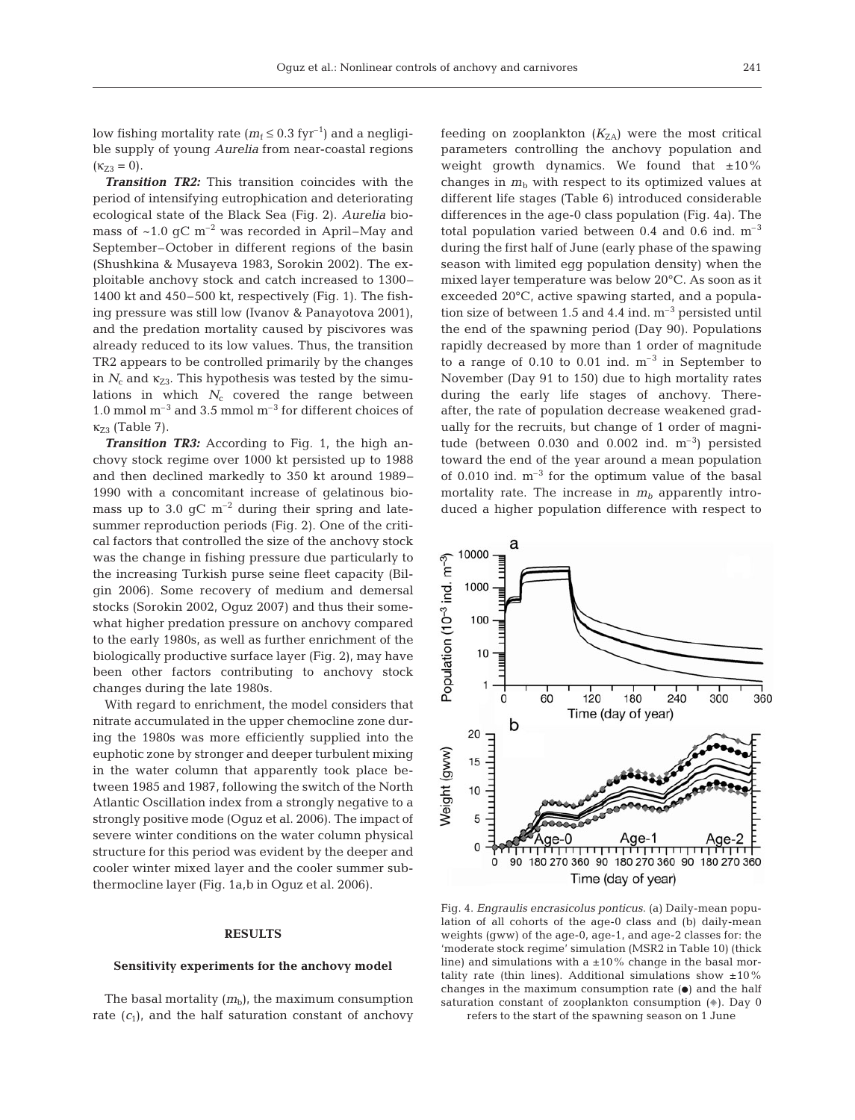241

low fishing mortality rate ( $m_f \leq 0.3$  fyr<sup>-1</sup>) and a negligible supply of young *Aurelia* from near-coastal regions  $(\kappa_{Z3} = 0).$ 

*Transition TR2:* This transition coincides with the period of intensifying eutrophication and deteriorating ecological state of the Black Sea (Fig. 2). *Aurelia* biomass of  $~1.0$  gC m<sup>-2</sup> was recorded in April–May and September–October in different regions of the basin (Shushkina & Musayeva 1983, Sorokin 2002). The exploitable anchovy stock and catch increased to 1300– 1400 kt and 450–500 kt, respectively (Fig. 1). The fishing pressure was still low (Ivanov & Panayotova 2001), and the predation mortality caused by piscivores was already reduced to its low values. Thus, the transition TR2 appears to be controlled primarily by the changes in  $N_c$  and  $\kappa_{Z3}$ . This hypothesis was tested by the simulations in which  $N_c$  covered the range between 1.0 mmol  $m^{-3}$  and 3.5 mmol  $m^{-3}$  for different choices of  $\kappa_{Z3}$  (Table 7).

*Transition TR3:* According to Fig. 1, the high anchovy stock regime over 1000 kt persisted up to 1988 and then declined markedly to 350 kt around 1989– 1990 with a concomitant increase of gelatinous biomass up to 3.0  $\rm gC~m^{-2}$  during their spring and latesummer reproduction periods (Fig. 2). One of the critical factors that controlled the size of the anchovy stock was the change in fishing pressure due particularly to the increasing Turkish purse seine fleet capacity (Bilgin 2006). Some recovery of medium and demersal stocks (Sorokin 2002, Oguz 2007) and thus their somewhat higher predation pressure on anchovy compared to the early 1980s, as well as further enrichment of the biologically productive surface layer (Fig. 2), may have been other factors contributing to anchovy stock changes during the late 1980s.

With regard to enrichment, the model considers that nitrate accumulated in the upper chemocline zone during the 1980s was more efficiently supplied into the euphotic zone by stronger and deeper turbulent mixing in the water column that apparently took place between 1985 and 1987, following the switch of the North Atlantic Oscillation index from a strongly negative to a strongly positive mode (Oguz et al. 2006). The impact of severe winter conditions on the water column physical structure for this period was evident by the deeper and cooler winter mixed layer and the cooler summer subthermocline layer (Fig. 1a,b in Oguz et al. 2006).

## **RESULTS**

## **Sensitivity experiments for the anchovy model**

The basal mortality  $(m_b)$ , the maximum consumption rate  $(c_1)$ , and the half saturation constant of anchovy feeding on zooplankton  $(K_{ZA})$  were the most critical parameters controlling the anchovy population and weight growth dynamics. We found that  $\pm 10\%$ changes in  $m<sub>b</sub>$  with respect to its optimized values at different life stages (Table 6) introduced considerable differences in the age-0 class population (Fig. 4a). The total population varied between 0.4 and 0.6 ind.  $m^{-3}$ during the first half of June (early phase of the spawing season with limited egg population density) when the mixed layer temperature was below 20°C. As soon as it exceeded 20°C, active spawing started, and a population size of between 1.5 and 4.4 ind.  $m^{-3}$  persisted until the end of the spawning period (Day 90). Populations rapidly decreased by more than 1 order of magnitude to a range of  $0.10$  to  $0.01$  ind.  $m^{-3}$  in September to November (Day 91 to 150) due to high mortality rates during the early life stages of anchovy. Thereafter, the rate of population decrease weakened gradually for the recruits, but change of 1 order of magnitude (between  $0.030$  and  $0.002$  ind.  $m^{-3}$ ) persisted toward the end of the year around a mean population of 0.010 ind.  $m^{-3}$  for the optimum value of the basal mortality rate. The increase in  $m_b$  apparently introduced a higher population difference with respect to



Fig. 4. *Engraulis encrasicolus ponticus*. (a) Daily-mean population of all cohorts of the age-0 class and (b) daily-mean weights (gww) of the age-0, age-1, and age-2 classes for: the 'moderate stock regime' simulation (MSR2 in Table 10) (thick line) and simulations with a  $\pm 10\%$  change in the basal mortality rate (thin lines). Additional simulations show  $\pm 10\%$ changes in the maximum consumption rate  $(\bullet)$  and the half saturation constant of zooplankton consumption  $(*)$ . Day 0 refers to the start of the spawning season on 1 June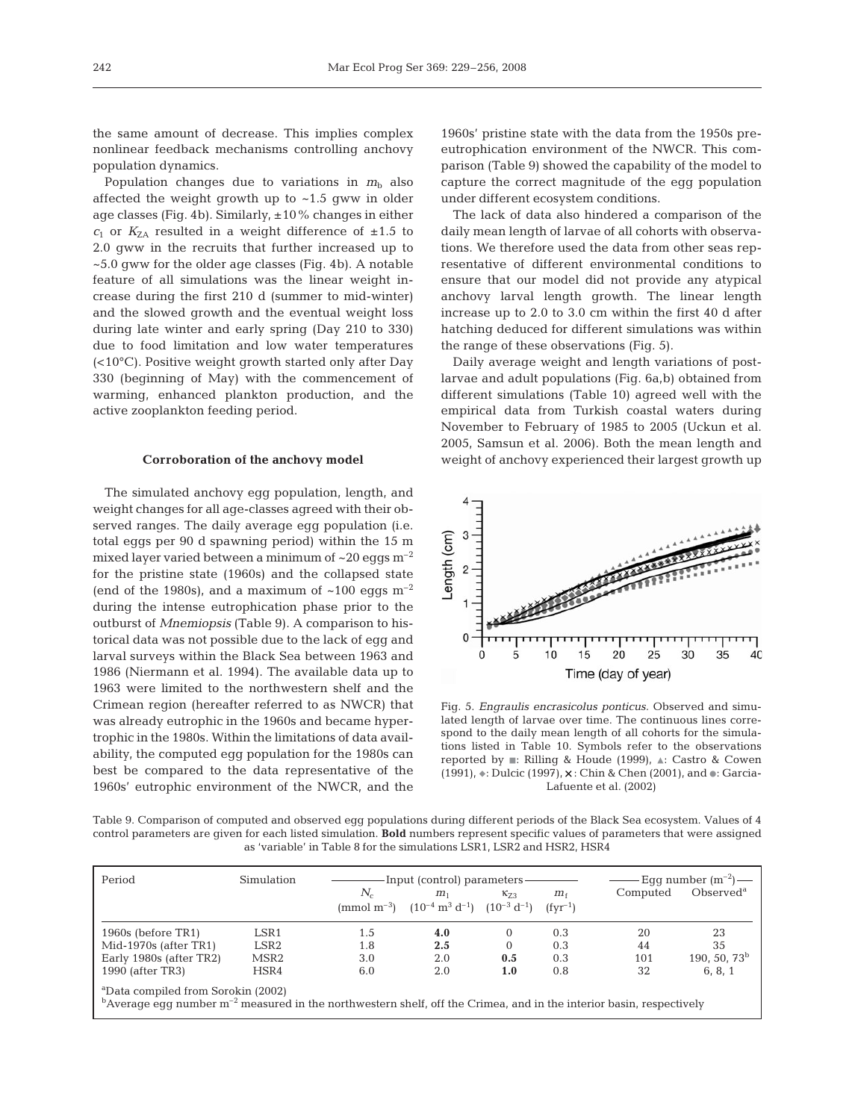the same amount of decrease. This implies complex nonlinear feedback mechanisms controlling anchovy population dynamics.

Population changes due to variations in  $m<sub>b</sub>$  also affected the weight growth up to  $~1.5$  gww in older age classes (Fig. 4b). Similarly,  $\pm 10\%$  changes in either  $c_1$  or  $K_{\text{ZA}}$  resulted in a weight difference of  $\pm 1.5$  to 2.0 gww in the recruits that further increased up to ~5.0 gww for the older age classes (Fig. 4b). A notable feature of all simulations was the linear weight increase during the first 210 d (summer to mid-winter) and the slowed growth and the eventual weight loss during late winter and early spring (Day 210 to 330) due to food limitation and low water temperatures (<10°C). Positive weight growth started only after Day 330 (beginning of May) with the commencement of warming, enhanced plankton production, and the active zooplankton feeding period.

#### **Corroboration of the anchovy model**

The simulated anchovy egg population, length, and weight changes for all age-classes agreed with their observed ranges. The daily average egg population (i.e. total eggs per 90 d spawning period) within the 15 m mixed layer varied between a minimum of  $\sim$ 20 eggs m<sup>-2</sup> for the pristine state (1960s) and the collapsed state (end of the 1980s), and a maximum of  $\sim 100$  eggs  $\mathrm{m}^{-2}$ during the intense eutrophication phase prior to the outburst of *Mnemiopsis* (Table 9). A comparison to historical data was not possible due to the lack of egg and larval surveys within the Black Sea between 1963 and 1986 (Niermann et al. 1994). The available data up to 1963 were limited to the northwestern shelf and the Crimean region (hereafter referred to as NWCR) that was already eutrophic in the 1960s and became hypertrophic in the 1980s. Within the limitations of data availability, the computed egg population for the 1980s can best be compared to the data representative of the 1960s' eutrophic environment of the NWCR, and the 1960s' pristine state with the data from the 1950s preeutrophication environment of the NWCR. This comparison (Table 9) showed the capability of the model to capture the correct magnitude of the egg population under different ecosystem conditions.

The lack of data also hindered a comparison of the daily mean length of larvae of all cohorts with observations. We therefore used the data from other seas representative of different environmental conditions to ensure that our model did not provide any atypical anchovy larval length growth. The linear length increase up to 2.0 to 3.0 cm within the first 40 d after hatching deduced for different simulations was within the range of these observations (Fig. 5).

Daily average weight and length variations of postlarvae and adult populations (Fig. 6a,b) obtained from different simulations (Table 10) agreed well with the empirical data from Turkish coastal waters during November to February of 1985 to 2005 (Uckun et al. 2005, Samsun et al. 2006). Both the mean length and weight of anchovy experienced their largest growth up



Fig. 5. *Engraulis encrasicolus ponticus.* Observed and simulated length of larvae over time. The continuous lines correspond to the daily mean length of all cohorts for the simulations listed in Table 10. Symbols refer to the observations reported by  $\blacksquare$ : Rilling & Houde (1999),  $\blacktriangle$ : Castro & Cowen (1991),  $\ast$ : Dulcic (1997),  $\times$ : Chin & Chen (2001), and  $\bullet$ : Garcia-Lafuente et al. (2002)

Table 9. Comparison of computed and observed egg populations during different periods of the Black Sea ecosystem. Values of 4 control parameters are given for each listed simulation. **Bold** numbers represent specific values of parameters that were assigned as 'variable' in Table 8 for the simulations LSR1, LSR2 and HSR2, HSR4

| Period                                                                                                                                                                                    | Simulation                                               | -Input (control) parameters –<br>$N_c$<br>$K_{73}$<br>$m_{\rm f}$<br>m <sub>1</sub><br>(mmol m <sup>-3</sup> ) $(10^{-4} \text{ m}^3 \text{ d}^{-1})$ $(10^{-3} \text{ d}^{-1})$ $(fyr^{-1})$ |                   |                             | Computed          | Eqq number $(m^{-2})$ —<br>$Observed^a$ |                             |
|-------------------------------------------------------------------------------------------------------------------------------------------------------------------------------------------|----------------------------------------------------------|-----------------------------------------------------------------------------------------------------------------------------------------------------------------------------------------------|-------------------|-----------------------------|-------------------|-----------------------------------------|-----------------------------|
| 1960s (before TR1)<br>Mid-1970s (after $TR1$ )<br>Early 1980s (after TR2)                                                                                                                 | LSR <sub>1</sub><br>LSR <sub>2</sub><br>MSR <sub>2</sub> | 1.5<br>1.8<br>3.0                                                                                                                                                                             | 4.0<br>2.5<br>2.0 | $\Omega$<br>$\Omega$<br>0.5 | 0.3<br>0.3<br>0.3 | 20<br>44<br>101                         | 23<br>35<br>190, 50, 73 $b$ |
| 1990 (after TR3)                                                                                                                                                                          | HSR4                                                     | 6.0                                                                                                                                                                                           | 2.0               | 1.0                         | 0.8               | 32                                      | 6, 8, 1                     |
| <sup>a</sup> Data compiled from Sorokin (2002)<br>$\rm ^b$ Average egg number m <sup>-2</sup> measured in the northwestern shelf, off the Crimea, and in the interior basin, respectively |                                                          |                                                                                                                                                                                               |                   |                             |                   |                                         |                             |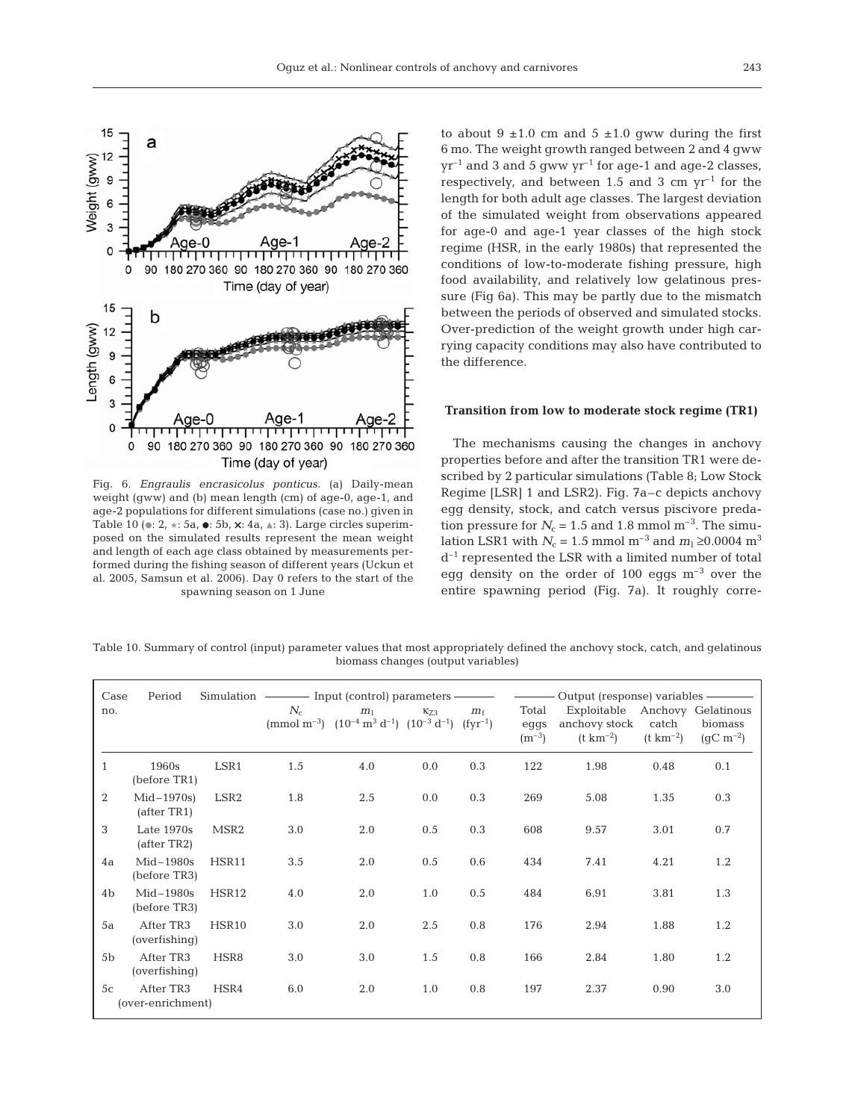

Fig. 6. *Engraulis encrasicolus ponticus.* (a) Daily-mean weight (gww) and (b) mean length (cm) of age-0, age-1, and age-2 populations for different simulations (case no.) given in Table 10 ( $\bullet$ : 2,  $\star$ : 5a,  $\bullet$ : 5b,  $\times$ : 4a,  $\star$ : 3). Large circles superimposed on the simulated results represent the mean weight and length of each age class obtained by measurements performed during the fishing season of different years (Uckun et al. 2005, Samsun et al. 2006). Day 0 refers to the start of the spawning season on 1 June

to about  $9 \pm 1.0$  cm and  $5 \pm 1.0$  gww during the first 6 mo. The weight growth ranged between 2 and 4 gww  $yr^{-1}$  and 3 and 5 gww  $yr^{-1}$  for age-1 and age-2 classes, respectively, and between 1.5 and 3 cm  $yr^{-1}$  for the length for both adult age classes. The largest deviation of the simulated weight from observations appeared for age-0 and age-1 year classes of the high stock regime (HSR, in the early 1980s) that represented the conditions of low-to-moderate fishing pressure, high food availability, and relatively low gelatinous pressure (Fig 6a). This may be partly due to the mismatch between the periods of observed and simulated stocks. Over-prediction of the weight growth under high carrying capacity conditions may also have contributed to the difference.

## **Transition from low to moderate stock regime (TR1)**

The mechanisms causing the changes in anchovy properties before and after the transition TR1 were described by 2 particular simulations (Table 8; Low Stock Regime [LSR] 1 and LSR2). Fig. 7a–c depicts anchovy egg density, stock, and catch versus piscivore predation pressure for  $N_c = 1.5$  and 1.8 mmol m<sup>-3</sup>. The simulation LSR1 with *N*<sub>c</sub> = 1.5 mmol m<sup>−3</sup> and *m*<sub>1</sub> ≥0.0004 m<sup>3</sup>  $d^{-1}$  represented the LSR with a limited number of total egg density on the order of 100 eggs  $m^{-3}$  over the entire spawning period (Fig. 7a). It roughly corre-

Table 10. Summary of control (input) parameter values that most appropriately defined the anchovy stock, catch, and gelatinous biomass changes (output variables)

| Case           | Period                         |                  |       |                                                                                                                          |           |             |               | Output (response) variables -                   |                       |                  |
|----------------|--------------------------------|------------------|-------|--------------------------------------------------------------------------------------------------------------------------|-----------|-------------|---------------|-------------------------------------------------|-----------------------|------------------|
| no.            |                                |                  | $N_c$ | m <sub>1</sub><br>(mmol m <sup>-3</sup> ) $(10^{-4} \text{ m}^3 \text{ d}^{-1})$ $(10^{-3} \text{ d}^{-1})$ $(fyr^{-1})$ | $K_{7,3}$ | $m_{\rm f}$ | Total<br>eggs | Exploitable Anchovy Gelatinous<br>anchovy stock | catch                 | biomass          |
|                |                                |                  |       |                                                                                                                          |           |             | $(m^{-3})$    | $(t \text{ km}^{-2})$                           | $(t \text{ km}^{-2})$ | $(qC \, m^{-2})$ |
| $\mathbf{1}$   | 1960s<br>(before TR1)          | LSR1             | 1.5   | 4.0                                                                                                                      | 0.0       | 0.3         | 122           | 1.98                                            | 0.48                  | 0.1              |
| 2              | $Mid-1970s)$<br>(after TR1)    | LSR <sub>2</sub> | 1.8   | 2.5                                                                                                                      | 0.0       | 0.3         | 269           | 5.08                                            | 1.35                  | 0.3              |
| 3              | Late $1970s$<br>(after TR2)    | MSR <sub>2</sub> | 3.0   | 2.0                                                                                                                      | 0.5       | 0.3         | 608           | 9.57                                            | 3.01                  | 0.7              |
| 4a             | $Mid-1980s$<br>(before TR3)    | HSR11            | 3.5   | 2.0                                                                                                                      | 0.5       | 0.6         | 434           | 7.41                                            | 4.21                  | 1.2              |
| 4 <sub>b</sub> | $Mid-1980s$<br>(before TR3)    | HSR12            | 4.0   | 2.0                                                                                                                      | 1.0       | 0.5         | 484           | 6.91                                            | 3.81                  | 1.3              |
| 5a             | After TR3<br>(overfishing)     | HSR10            | 3.0   | 2.0                                                                                                                      | 2.5       | 0.8         | 176           | 2.94                                            | 1.88                  | 1.2              |
| 5 <sub>b</sub> | After TR3<br>(overfishing)     | HSR8             | 3.0   | 3.0                                                                                                                      | 1.5       | 0.8         | 166           | 2.84                                            | 1.80                  | 1.2              |
| 5c             | After TR3<br>(over-enrichment) | HSR4             | 6.0   | 2.0                                                                                                                      | 1.0       | 0.8         | 197           | 2.37                                            | 0.90                  | 3.0              |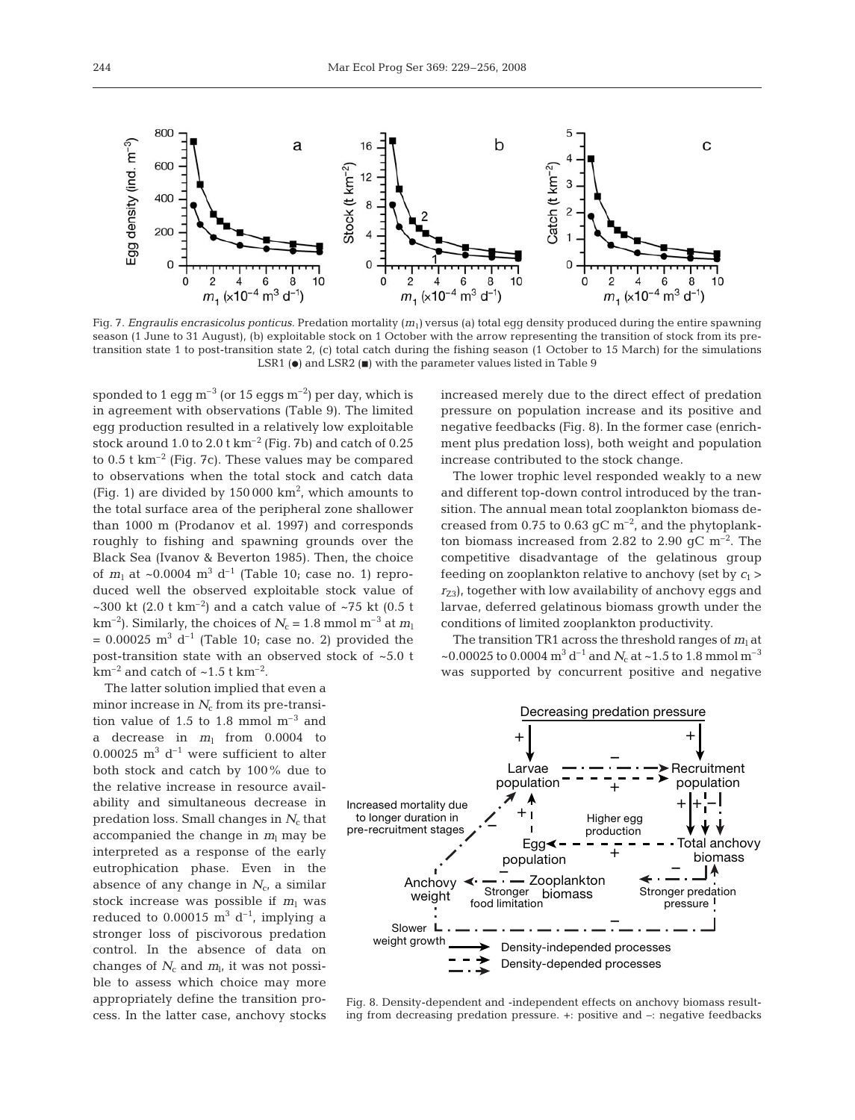

Fig. 7. *Engraulis encrasicolus ponticus*. Predation mortality ( $m<sub>1</sub>$ ) versus (a) total egg density produced during the entire spawning season (1 June to 31 August), (b) exploitable stock on 1 October with the arrow representing the transition of stock from its pretransition state 1 to post-transition state 2, (c) total catch during the fishing season (1 October to 15 March) for the simulations LSR1 ( $\bullet$ ) and LSR2 ( $\bullet$ ) with the parameter values listed in Table 9

sponded to 1 egg  $m^{-3}$  (or 15 eggs  $m^{-2}$ ) per day, which is in agreement with observations (Table 9). The limited egg production resulted in a relatively low exploitable stock around 1.0 to 2.0 t  $km^{-2}$  (Fig. 7b) and catch of 0.25 to  $0.5$  t km<sup>-2</sup> (Fig. 7c). These values may be compared to observations when the total stock and catch data (Fig. 1) are divided by  $150000 \text{ km}^2$ , which amounts to the total surface area of the peripheral zone shallower than 1000 m (Prodanov et al. 1997) and corresponds roughly to fishing and spawning grounds over the Black Sea (Ivanov & Beverton 1985). Then, the choice of  $m_1$  at  $\sim 0.0004$  m<sup>3</sup> d<sup>-1</sup> (Table 10; case no. 1) reproduced well the observed exploitable stock value of ~300 kt (2.0 t km<sup>-2</sup>) and a catch value of ~75 kt (0.5 t km<sup>-2</sup>). Similarly, the choices of  $N_c$  = 1.8 mmol m<sup>-3</sup> at  $m_l$  $= 0.00025$  m<sup>3</sup> d<sup>-1</sup> (Table 10; case no. 2) provided the post-transition state with an observed stock of ~5.0 t  $km^{-2}$  and catch of  $\sim$ 1.5 t km<sup>-2</sup>.

The latter solution implied that even a minor increase in  $N_c$  from its pre-transition value of 1.5 to 1.8 mmol  $m^{-3}$  and a decrease in  $m_1$  from 0.0004 to 0.00025  $m^3$  d<sup>-1</sup> were sufficient to alter both stock and catch by 100% due to the relative increase in resource availability and simultaneous decrease in predation loss. Small changes in  $N_c$  that accompanied the change in  $m<sub>l</sub>$  may be interpreted as a response of the early eutrophication phase. Even in the absence of any change in  $N_c$ , a similar stock increase was possible if  $m_1$  was reduced to 0.00015  $\text{m}^3$  d<sup>-1</sup>, implying a stronger loss of piscivorous predation control. In the absence of data on changes of  $N_c$  and  $m_l$ , it was not possible to assess which choice may more appropriately define the transition process. In the latter case, anchovy stocks increased merely due to the direct effect of predation pressure on population increase and its positive and negative feedbacks (Fig. 8). In the former case (enrichment plus predation loss), both weight and population increase contributed to the stock change.

The lower trophic level responded weakly to a new and different top-down control introduced by the transition. The annual mean total zooplankton biomass decreased from 0.75 to 0.63  $\rm gC~m^{-2}$ , and the phytoplankton biomass increased from 2.82 to 2.90 gC  $\mathrm{m}^{-2}$ . The competitive disadvantage of the gelatinous group feeding on zooplankton relative to anchovy (set by  $c_1$  >  $r_{Z3}$ , together with low availability of anchovy eggs and larvae, deferred gelatinous biomass growth under the conditions of limited zooplankton productivity.

The transition TR1 across the threshold ranges of  $m<sub>1</sub>$  at ~0.00025 to 0.0004  $\text{m}^3 \text{ d}^{-1}$  and  $N_c$  at ~1.5 to 1.8 mmol  $\text{m}^{-3}$ was supported by concurrent positive and negative



Fig. 8. Density-dependent and -independent effects on anchovy biomass resulting from decreasing predation pressure. +: positive and –: negative feedbacks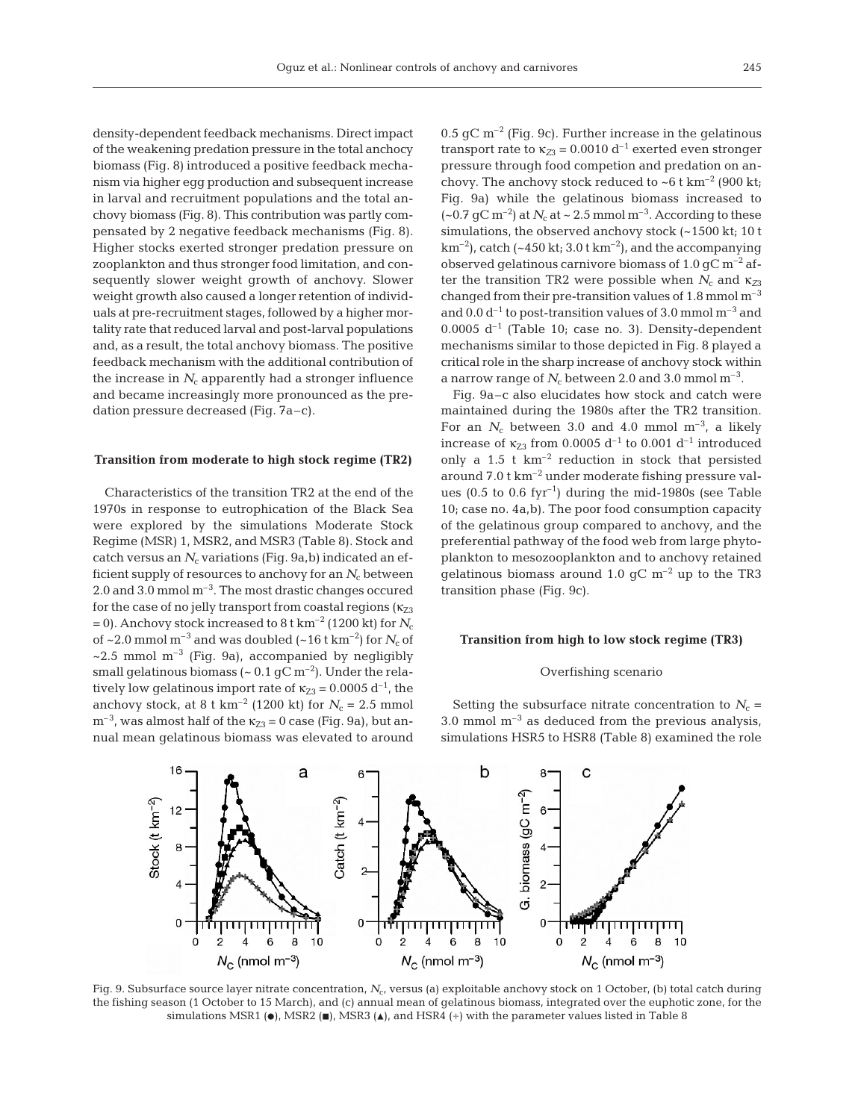density-dependent feedback mechanisms. Direct impact of the weakening predation pressure in the total anchocy biomass (Fig. 8) introduced a positive feedback mechanism via higher egg production and subsequent increase in larval and recruitment populations and the total anchovy biomass (Fig. 8). This contribution was partly compensated by 2 negative feedback mechanisms (Fig. 8). Higher stocks exerted stronger predation pressure on zooplankton and thus stronger food limitation, and consequently slower weight growth of anchovy. Slower weight growth also caused a longer retention of individuals at pre-recruitment stages, followed by a higher mortality rate that reduced larval and post-larval populations and, as a result, the total anchovy biomass. The positive feedback mechanism with the additional contribution of the increase in  $N_c$  apparently had a stronger influence and became increasingly more pronounced as the predation pressure decreased (Fig. 7a–c).

## **Transition from moderate to high stock regime (TR2)**

Characteristics of the transition TR2 at the end of the 1970s in response to eutrophication of the Black Sea were explored by the simulations Moderate Stock Regime (MSR) 1, MSR2, and MSR3 (Table 8). Stock and catch versus an  $N_c$  variations (Fig. 9a,b) indicated an efficient supply of resources to anchovy for an  $N_c$  between 2.0 and 3.0 mmol  $m<sup>-3</sup>$ . The most drastic changes occured for the case of no jelly transport from coastal regions  $(\kappa_{73})$ = 0). Anchovy stock increased to 8 t km<sup>-2</sup> (1200 kt) for  $N_c$ of  $\sim$  2.0 mmol m<sup>-3</sup> and was doubled ( $\sim$  16 t km<sup>-2</sup>) for *N<sub>c</sub>* of  $\sim$ 2.5 mmol m<sup>-3</sup> (Fig. 9a), accompanied by negligibly small gelatinous biomass ( $\sim 0.1$  gC m<sup>-2</sup>). Under the relatively low gelatinous import rate of  $\kappa_{Z3} = 0.0005 d^{-1}$ , the anchovy stock, at 8 t km<sup>-2</sup> (1200 kt) for  $N_c = 2.5$  mmol  $m^{-3}$ , was almost half of the  $\kappa_{Z3} = 0$  case (Fig. 9a), but annual mean gelatinous biomass was elevated to around  $0.5$  gC m<sup>-2</sup> (Fig. 9c). Further increase in the gelatinous transport rate to  $\kappa_{Z3} = 0.0010 \, d^{-1}$  exerted even stronger pressure through food competion and predation on anchovy. The anchovy stock reduced to  $\sim$  6 t km<sup>-2</sup> (900 kt; Fig. 9a) while the gelatinous biomass increased to  $({\sim}0.7 \text{ qC m}^{-2})$  at  $N_c$  at  ${\sim}2.5 \text{ mmol m}^{-3}$ . According to these simulations, the observed anchovy stock (~1500 kt; 10 t  $km^{-2}$ ), catch (~450 kt; 3.0 t km<sup>-2</sup>), and the accompanying observed gelatinous carnivore biomass of 1.0  $qC m^{-2}$  after the transition TR2 were possible when  $N_c$  and  $\kappa_{Z3}$ changed from their pre-transition values of  $1.8$  mmol  $m^{-3}$ and  $0.0 d^{-1}$  to post-transition values of 3.0 mmol  $m^{-3}$  and  $0.0005$  d<sup>-1</sup> (Table 10; case no. 3). Density-dependent mechanisms similar to those depicted in Fig. 8 played a critical role in the sharp increase of anchovy stock within a narrow range of  $N_c$  between 2.0 and 3.0 mmol m<sup>-3</sup>.

Fig. 9a–c also elucidates how stock and catch were maintained during the 1980s after the TR2 transition. For an  $N_c$  between 3.0 and 4.0 mmol m<sup>-3</sup>, a likely increase of  $\kappa_{Z3}$  from 0.0005 d<sup>-1</sup> to 0.001 d<sup>-1</sup> introduced only a  $1.5$  t  $km^{-2}$  reduction in stock that persisted around 7.0 t km–2 under moderate fishing pressure values (0.5 to 0.6 fyr<sup>-1</sup>) during the mid-1980s (see Table 10; case no. 4a,b). The poor food consumption capacity of the gelatinous group compared to anchovy, and the preferential pathway of the food web from large phytoplankton to mesozooplankton and to anchovy retained gelatinous biomass around 1.0  $\rm gC \ m^{-2}$  up to the TR3 transition phase (Fig. 9c).

#### **Transition from high to low stock regime (TR3)**

## Overfishing scenario

Setting the subsurface nitrate concentration to  $N_c$  = 3.0 mmol  $m^{-3}$  as deduced from the previous analysis, simulations HSR5 to HSR8 (Table 8) examined the role



Fig. 9. Subsurface source layer nitrate concentration,  $N_c$ , versus (a) exploitable anchovy stock on 1 October, (b) total catch during the fishing season (1 October to 15 March), and (c) annual mean of gelatinous biomass, integrated over the euphotic zone, for the simulations MSR1 ( $\bullet$ ), MSR2 ( $\bullet$ ), MSR3 ( $\bullet$ ), and HSR4 (+) with the parameter values listed in Table 8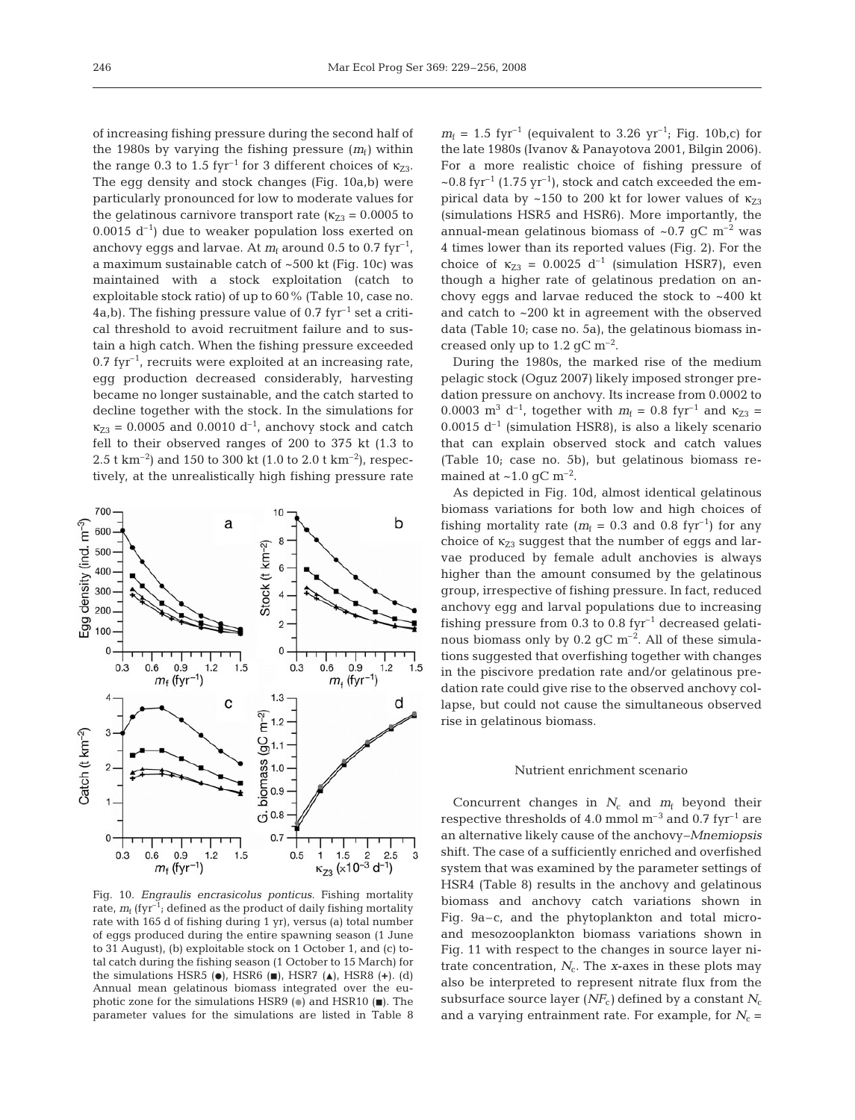of increasing fishing pressure during the second half of the 1980s by varying the fishing pressure  $(m_f)$  within the range 0.3 to 1.5 fyr<sup>-1</sup> for 3 different choices of  $\kappa_{73}$ . The egg density and stock changes (Fig. 10a,b) were particularly pronounced for low to moderate values for the gelatinous carnivore transport rate ( $\kappa_{Z3} = 0.0005$  to  $0.0015$  d<sup>-1</sup>) due to weaker population loss exerted on anchovy eggs and larvae. At  $m_f$  around 0.5 to 0.7 fyr<sup>-1</sup>, a maximum sustainable catch of ~500 kt (Fig. 10c) was maintained with a stock exploitation (catch to exploitable stock ratio) of up to 60% (Table 10, case no. 4a,b). The fishing pressure value of  $0.7$  fyr<sup>-1</sup> set a critical threshold to avoid recruitment failure and to sustain a high catch. When the fishing pressure exceeded  $0.7$  fyr<sup>-1</sup>, recruits were exploited at an increasing rate, egg production decreased considerably, harvesting became no longer sustainable, and the catch started to decline together with the stock. In the simulations for  $\kappa_{Z3} = 0.0005$  and 0.0010 d<sup>-1</sup>, anchovy stock and catch fell to their observed ranges of 200 to 375 kt (1.3 to 2.5 t km<sup>-2</sup>) and 150 to 300 kt (1.0 to 2.0 t km<sup>-2</sup>), respectively, at the unrealistically high fishing pressure rate



Fig. 10. *Engraulis encrasicolus ponticus*. Fishing mortality rate,  $m_f$  (fyr<sup>-1</sup>; defined as the product of daily fishing mortality rate with 165 d of fishing during 1 yr), versus (a) total number of eggs produced during the entire spawning season (1 June to 31 August), (b) exploitable stock on 1 October 1, and (c) total catch during the fishing season (1 October to 15 March) for the simulations HSR5 ( $\bullet$ ), HSR6 ( $\bullet$ ), HSR7 ( $\triangle$ ), HSR8 (+). (d) Annual mean gelatinous biomass integrated over the euphotic zone for the simulations HSR9 ( $\bullet$ ) and HSR10 ( $\blacksquare$ ). The parameter values for the simulations are listed in Table 8

 $m_f = 1.5$  fyr<sup>-1</sup> (equivalent to 3.26 yr<sup>-1</sup>; Fig. 10b,c) for the late 1980s (Ivanov & Panayotova 2001, Bilgin 2006). For a more realistic choice of fishing pressure of  $\sim$ 0.8 fyr<sup>-1</sup> (1.75 yr<sup>-1</sup>), stock and catch exceeded the empirical data by ~150 to 200 kt for lower values of  $\kappa_{Z3}$ (simulations HSR5 and HSR6). More importantly, the annual-mean gelatinous biomass of  $\sim 0.7$  gC m<sup>-2</sup> was 4 times lower than its reported values (Fig. 2). For the choice of  $\kappa_{Z3} = 0.0025 \, \mathrm{d}^{-1}$  (simulation HSR7), even though a higher rate of gelatinous predation on anchovy eggs and larvae reduced the stock to ~400 kt and catch to ~200 kt in agreement with the observed data (Table 10; case no. 5a), the gelatinous biomass increased only up to 1.2 gC  $\rm m^{-2}$ .

During the 1980s, the marked rise of the medium pelagic stock (Oguz 2007) likely imposed stronger predation pressure on anchovy. Its increase from 0.0002 to 0.0003 m<sup>3</sup> d<sup>-1</sup>, together with  $m_f = 0.8$  fyr<sup>-1</sup> and  $\kappa_{Z3} =$ 0.0015  $d^{-1}$  (simulation HSR8), is also a likely scenario that can explain observed stock and catch values (Table 10; case no. 5b), but gelatinous biomass remained at  $\sim$ 1.0 gC m<sup>-2</sup>.

As depicted in Fig. 10d, almost identical gelatinous biomass variations for both low and high choices of fishing mortality rate ( $m_f = 0.3$  and 0.8 fyr<sup>-1</sup>) for any choice of  $\kappa_{Z3}$  suggest that the number of eggs and larvae produced by female adult anchovies is always higher than the amount consumed by the gelatinous group, irrespective of fishing pressure. In fact, reduced anchovy egg and larval populations due to increasing fishing pressure from  $0.3$  to  $0.8$  fyr<sup>-1</sup> decreased gelatinous biomass only by  $0.2$  gC m<sup>-2</sup>. All of these simulations suggested that overfishing together with changes in the piscivore predation rate and/or gelatinous predation rate could give rise to the observed anchovy collapse, but could not cause the simultaneous observed rise in gelatinous biomass.

# Nutrient enrichment scenario

Concurrent changes in  $N_c$  and  $m_f$  beyond their respective thresholds of 4.0 mmol  $\mathrm{m}^{-3}$  and 0.7 fyr<sup>-1</sup> are an alternative likely cause of the anchovy–*Mnemiopsis* shift. The case of a sufficiently enriched and overfished system that was examined by the parameter settings of HSR4 (Table 8) results in the anchovy and gelatinous biomass and anchovy catch variations shown in Fig. 9a–c, and the phytoplankton and total microand mesozooplankton biomass variations shown in Fig. 11 with respect to the changes in source layer nitrate concentration,  $N_c$ . The *x*-axes in these plots may also be interpreted to represent nitrate flux from the subsurface source layer  $(NF_c)$  defined by a constant  $N_c$ and a varying entrainment rate. For example, for  $N_c$  =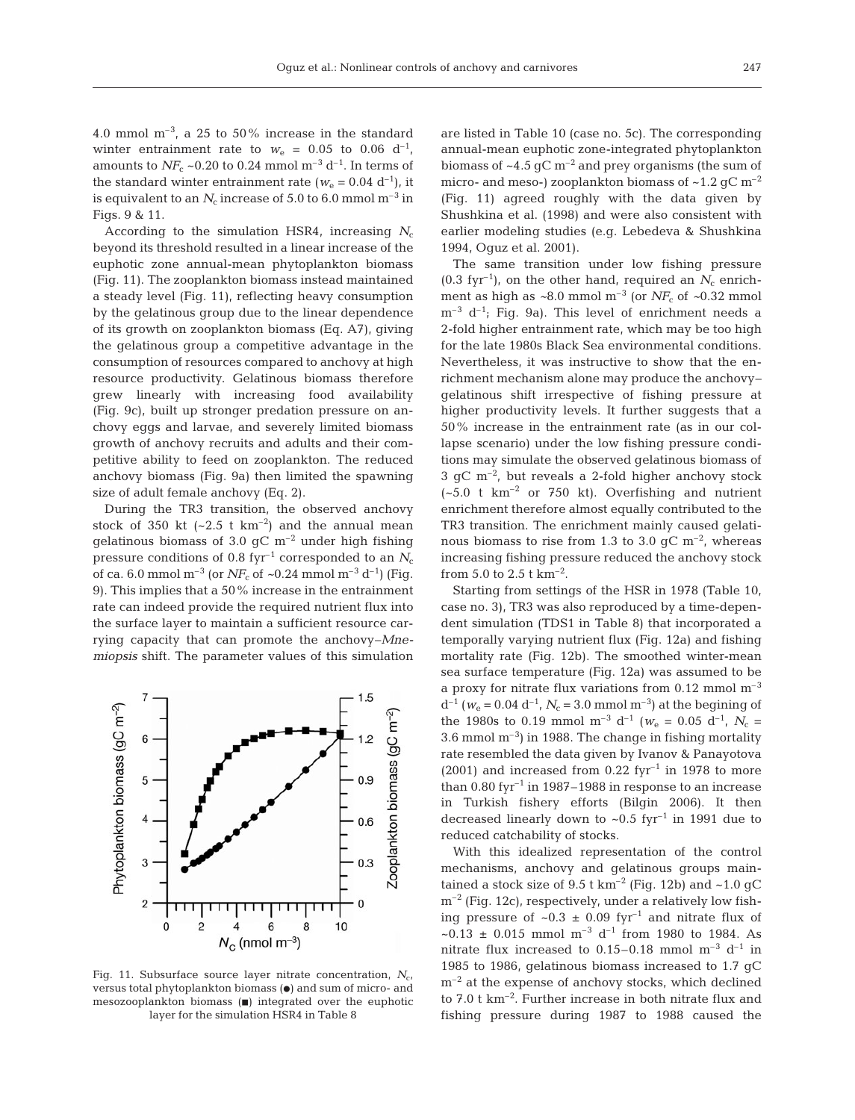4.0 mmol  $m^{-3}$ , a 25 to 50% increase in the standard winter entrainment rate to  $w_e = 0.05$  to 0.06 d<sup>-1</sup>, amounts to  $NF_c \sim 0.20$  to 0.24 mmol m<sup>-3</sup> d<sup>-1</sup>. In terms of the standard winter entrainment rate ( $w_e$  = 0.04 d<sup>-1</sup>), it is equivalent to an  $N_c$  increase of 5.0 to 6.0 mmol m<sup>-3</sup> in Figs. 9 & 11.

According to the simulation HSR4, increasing  $N_c$ beyond its threshold resulted in a linear increase of the euphotic zone annual-mean phytoplankton biomass (Fig. 11). The zooplankton biomass instead maintained a steady level (Fig. 11), reflecting heavy consumption by the gelatinous group due to the linear dependence of its growth on zooplankton biomass (Eq. A7), giving the gelatinous group a competitive advantage in the consumption of resources compared to anchovy at high resource productivity. Gelatinous biomass therefore grew linearly with increasing food availability (Fig. 9c), built up stronger predation pressure on anchovy eggs and larvae, and severely limited biomass growth of anchovy recruits and adults and their competitive ability to feed on zooplankton. The reduced anchovy biomass (Fig. 9a) then limited the spawning size of adult female anchovy (Eq. 2).

During the TR3 transition, the observed anchovy stock of 350 kt  $(-2.5 \text{ t km}^{-2})$  and the annual mean gelatinous biomass of 3.0  $\rm gC~m^{-2}$  under high fishing pressure conditions of 0.8 fyr<sup>-1</sup> corresponded to an  $N_c$ of ca. 6.0 mmol m<sup>-3</sup> (or  $NF_c$  of  $\sim$ 0.24 mmol m<sup>-3</sup> d<sup>-1</sup>) (Fig. 9). This implies that a 50% increase in the entrainment rate can indeed provide the required nutrient flux into the surface layer to maintain a sufficient resource carrying capacity that can promote the anchovy–*Mnemiopsis* shift. The parameter values of this simulation



Fig. 11. Subsurface source layer nitrate concentration,  $N_{cr}$ versus total phytoplankton biomass  $(\bullet)$  and sum of micro- and mesozooplankton biomass  $(\blacksquare)$  integrated over the euphotic layer for the simulation HSR4 in Table 8

are listed in Table 10 (case no. 5c). The corresponding annual-mean euphotic zone-integrated phytoplankton biomass of  $\sim$ 4.5 gC m<sup>-2</sup> and prey organisms (the sum of micro- and meso-) zooplankton biomass of  $\sim$ 1.2 gC m<sup>-2</sup> (Fig. 11) agreed roughly with the data given by Shushkina et al. (1998) and were also consistent with earlier modeling studies (e.g. Lebedeva & Shushkina 1994, Oguz et al. 2001).

The same transition under low fishing pressure  $(0.3$  fyr<sup>-1</sup>), on the other hand, required an  $N_c$  enrichment as high as  $\sim 8.0$  mmol m<sup>-3</sup> (or *NF<sub>c</sub>* of  $\sim 0.32$  mmol  $m^{-3}$  d<sup>-1</sup>; Fig. 9a). This level of enrichment needs a 2-fold higher entrainment rate, which may be too high for the late 1980s Black Sea environmental conditions. Nevertheless, it was instructive to show that the enrichment mechanism alone may produce the anchovy– gelatinous shift irrespective of fishing pressure at higher productivity levels. It further suggests that a 50% increase in the entrainment rate (as in our collapse scenario) under the low fishing pressure conditions may simulate the observed gelatinous biomass of  $3 \text{ qC m}^{-2}$ , but reveals a 2-fold higher anchovy stock  $(-5.0 \text{ t km}^{-2} \text{ or } 750 \text{ kt})$ . Overfishing and nutrient enrichment therefore almost equally contributed to the TR3 transition. The enrichment mainly caused gelatinous biomass to rise from 1.3 to 3.0 gC  $\rm m^{-2}$ , whereas increasing fishing pressure reduced the anchovy stock from 5.0 to 2.5 t  $km^{-2}$ .

Starting from settings of the HSR in 1978 (Table 10, case no. 3), TR3 was also reproduced by a time-dependent simulation (TDS1 in Table 8) that incorporated a temporally varying nutrient flux (Fig. 12a) and fishing mortality rate (Fig. 12b). The smoothed winter-mean sea surface temperature (Fig. 12a) was assumed to be a proxy for nitrate flux variations from  $0.12$  mmol  $m^{-3}$  $d^{-1}$  ( $w_e$  = 0.04  $d^{-1}$ ,  $N_c$  = 3.0 mmol m<sup>-3</sup>) at the begining of the 1980s to 0.19 mmol m<sup>-3</sup> d<sup>-1</sup> ( $w_e$  = 0.05 d<sup>-1</sup>,  $N_c$  = 3.6 mmol  $m^{-3}$ ) in 1988. The change in fishing mortality rate resembled the data given by Ivanov & Panayotova  $(2001)$  and increased from 0.22 fyr<sup>-1</sup> in 1978 to more than  $0.80$  fyr<sup>-1</sup> in 1987–1988 in response to an increase in Turkish fishery efforts (Bilgin 2006). It then decreased linearly down to  $\sim 0.5$  fyr<sup>-1</sup> in 1991 due to reduced catchability of stocks.

With this idealized representation of the control mechanisms, anchovy and gelatinous groups maintained a stock size of 9.5 t  $km^{-2}$  (Fig. 12b) and  $\sim$  1.0 gC  $m^{-2}$  (Fig. 12c), respectively, under a relatively low fishing pressure of  $\sim 0.3 \pm 0.09$  fyr<sup>-1</sup> and nitrate flux of ~0.13 ± 0.015 mmol  $m^{-3}$  d<sup>-1</sup> from 1980 to 1984. As nitrate flux increased to 0.15–0.18 mmol  $m^{-3}$  d<sup>-1</sup> in 1985 to 1986, gelatinous biomass increased to 1.7 gC  $m^{-2}$  at the expense of anchovy stocks, which declined to 7.0 t km–2. Further increase in both nitrate flux and fishing pressure during 1987 to 1988 caused the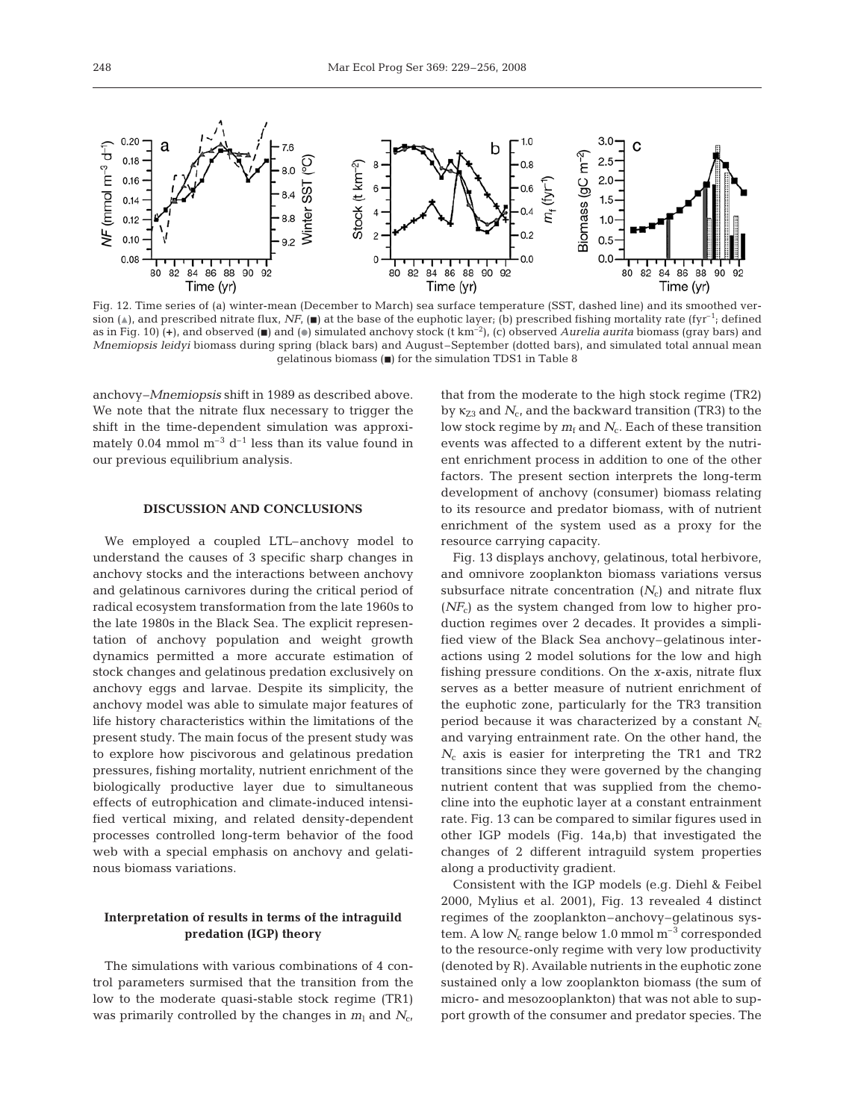

Fig. 12. Time series of (a) winter-mean (December to March) sea surface temperature (SST, dashed line) and its smoothed version ( $\triangle$ ), and prescribed nitrate flux, *NF*, ( $\blacksquare$ ) at the base of the euphotic layer; (b) prescribed fishing mortality rate (fyr<sup>-1</sup>; defined as in Fig. 10) (**+**), and observed (j) and (d) simulated anchovy stock (t km–2), (c) observed *Aurelia aurita* biomass (gray bars) and *Mnemiopsis leidyi* biomass during spring (black bars) and August –September (dotted bars), and simulated total annual mean qelatinous biomass  $(\blacksquare)$  for the simulation TDS1 in Table 8

anchovy–*Mnemiopsis* shift in 1989 as described above. We note that the nitrate flux necessary to trigger the shift in the time-dependent simulation was approximately 0.04 mmol  $m^{-3} d^{-1}$  less than its value found in our previous equilibrium analysis.

# **DISCUSSION AND CONCLUSIONS**

We employed a coupled LTL–anchovy model to understand the causes of 3 specific sharp changes in anchovy stocks and the interactions between anchovy and gelatinous carnivores during the critical period of radical ecosystem transformation from the late 1960s to the late 1980s in the Black Sea. The explicit representation of anchovy population and weight growth dynamics permitted a more accurate estimation of stock changes and gelatinous predation exclusively on anchovy eggs and larvae. Despite its simplicity, the anchovy model was able to simulate major features of life history characteristics within the limitations of the present study. The main focus of the present study was to explore how piscivorous and gelatinous predation pressures, fishing mortality, nutrient enrichment of the biologically productive layer due to simultaneous effects of eutrophication and climate-induced intensified vertical mixing, and related density-dependent processes controlled long-term behavior of the food web with a special emphasis on anchovy and gelatinous biomass variations.

# **Interpretation of results in terms of the intraguild predation (IGP) theory**

The simulations with various combinations of 4 control parameters surmised that the transition from the low to the moderate quasi-stable stock regime (TR1) was primarily controlled by the changes in  $m_1$  and  $N_c$ , that from the moderate to the high stock regime (TR2) by  $\kappa_{Z3}$  and  $N_c$ , and the backward transition (TR3) to the low stock regime by  $m_f$  and  $N_c$ . Each of these transition events was affected to a different extent by the nutrient enrichment process in addition to one of the other factors. The present section interprets the long-term development of anchovy (consumer) biomass relating to its resource and predator biomass, with of nutrient enrichment of the system used as a proxy for the resource carrying capacity.

Fig. 13 displays anchovy, gelatinous, total herbivore, and omnivore zooplankton biomass variations versus subsurface nitrate concentration  $(N_c)$  and nitrate flux  $(NF_c)$  as the system changed from low to higher production regimes over 2 decades. It provides a simplified view of the Black Sea anchovy–gelatinous interactions using 2 model solutions for the low and high fishing pressure conditions. On the *x*-axis, nitrate flux serves as a better measure of nutrient enrichment of the euphotic zone, particularly for the TR3 transition period because it was characterized by a constant *N*<sup>c</sup> and varying entrainment rate. On the other hand, the *N*<sup>c</sup> axis is easier for interpreting the TR1 and TR2 transitions since they were governed by the changing nutrient content that was supplied from the chemocline into the euphotic layer at a constant entrainment rate. Fig. 13 can be compared to similar figures used in other IGP models (Fig. 14a,b) that investigated the changes of 2 different intraguild system properties along a productivity gradient.

Consistent with the IGP models (e.g. Diehl & Feibel 2000, Mylius et al. 2001), Fig. 13 revealed 4 distinct regimes of the zooplankton–anchovy–gelatinous system. A low  $N_c$  range below 1.0 mmol  $m<sup>-3</sup>$  corresponded to the resource-only regime with very low productivity (denoted by R). Available nutrients in the euphotic zone sustained only a low zooplankton biomass (the sum of micro- and mesozooplankton) that was not able to support growth of the consumer and predator species. The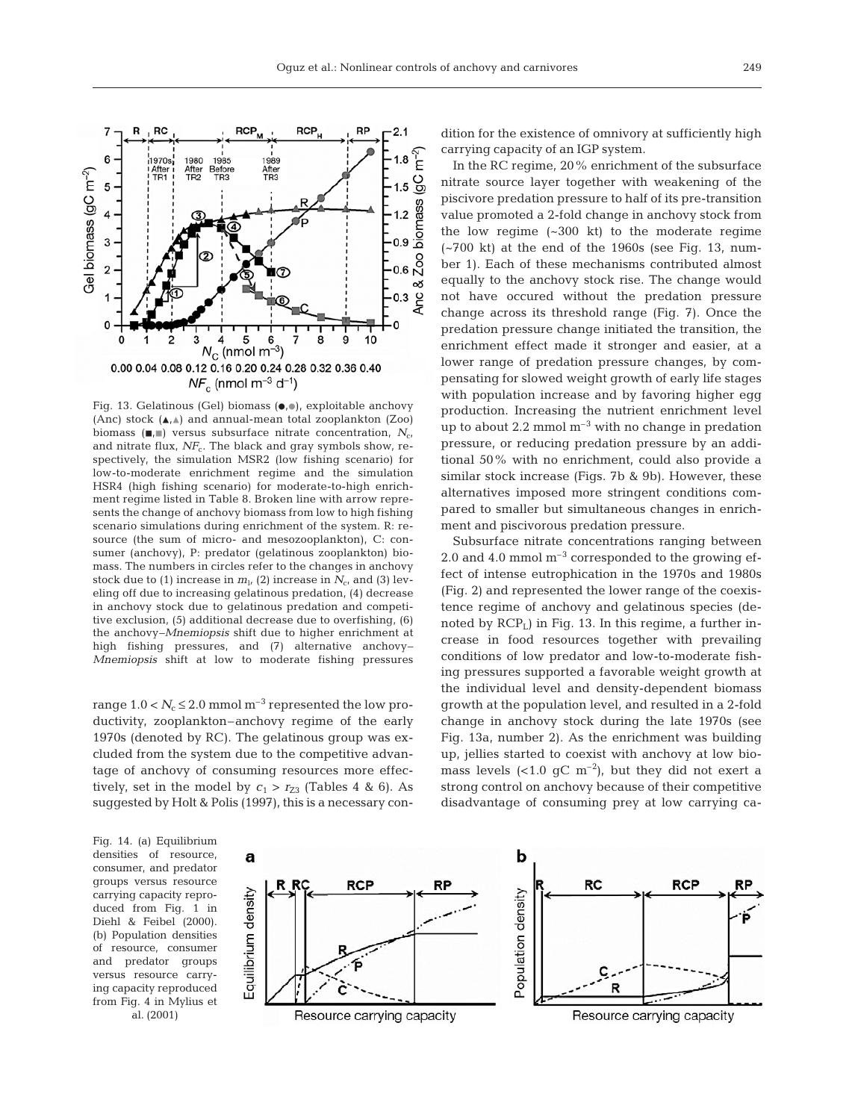

Fig. 13. Gelatinous (Gel) biomass  $(•, •)$ , exploitable anchovy (Anc) stock  $(A, A)$  and annual-mean total zooplankton (Zoo) biomass ( $\blacksquare$ ) versus subsurface nitrate concentration, *N<sub>c</sub>*, and nitrate flux, NF<sub>c</sub>. The black and gray symbols show, respectively, the simulation MSR2 (low fishing scenario) for low-to-moderate enrichment regime and the simulation HSR4 (high fishing scenario) for moderate-to-high enrichment regime listed in Table 8. Broken line with arrow represents the change of anchovy biomass from low to high fishing scenario simulations during enrichment of the system. R: resource (the sum of micro- and mesozooplankton), C: consumer (anchovy), P: predator (gelatinous zooplankton) biomass. The numbers in circles refer to the changes in anchovy stock due to (1) increase in  $m_l$ , (2) increase in  $N_c$ , and (3) leveling off due to increasing gelatinous predation, (4) decrease in anchovy stock due to gelatinous predation and competitive exclusion, (5) additional decrease due to overfishing, (6) the anchovy–*Mnemiopsis* shift due to higher enrichment at high fishing pressures, and (7) alternative anchovy– *Mnemiopsis* shift at low to moderate fishing pressures

range  $1.0 < N_c \leq 2.0$  mmol m<sup>-3</sup> represented the low productivity, zooplankton–anchovy regime of the early 1970s (denoted by RC). The gelatinous group was excluded from the system due to the competitive advantage of anchovy of consuming resources more effectively, set in the model by  $c_1 > r_{Z3}$  (Tables 4 & 6). As suggested by Holt & Polis (1997), this is a necessary con-

dition for the existence of omnivory at sufficiently high carrying capacity of an IGP system.

In the RC regime, 20% enrichment of the subsurface nitrate source layer together with weakening of the piscivore predation pressure to half of its pre-transition value promoted a 2-fold change in anchovy stock from the low regime (~300 kt) to the moderate regime (~700 kt) at the end of the 1960s (see Fig. 13, number 1). Each of these mechanisms contributed almost equally to the anchovy stock rise. The change would not have occured without the predation pressure change across its threshold range (Fig. 7). Once the predation pressure change initiated the transition, the enrichment effect made it stronger and easier, at a lower range of predation pressure changes, by compensating for slowed weight growth of early life stages with population increase and by favoring higher egg production. Increasing the nutrient enrichment level up to about 2.2 mmol  $m^{-3}$  with no change in predation pressure, or reducing predation pressure by an additional 50% with no enrichment, could also provide a similar stock increase (Figs. 7b & 9b). However, these alternatives imposed more stringent conditions compared to smaller but simultaneous changes in enrichment and piscivorous predation pressure.

Subsurface nitrate concentrations ranging between 2.0 and 4.0 mmol  $m^{-3}$  corresponded to the growing effect of intense eutrophication in the 1970s and 1980s (Fig. 2) and represented the lower range of the coexistence regime of anchovy and gelatinous species (denoted by  $RCP<sub>L</sub>$ ) in Fig. 13. In this regime, a further increase in food resources together with prevailing conditions of low predator and low-to-moderate fishing pressures supported a favorable weight growth at the individual level and density-dependent biomass growth at the population level, and resulted in a 2-fold change in anchovy stock during the late 1970s (see Fig. 13a, number 2). As the enrichment was building up, jellies started to coexist with anchovy at low biomass levels  $(<1.0$  gC m<sup>-2</sup>), but they did not exert a strong control on anchovy because of their competitive disadvantage of consuming prey at low carrying ca-

Fig. 14. (a) Equilibrium densities of resource, consumer, and predator groups versus resource carrying capacity reproduced from Fig. 1 in Diehl & Feibel (2000). (b) Population densities of resource, consumer and predator groups versus resource carrying capacity reproduced from Fig. 4 in Mylius et al. (2001)



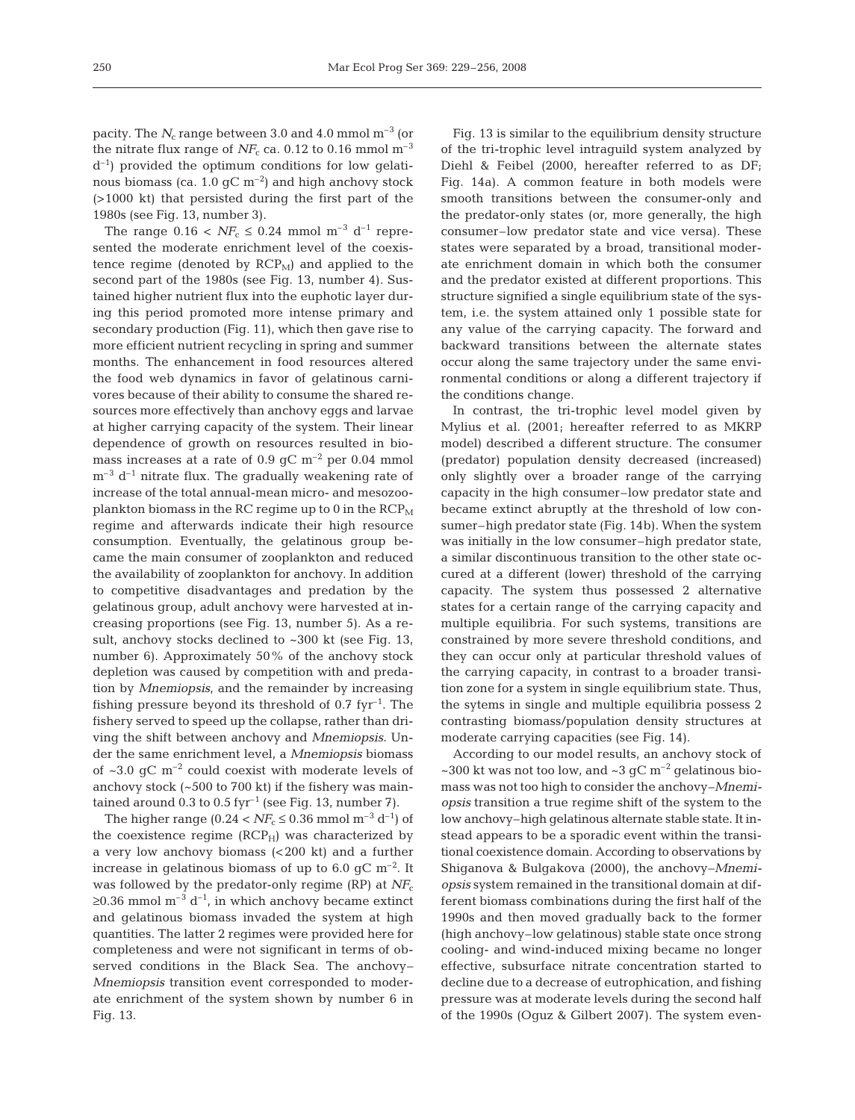pacity. The  $N_c$  range between 3.0 and 4.0 mmol  $m<sup>-3</sup>$  (or the nitrate flux range of  $N_{c}$  ca. 0.12 to 0.16 mmol m<sup>-3</sup>  $d^{-1}$ ) provided the optimum conditions for low gelatinous biomass (ca. 1.0  $\rm gC~m^{-2}$ ) and high anchovy stock (>1000 kt) that persisted during the first part of the 1980s (see Fig. 13, number 3).

The range  $0.16 < NF_c \leq 0.24$  mmol m<sup>-3</sup> d<sup>-1</sup> represented the moderate enrichment level of the coexistence regime (denoted by  $RCP_M$ ) and applied to the second part of the 1980s (see Fig. 13, number 4). Sustained higher nutrient flux into the euphotic layer during this period promoted more intense primary and secondary production (Fig. 11), which then gave rise to more efficient nutrient recycling in spring and summer months. The enhancement in food resources altered the food web dynamics in favor of gelatinous carnivores because of their ability to consume the shared resources more effectively than anchovy eggs and larvae at higher carrying capacity of the system. Their linear dependence of growth on resources resulted in biomass increases at a rate of  $0.9$  gC m<sup>-2</sup> per 0.04 mmol  $m^{-3}$  d<sup>-1</sup> nitrate flux. The gradually weakening rate of increase of the total annual-mean micro- and mesozooplankton biomass in the RC regime up to 0 in the  $RCP_M$ regime and afterwards indicate their high resource consumption. Eventually, the gelatinous group became the main consumer of zooplankton and reduced the availability of zooplankton for anchovy. In addition to competitive disadvantages and predation by the gelatinous group, adult anchovy were harvested at increasing proportions (see Fig. 13, number 5). As a result, anchovy stocks declined to  $\sim 300$  kt (see Fig. 13, number 6). Approximately 50% of the anchovy stock depletion was caused by competition with and predation by *Mnemiopsis*, and the remainder by increasing fishing pressure beyond its threshold of  $0.7$  fyr<sup>-1</sup>. The fishery served to speed up the collapse, rather than driving the shift between anchovy and *Mnemiopsis*. Under the same enrichment level, a *Mnemiopsis* biomass of  $\sim$ 3.0 gC m<sup>-2</sup> could coexist with moderate levels of anchovy stock (~500 to 700 kt) if the fishery was maintained around 0.3 to 0.5 fyr<sup>-1</sup> (see Fig. 13, number 7).

The higher range (0.24  $lt NF_c \leq 0.36$  mmol m<sup>-3</sup> d<sup>-1</sup>) of the coexistence regime  $(RCP_H)$  was characterized by a very low anchovy biomass (< 200 kt) and a further increase in gelatinous biomass of up to 6.0 gC  $\rm m^{-2}$ . It was followed by the predator-only regime (RP) at  $NF_c$  $≥0.36$  mmol m<sup>-3</sup> d<sup>-1</sup>, in which anchovy became extinct and gelatinous biomass invaded the system at high quantities. The latter 2 regimes were provided here for completeness and were not significant in terms of observed conditions in the Black Sea. The anchovy– *Mnemiopsis* transition event corresponded to moderate enrichment of the system shown by number 6 in Fig. 13.

Fig. 13 is similar to the equilibrium density structure of the tri-trophic level intraguild system analyzed by Diehl & Feibel (2000, hereafter referred to as DF; Fig. 14a). A common feature in both models were smooth transitions between the consumer-only and the predator-only states (or, more generally, the high consumer–low predator state and vice versa). These states were separated by a broad, transitional moderate enrichment domain in which both the consumer and the predator existed at different proportions. This structure signified a single equilibrium state of the system, i.e. the system attained only 1 possible state for any value of the carrying capacity. The forward and backward transitions between the alternate states occur along the same trajectory under the same environmental conditions or along a different trajectory if the conditions change.

In contrast, the tri-trophic level model given by Mylius et al. (2001; hereafter referred to as MKRP model) described a different structure. The consumer (predator) population density decreased (increased) only slightly over a broader range of the carrying capacity in the high consumer–low predator state and became extinct abruptly at the threshold of low consumer–high predator state (Fig. 14b). When the system was initially in the low consumer–high predator state, a similar discontinuous transition to the other state occured at a different (lower) threshold of the carrying capacity. The system thus possessed 2 alternative states for a certain range of the carrying capacity and multiple equilibria. For such systems, transitions are constrained by more severe threshold conditions, and they can occur only at particular threshold values of the carrying capacity, in contrast to a broader transition zone for a system in single equilibrium state. Thus, the sytems in single and multiple equilibria possess 2 contrasting biomass/population density structures at moderate carrying capacities (see Fig. 14).

According to our model results, an anchovy stock of ~300 kt was not too low, and ~3 gC  $\mathrm{m}^\mathrm{-2}$  gelatinous biomass was not too high to consider the anchovy–*Mnemiopsis* transition a true regime shift of the system to the low anchovy–high gelatinous alternate stable state. It instead appears to be a sporadic event within the transitional coexistence domain. According to observations by Shiganova & Bulgakova (2000), the anchovy–*Mnemiopsis* system remained in the transitional domain at different biomass combinations during the first half of the 1990s and then moved gradually back to the former (high anchovy–low gelatinous) stable state once strong cooling- and wind-induced mixing became no longer effective, subsurface nitrate concentration started to decline due to a decrease of eutrophication, and fishing pressure was at moderate levels during the second half of the 1990s (Oguz & Gilbert 2007). The system even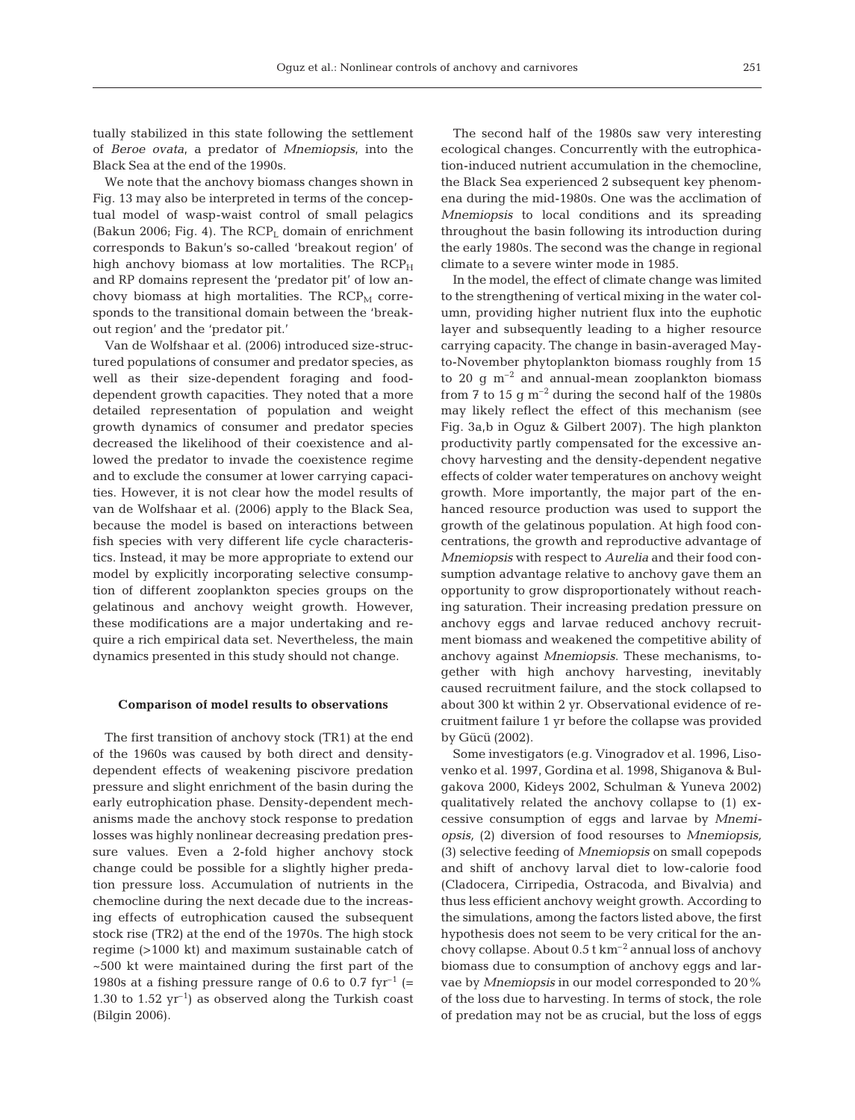tually stabilized in this state following the settlement of *Beroe ovata*, a predator of *Mnemiopsis*, into the Black Sea at the end of the 1990s.

We note that the anchovy biomass changes shown in Fig. 13 may also be interpreted in terms of the conceptual model of wasp-waist control of small pelagics (Bakun 2006; Fig. 4). The  $RCP<sub>L</sub>$  domain of enrichment corresponds to Bakun's so-called 'breakout region' of high anchovy biomass at low mortalities. The  $RCP<sub>H</sub>$ and RP domains represent the 'predator pit' of low anchovy biomass at high mortalities. The  $RCP<sub>M</sub>$  corresponds to the transitional domain between the 'breakout region' and the 'predator pit.'

Van de Wolfshaar et al. (2006) introduced size-structured populations of consumer and predator species, as well as their size-dependent foraging and fooddependent growth capacities. They noted that a more detailed representation of population and weight growth dynamics of consumer and predator species decreased the likelihood of their coexistence and allowed the predator to invade the coexistence regime and to exclude the consumer at lower carrying capacities. However, it is not clear how the model results of van de Wolfshaar et al. (2006) apply to the Black Sea, because the model is based on interactions between fish species with very different life cycle characteristics. Instead, it may be more appropriate to extend our model by explicitly incorporating selective consumption of different zooplankton species groups on the gelatinous and anchovy weight growth. However, these modifications are a major undertaking and require a rich empirical data set. Nevertheless, the main dynamics presented in this study should not change.

#### **Comparison of model results to observations**

The first transition of anchovy stock (TR1) at the end of the 1960s was caused by both direct and densitydependent effects of weakening piscivore predation pressure and slight enrichment of the basin during the early eutrophication phase. Density-dependent mechanisms made the anchovy stock response to predation losses was highly nonlinear decreasing predation pressure values. Even a 2-fold higher anchovy stock change could be possible for a slightly higher predation pressure loss. Accumulation of nutrients in the chemocline during the next decade due to the increasing effects of eutrophication caused the subsequent stock rise (TR2) at the end of the 1970s. The high stock regime (>1000 kt) and maximum sustainable catch of ~500 kt were maintained during the first part of the 1980s at a fishing pressure range of 0.6 to 0.7 fyr<sup>-1</sup> (= 1.30 to 1.52  $yr^{-1}$ ) as observed along the Turkish coast (Bilgin 2006).

The second half of the 1980s saw very interesting ecological changes. Concurrently with the eutrophication-induced nutrient accumulation in the chemocline, the Black Sea experienced 2 subsequent key phenomena during the mid-1980s. One was the acclimation of *Mnemiopsis* to local conditions and its spreading throughout the basin following its introduction during the early 1980s. The second was the change in regional climate to a severe winter mode in 1985.

In the model, the effect of climate change was limited to the strengthening of vertical mixing in the water column, providing higher nutrient flux into the euphotic layer and subsequently leading to a higher resource carrying capacity. The change in basin-averaged Mayto-November phytoplankton biomass roughly from 15 to 20  $\mu$  m<sup>-2</sup> and annual-mean zooplankton biomass from 7 to 15  $\rm g$  m<sup>-2</sup> during the second half of the 1980s may likely reflect the effect of this mechanism (see Fig. 3a,b in Oguz & Gilbert 2007). The high plankton productivity partly compensated for the excessive anchovy harvesting and the density-dependent negative effects of colder water temperatures on anchovy weight growth. More importantly, the major part of the enhanced resource production was used to support the growth of the gelatinous population. At high food concentrations, the growth and reproductive advantage of *Mnemiopsis* with respect to *Aurelia* and their food consumption advantage relative to anchovy gave them an opportunity to grow disproportionately without reaching saturation. Their increasing predation pressure on anchovy eggs and larvae reduced anchovy recruitment biomass and weakened the competitive ability of anchovy against *Mnemiopsis*. These mechanisms, together with high anchovy harvesting, inevitably caused recruitment failure, and the stock collapsed to about 300 kt within 2 yr. Observational evidence of recruitment failure 1 yr before the collapse was provided by Gücü (2002).

Some investigators (e.g. Vinogradov et al. 1996, Lisovenko et al. 1997, Gordina et al. 1998, Shiganova & Bulgakova 2000, Kideys 2002, Schulman & Yuneva 2002) qualitatively related the anchovy collapse to (1) excessive consumption of eggs and larvae by *Mnemiopsis,* (2) diversion of food resourses to *Mnemiopsis,* (3) selective feeding of *Mnemiopsis* on small copepods and shift of anchovy larval diet to low-calorie food (Cladocera, Cirripedia, Ostracoda, and Bivalvia) and thus less efficient anchovy weight growth. According to the simulations, among the factors listed above, the first hypothesis does not seem to be very critical for the anchovy collapse. About  $0.5$  t km<sup>-2</sup> annual loss of anchovy biomass due to consumption of anchovy eggs and larvae by *Mnemiopsis* in our model corresponded to 20% of the loss due to harvesting. In terms of stock, the role of predation may not be as crucial, but the loss of eggs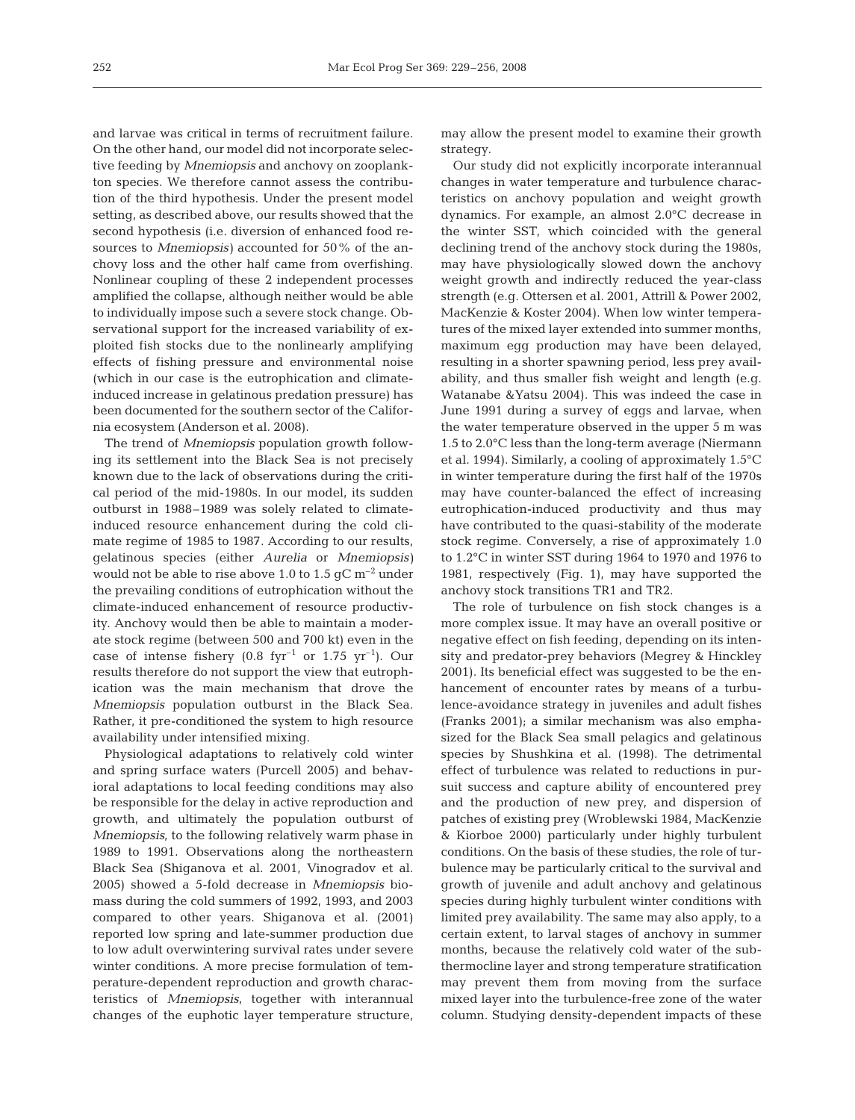and larvae was critical in terms of recruitment failure. On the other hand, our model did not incorporate selective feeding by *Mnemiopsis* and anchovy on zooplankton species. We therefore cannot assess the contribution of the third hypothesis. Under the present model setting, as described above, our results showed that the second hypothesis (i.e. diversion of enhanced food resources to *Mnemiopsis)* accounted for 50% of the anchovy loss and the other half came from overfishing. Nonlinear coupling of these 2 independent processes amplified the collapse, although neither would be able to individually impose such a severe stock change. Observational support for the increased variability of exploited fish stocks due to the nonlinearly amplifying effects of fishing pressure and environmental noise (which in our case is the eutrophication and climateinduced increase in gelatinous predation pressure) has been documented for the southern sector of the California ecosystem (Anderson et al. 2008).

The trend of *Mnemiopsis* population growth following its settlement into the Black Sea is not precisely known due to the lack of observations during the critical period of the mid-1980s. In our model, its sudden outburst in 1988–1989 was solely related to climateinduced resource enhancement during the cold climate regime of 1985 to 1987. According to our results, gelatinous species (either *Aurelia* or *Mnemiopsis)* would not be able to rise above 1.0 to 1.5  $qC$  m<sup>-2</sup> under the prevailing conditions of eutrophication without the climate-induced enhancement of resource productivity. Anchovy would then be able to maintain a moderate stock regime (between 500 and 700 kt) even in the case of intense fishery (0.8 fyr<sup>-1</sup> or 1.75 yr<sup>-1</sup>). Our results therefore do not support the view that eutrophication was the main mechanism that drove the *Mnemiopsis* population outburst in the Black Sea. Rather, it pre-conditioned the system to high resource availability under intensified mixing.

Physiological adaptations to relatively cold winter and spring surface waters (Purcell 2005) and behavioral adaptations to local feeding conditions may also be responsible for the delay in active reproduction and growth, and ultimately the population outburst of *Mnemiopsis*, to the following relatively warm phase in 1989 to 1991. Observations along the northeastern Black Sea (Shiganova et al. 2001, Vinogradov et al. 2005) showed a 5-fold decrease in *Mnemiopsis* biomass during the cold summers of 1992, 1993, and 2003 compared to other years. Shiganova et al. (2001) reported low spring and late-summer production due to low adult overwintering survival rates under severe winter conditions. A more precise formulation of temperature-dependent reproduction and growth characteristics of *Mnemiopsis*, together with interannual changes of the euphotic layer temperature structure,

may allow the present model to examine their growth strategy.

Our study did not explicitly incorporate interannual changes in water temperature and turbulence characteristics on anchovy population and weight growth dynamics. For example, an almost 2.0°C decrease in the winter SST, which coincided with the general declining trend of the anchovy stock during the 1980s, may have physiologically slowed down the anchovy weight growth and indirectly reduced the year-class strength (e.g. Ottersen et al. 2001, Attrill & Power 2002, MacKenzie & Koster 2004). When low winter temperatures of the mixed layer extended into summer months, maximum egg production may have been delayed, resulting in a shorter spawning period, less prey availability, and thus smaller fish weight and length (e.g. Watanabe &Yatsu 2004). This was indeed the case in June 1991 during a survey of eggs and larvae, when the water temperature observed in the upper 5 m was 1.5 to 2.0°C less than the long-term average (Niermann et al. 1994). Similarly, a cooling of approximately 1.5°C in winter temperature during the first half of the 1970s may have counter-balanced the effect of increasing eutrophication-induced productivity and thus may have contributed to the quasi-stability of the moderate stock regime. Conversely, a rise of approximately 1.0 to 1.2°C in winter SST during 1964 to 1970 and 1976 to 1981, respectively (Fig. 1), may have supported the anchovy stock transitions TR1 and TR2.

The role of turbulence on fish stock changes is a more complex issue. It may have an overall positive or negative effect on fish feeding, depending on its intensity and predator-prey behaviors (Megrey & Hinckley 2001). Its beneficial effect was suggested to be the enhancement of encounter rates by means of a turbulence-avoidance strategy in juveniles and adult fishes (Franks 2001); a similar mechanism was also emphasized for the Black Sea small pelagics and gelatinous species by Shushkina et al. (1998). The detrimental effect of turbulence was related to reductions in pursuit success and capture ability of encountered prey and the production of new prey, and dispersion of patches of existing prey (Wroblewski 1984, MacKenzie & Kiorboe 2000) particularly under highly turbulent conditions. On the basis of these studies, the role of turbulence may be particularly critical to the survival and growth of juvenile and adult anchovy and gelatinous species during highly turbulent winter conditions with limited prey availability. The same may also apply, to a certain extent, to larval stages of anchovy in summer months, because the relatively cold water of the subthermocline layer and strong temperature stratification may prevent them from moving from the surface mixed layer into the turbulence-free zone of the water column. Studying density-dependent impacts of these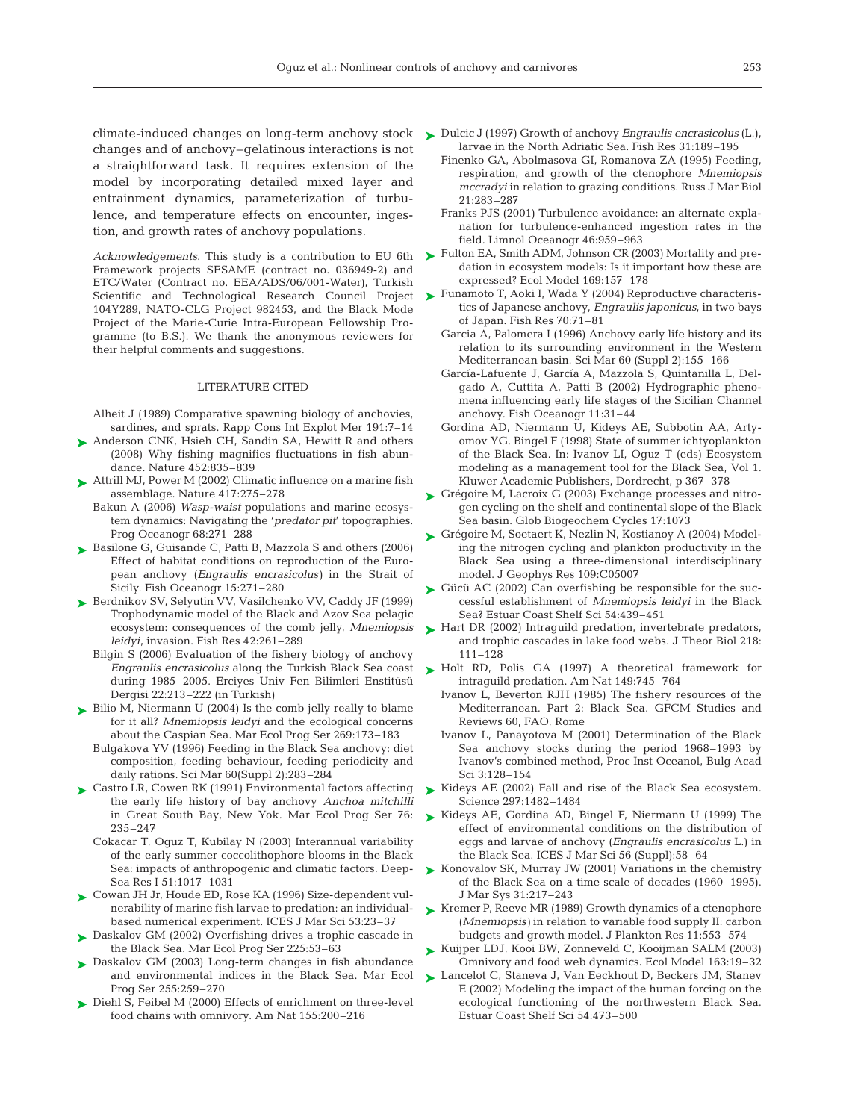changes and of anchovy–gelatinous interactions is not a straightforward task. It requires extension of the model by incorporating detailed mixed layer and entrainment dynamics, parameterization of turbulence, and temperature effects on encounter, ingestion, and growth rates of anchovy populations.

*Acknowledgements*. This study is a contribution to EU 6th Framework projects SESAME (contract no. 036949-2) and ETC/Water (Contract no. EEA/ADS/06/001-Water), Turkish Scientific and Technological Research Council Project 104Y289, NATO-CLG Project 982453, and the Black Mode Project of the Marie-Curie Intra-European Fellowship Programme (to B.S.). We thank the anonymous reviewers for their helpful comments and suggestions.

#### LITERATURE CITED

Alheit J (1989) Comparative spawning biology of anchovies, sardines, and sprats. Rapp Cons Int Explot Mer 191:7–14

- ▶ Anderson CNK, Hsieh CH, Sandin SA, Hewitt R and others (2008) Why fishing magnifies fluctuations in fish abundance. Nature 452:835–839
- ► Attrill MJ, Power M (2002) Climatic influence on a marine fish assemblage. Nature 417:275–278
- Bakun A (2006) *Wasp-waist* populations and marine ecosystem dynamics: Navigating the '*predator pit*' topographies. Prog Oceanogr 68:271–288
- ► Basilone G, Guisande C, Patti B, Mazzola S and others (2006) Effect of habitat conditions on reproduction of the European anchovy (*Engraulis encrasicolus)* in the Strait of Sicily. Fish Oceanogr 15:271–280
- ► Berdnikov SV, Selyutin VV, Vasilchenko VV, Caddy JF (1999) Trophodynamic model of the Black and Azov Sea pelagic ecosystem: consequences of the comb jelly, *Mnemiopsis leidyi*, invasion. Fish Res 42:261–289
	- Bilgin S (2006) Evaluation of the fishery biology of anchovy *Engraulis encrasicolus* along the Turkish Black Sea coast during 1985–2005. Erciyes Univ Fen Bilimleri Enstitüsü Dergisi 22:213–222 (in Turkish)
- ► Bilio M, Niermann U (2004) Is the comb jelly really to blame for it all? *Mnemiopsis leidyi* and the ecological concerns about the Caspian Sea. Mar Ecol Prog Ser 269:173–183
	- Bulgakova YV (1996) Feeding in the Black Sea anchovy: diet composition, feeding behaviour, feeding periodicity and daily rations. Sci Mar 60(Suppl 2):283–284
- ► Castro LR, Cowen RK (1991) Environmental factors affecting the early life history of bay anchovy *Anchoa mitchilli* in Great South Bay, New Yok. Mar Ecol Prog Ser 76: 235–247
	- Cokacar T, Oguz T, Kubilay N (2003) Interannual variability of the early summer coccolithophore blooms in the Black Sea: impacts of anthropogenic and climatic factors. Deep-Sea Res I 51:1017–1031
- Cowan JH Jr, Houde ED, Rose KA (1996) Size-dependent vul-➤ nerability of marine fish larvae to predation: an individualbased numerical experiment. ICES J Mar Sci 53:23–37
- ► Daskalov GM (2002) Overfishing drives a trophic cascade in the Black Sea. Mar Ecol Prog Ser 225:53–63
- ▶ Daskalov GM (2003) Long-term changes in fish abundance and environmental indices in the Black Sea. Mar Ecol Prog Ser 255:259–270
- ▶ Diehl S, Feibel M (2000) Effects of enrichment on three-level food chains with omnivory. Am Nat 155:200–216
- climate-induced changes on long-term anchovy stock Dulcic J (1997) Growth of anchovy *Engraulis encrasicolus* (L.), ➤ larvae in the North Adriatic Sea. Fish Res 31:189–195
	- Finenko GA, Abolmasova GI, Romanova ZA (1995) Feeding, respiration, and growth of the ctenophore *Mnemiopsis mccradyi* in relation to grazing conditions. Russ J Mar Biol 21:283–287
	- Franks PJS (2001) Turbulence avoidance: an alternate explanation for turbulence-enhanced ingestion rates in the field. Limnol Oceanogr 46:959–963
	- ► Fulton EA, Smith ADM, Johnson CR (2003) Mortality and predation in ecosystem models: Is it important how these are expressed? Ecol Model 169:157–178
	- ► Funamoto T, Aoki I, Wada Y (2004) Reproductive characteristics of Japanese anchovy, *Engraulis japonicus*, in two bays of Japan. Fish Res 70:71–81
		- Garcia A, Palomera I (1996) Anchovy early life history and its relation to its surrounding environment in the Western Mediterranean basin. Sci Mar 60 (Suppl 2):155–166
		- García-Lafuente J, García A, Mazzola S, Quintanilla L, Delgado A, Cuttita A, Patti B (2002) Hydrographic phenomena influencing early life stages of the Sicilian Channel anchovy. Fish Oceanogr 11:31–44
		- Gordina AD, Niermann U, Kideys AE, Subbotin AA, Artyomov YG, Bingel F (1998) State of summer ichtyoplankton of the Black Sea. In: Ivanov LI, Oguz T (eds) Ecosystem modeling as a management tool for the Black Sea, Vol 1. Kluwer Academic Publishers, Dordrecht, p 367–378
	- ► Grégoire M, Lacroix G (2003) Exchange processes and nitrogen cycling on the shelf and continental slope of the Black Sea basin. Glob Biogeochem Cycles 17:1073
	- ► Grégoire M, Soetaert K, Nezlin N, Kostianoy A (2004) Modeling the nitrogen cycling and plankton productivity in the Black Sea using a three-dimensional interdisciplinary model. J Geophys Res 109:C05007
	- ► Gücü AC (2002) Can overfishing be responsible for the successful establishment of *Mnemiopsis leidyi* in the Black Sea? Estuar Coast Shelf Sci 54:439–451
	- ► Hart DR (2002) Intraguild predation, invertebrate predators, and trophic cascades in lake food webs. J Theor Biol 218: 111–128
	- ► Holt RD, Polis GA (1997) A theoretical framework for intraguild predation. Am Nat 149:745–764
		- Ivanov L, Beverton RJH (1985) The fishery resources of the Mediterranean. Part 2: Black Sea. GFCM Studies and Reviews 60, FAO, Rome
		- Ivanov L, Panayotova M (2001) Determination of the Black Sea anchovy stocks during the period 1968–1993 by Ivanov's combined method, Proc Inst Oceanol, Bulg Acad Sci 3:128–154
	- ► Kideys AE (2002) Fall and rise of the Black Sea ecosystem. Science 297:1482–1484
	- ► Kideys AE, Gordina AD, Bingel F, Niermann U (1999) The effect of environmental conditions on the distribution of eggs and larvae of anchovy (*Engraulis encrasicolus* L.) in the Black Sea. ICES J Mar Sci 56 (Suppl):58–64
	- ► Konovalov SK, Murray JW (2001) Variations in the chemistry of the Black Sea on a time scale of decades (1960–1995). J Mar Sys 31:217–243
	- ► Kremer P, Reeve MR (1989) Growth dynamics of a ctenophore (*Mnemiopsis)* in relation to variable food supply II: carbon budgets and growth model. J Plankton Res 11:553–574
	- ► Kuijper LDJ, Kooi BW, Zonneveld C, Kooijman SALM (2003) Omnivory and food web dynamics. Ecol Model 163:19–32
	- ► Lancelot C, Staneva J, Van Eeckhout D, Beckers JM, Stanev E (2002) Modeling the impact of the human forcing on the ecological functioning of the northwestern Black Sea. Estuar Coast Shelf Sci 54:473–500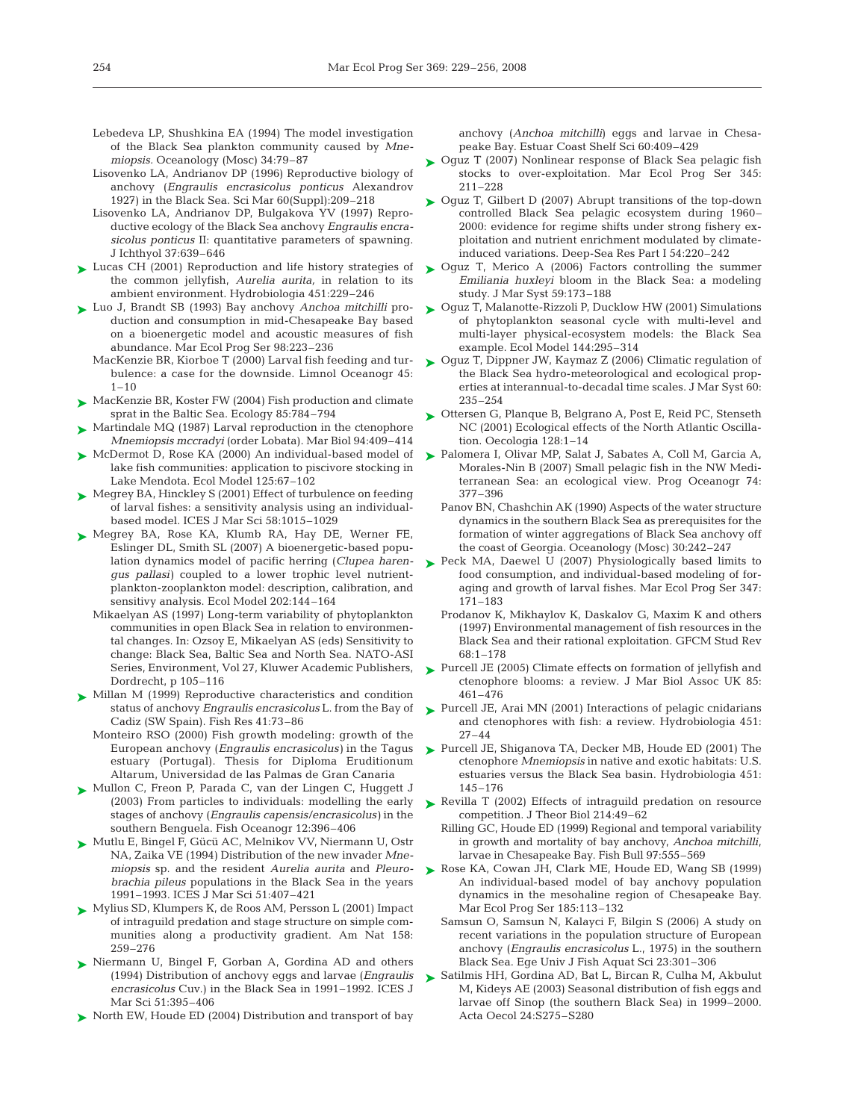- Lebedeva LP, Shushkina EA (1994) The model investigation of the Black Sea plankton community caused by *Mnemiopsis.* Oceanology (Mosc) 34:79–87
- Lisovenko LA, Andrianov DP (1996) Reproductive biology of anchovy (*Engraulis encrasicolus ponticus* Alexandrov 1927) in the Black Sea. Sci Mar 60(Suppl):209–218
- Lisovenko LA, Andrianov DP, Bulgakova YV (1997) Reproductive ecology of the Black Sea anchovy *Engraulis encrasicolus ponticus* II: quantitative parameters of spawning. J Ichthyol 37:639–646
- ► Lucas CH (2001) Reproduction and life history strategies of the common jellyfish, *Aurelia aurita,* in relation to its ambient environment. Hydrobiologia 451:229–246
- Luo J, Brandt SB (1993) Bay anchovy *Anchoa mitchilli* pro-➤ duction and consumption in mid-Chesapeake Bay based on a bioenergetic model and acoustic measures of fish abundance. Mar Ecol Prog Ser 98:223–236
	- MacKenzie BR, Kiorboe T (2000) Larval fish feeding and turbulence: a case for the downside. Limnol Oceanogr 45:  $1 - 10$
- ► MacKenzie BR, Koster FW (2004) Fish production and climate sprat in the Baltic Sea. Ecology 85:784–794
- ► Martindale MQ (1987) Larval reproduction in the ctenophore *Mnemiopsis mccradyi* (order Lobata). Mar Biol 94:409–414
- ► McDermot D, Rose KA (2000) An individual-based model of lake fish communities: application to piscivore stocking in Lake Mendota. Ecol Model 125:67–102
- ► Megrey BA, Hinckley S (2001) Effect of turbulence on feeding of larval fishes: a sensitivity analysis using an individualbased model. ICES J Mar Sci 58:1015–1029
- ▶ Megrey BA, Rose KA, Klumb RA, Hay DE, Werner FE, Eslinger DL, Smith SL (2007) A bioenergetic-based population dynamics model of pacific herring (*Clupea harengus pallasi)* coupled to a lower trophic level nutrientplankton-zooplankton model: description, calibration, and sensitivy analysis. Ecol Model 202:144–164
	- Mikaelyan AS (1997) Long-term variability of phytoplankton communities in open Black Sea in relation to environmental changes. In: Ozsoy E, Mikaelyan AS (eds) Sensitivity to change: Black Sea, Baltic Sea and North Sea. NATO-ASI Series, Environment, Vol 27, Kluwer Academic Publishers, Dordrecht, p 105–116
- ► Millan M (1999) Reproductive characteristics and condition status of anchovy *Engraulis encrasicolus* L. from the Bay of Cadiz (SW Spain). Fish Res 41:73–86
	- Monteiro RSO (2000) Fish growth modeling: growth of the European anchovy (*Engraulis encrasicolus)* in the Tagus estuary (Portugal). Thesis for Diploma Eruditionum Altarum, Universidad de las Palmas de Gran Canaria
- ► Mullon C, Freon P, Parada C, van der Lingen C, Huggett J (2003) From particles to individuals: modelling the early stages of anchovy (*Engraulis capensis/encrasicolus)* in the southern Benguela. Fish Oceanogr 12:396–406
- Mutlu E, Bingel F, Gücü AC, Melnikov VV, Niermann U, Ostr ➤ NA, Zaika VE (1994) Distribution of the new invader *Mnemiopsis* sp. and the resident *Aurelia aurita* and *Pleurobrachia pileus* populations in the Black Sea in the years 1991–1993. ICES J Mar Sci 51:407–421
- Mylius SD, Klumpers K, de Roos AM, Persson L (2001) Impact ➤ of intraguild predation and stage structure on simple communities along a productivity gradient. Am Nat 158: 259–276
- ▶ Niermann U, Bingel F, Gorban A, Gordina AD and others (1994) Distribution of anchovy eggs and larvae (*Engraulis encrasicolus* Cuv.) in the Black Sea in 1991–1992. ICES J Mar Sci 51:395–406
- ► North EW, Houde ED (2004) Distribution and transport of bay

anchovy (*Anchoa mitchilli*) eggs and larvae in Chesapeake Bay. Estuar Coast Shelf Sci 60:409–429

- Oguz T (2007) Nonlinear response of Black Sea pelagic fish stocks to over-exploitation. Mar Ecol Prog Ser 345: 211–228 ➤
- ► Oguz T, Gilbert D (2007) Abrupt transitions of the top-down controlled Black Sea pelagic ecosystem during 1960– 2000: evidence for regime shifts under strong fishery exploitation and nutrient enrichment modulated by climateinduced variations. Deep-Sea Res Part I 54:220–242
- ► Oguz T, Merico A (2006) Factors controlling the summer *Emiliania huxleyi* bloom in the Black Sea: a modeling study. J Mar Syst 59:173–188
- ► Oguz T, Malanotte-Rizzoli P, Ducklow HW (2001) Simulations of phytoplankton seasonal cycle with multi-level and multi-layer physical-ecosystem models: the Black Sea example. Ecol Model 144:295–314
- ► Oguz T, Dippner JW, Kaymaz Z (2006) Climatic regulation of the Black Sea hydro-meteorological and ecological properties at interannual-to-decadal time scales. J Mar Syst 60: 235–254
- ► Ottersen G, Planque B, Belgrano A, Post E, Reid PC, Stenseth NC (2001) Ecological effects of the North Atlantic Oscillation. Oecologia 128:1–14
- ► Palomera I, Olivar MP, Salat J, Sabates A, Coll M, Garcia A, Morales-Nin B (2007) Small pelagic fish in the NW Mediterranean Sea: an ecological view. Prog Oceanogr 74: 377–396
	- Panov BN, Chashchin AK (1990) Aspects of the water structure dynamics in the southern Black Sea as prerequisites for the formation of winter aggregations of Black Sea anchovy off the coast of Georgia. Oceanology (Mosc) 30:242–247
- ▶ Peck MA, Daewel U (2007) Physiologically based limits to food consumption, and individual-based modeling of foraging and growth of larval fishes. Mar Ecol Prog Ser 347: 171–183
	- Prodanov K, Mikhaylov K, Daskalov G, Maxim K and others (1997) Environmental management of fish resources in the Black Sea and their rational exploitation. GFCM Stud Rev 68:1–178
- ► Purcell JE (2005) Climate effects on formation of jellyfish and ctenophore blooms: a review. J Mar Biol Assoc UK 85: 461–476
- ► Purcell JE, Arai MN (2001) Interactions of pelagic cnidarians and ctenophores with fish: a review. Hydrobiologia 451: 27–44
- ▶ Purcell JE, Shiganova TA, Decker MB, Houde ED (2001) The ctenophore *Mnemiopsis* in native and exotic habitats: U.S. estuaries versus the Black Sea basin. Hydrobiologia 451: 145–176
- ▶ Revilla T (2002) Effects of intraguild predation on resource competition. J Theor Biol 214:49–62
	- Rilling GC, Houde ED (1999) Regional and temporal variability in growth and mortality of bay anchovy, *Anchoa mitchilli*, larvae in Chesapeake Bay. Fish Bull 97:555–569
- ▶ Rose KA, Cowan JH, Clark ME, Houde ED, Wang SB (1999) An individual-based model of bay anchovy population dynamics in the mesohaline region of Chesapeake Bay. Mar Ecol Prog Ser 185:113–132
	- Samsun O, Samsun N, Kalayci F, Bilgin S (2006) A study on recent variations in the population structure of European anchovy (*Engraulis encrasicolus* L., 1975) in the southern Black Sea. Ege Univ J Fish Aquat Sci 23:301–306
- ► Satilmis HH, Gordina AD, Bat L, Bircan R, Culha M, Akbulut M, Kideys AE (2003) Seasonal distribution of fish eggs and larvae off Sinop (the southern Black Sea) in 1999–2000. Acta Oecol 24:S275–S280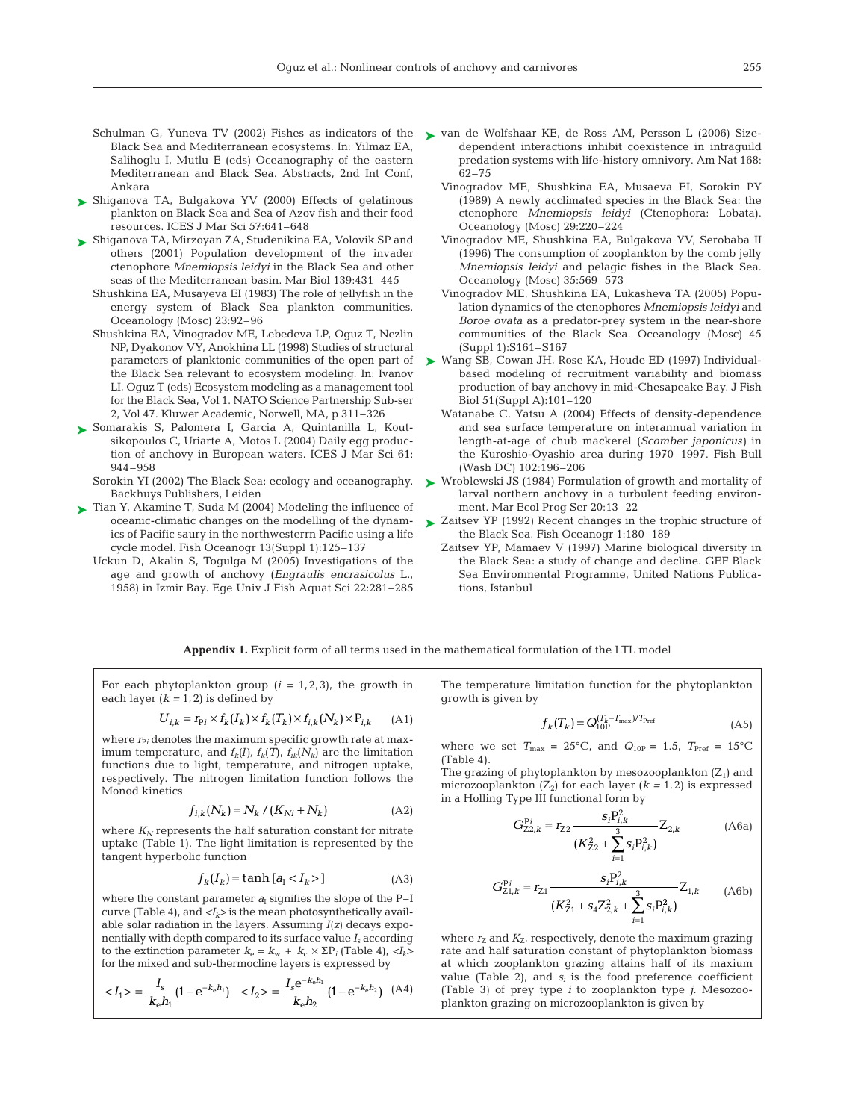- Schulman G, Yuneva TV (2002) Fishes as indicators of the Black Sea and Mediterranean ecosystems. In: Yilmaz EA, Salihoglu I, Mutlu E (eds) Oceanography of the eastern Mediterranean and Black Sea. Abstracts, 2nd Int Conf, Ankara
- ► Shiganova TA, Bulgakova YV (2000) Effects of gelatinous plankton on Black Sea and Sea of Azov fish and their food resources. ICES J Mar Sci 57:641–648
- Shiganova TA, Mirzoyan ZA, Studenikina EA, Volovik SP and ➤ others (2001) Population development of the invader ctenophore *Mnemiopsis leidyi* in the Black Sea and other seas of the Mediterranean basin. Mar Biol 139:431–445
	- Shushkina EA, Musayeva EI (1983) The role of jellyfish in the energy system of Black Sea plankton communities. Oceanology (Mosc) 23:92–96
	- Shushkina EA, Vinogradov ME, Lebedeva LP, Oguz T, Nezlin NP, Dyakonov VY, Anokhina LL (1998) Studies of structural parameters of planktonic communities of the open part of the Black Sea relevant to ecosystem modeling. In: Ivanov LI, Oguz T (eds) Ecosystem modeling as a management tool for the Black Sea, Vol 1. NATO Science Partnership Sub-ser 2, Vol 47. Kluwer Academic, Norwell, MA, p 311–326
- ► Somarakis S, Palomera I, Garcia A, Quintanilla L, Koutsikopoulos C, Uriarte A, Motos L (2004) Daily egg production of anchovy in European waters. ICES J Mar Sci 61: 944–958
	- Sorokin YI (2002) The Black Sea: ecology and oceanography. Backhuys Publishers, Leiden
- ► Tian Y, Akamine T, Suda M (2004) Modeling the influence of oceanic-climatic changes on the modelling of the dynamics of Pacific saury in the northwesterrn Pacific using a life cycle model. Fish Oceanogr 13(Suppl 1):125–137
	- Uckun D, Akalin S, Togulga M (2005) Investigations of the age and growth of anchovy (*Engraulis encrasicolus* L., 1958) in Izmir Bay. Ege Univ J Fish Aquat Sci 22:281–285
- ► van de Wolfshaar KE, de Ross AM, Persson L (2006) Sizedependent interactions inhibit coexistence in intraguild predation systems with life-history omnivory. Am Nat 168: 62–75
	- Vinogradov ME, Shushkina EA, Musaeva EI, Sorokin PY (1989) A newly acclimated species in the Black Sea: the ctenophore *Mnemiopsis leidyi* (Ctenophora: Lobata). Oceanology (Mosc) 29:220–224
	- Vinogradov ME, Shushkina EA, Bulgakova YV, Serobaba II (1996) The consumption of zooplankton by the comb jelly *Mnemiopsis leidyi* and pelagic fishes in the Black Sea. Oceanology (Mosc) 35:569–573
	- Vinogradov ME, Shushkina EA, Lukasheva TA (2005) Population dynamics of the ctenophores *Mnemiopsis leidyi* and *Boroe ovata* as a predator-prey system in the near-shore communities of the Black Sea. Oceanology (Mosc) 45 (Suppl 1):S161–S167
- ► Wang SB, Cowan JH, Rose KA, Houde ED (1997) Individualbased modeling of recruitment variability and biomass production of bay anchovy in mid-Chesapeake Bay. J Fish Biol 51(Suppl A):101–120
	- Watanabe C, Yatsu A (2004) Effects of density-dependence and sea surface temperature on interannual variation in length-at-age of chub mackerel (*Scomber japonicus)* in the Kuroshio-Oyashio area during 1970–1997. Fish Bull (Wash DC) 102:196–206
- Wroblewski JS (1984) Formulation of growth and mortality of larval northern anchovy in a turbulent feeding environment. Mar Ecol Prog Ser 20:13–22 ➤
- ► Zaitsev YP (1992) Recent changes in the trophic structure of the Black Sea. Fish Oceanogr 1:180–189
	- Zaitsev YP, Mamaev V (1997) Marine biological diversity in the Black Sea: a study of change and decline. GEF Black Sea Environmental Programme, United Nations Publications, Istanbul

**Appendix 1.** Explicit form of all terms used in the mathematical formulation of the LTL model

For each phytoplankton group  $(i = 1, 2, 3)$ , the growth in each layer  $(k = 1, 2)$  is defined by

$$
U_{i,k} = r_{\text{P}i} \times f_k(I_k) \times f_k(T_k) \times f_{i,k}(N_k) \times P_{i,k} \tag{A1}
$$

where  $r_{P_i}$  denotes the maximum specific growth rate at maximum temperature, and  $f_k(I)$ ,  $f_k(T)$ ,  $f_{ik}(N_k)$  are the limitation functions due to light, temperature, and nitrogen uptake, respectively. The nitrogen limitation function follows the Monod kinetics

$$
f_{i,k}(N_k) = N_k / (K_{Ni} + N_k)
$$
 (A2)

where  $K_N$  represents the half saturation constant for nitrate uptake (Table 1). The light limitation is represented by the tangent hyperbolic function

$$
f_k(I_k) = \tanh\left[a_{\rm I} < I_k > \right] \tag{A3}
$$

where the constant parameter  $a<sub>I</sub>$  signifies the slope of the P-I curve (Table 4), and  $\langle I_k \rangle$  is the mean photosynthetically available solar radiation in the layers. Assuming *I*(*z*) decays exponentially with depth compared to its surface value *I*<sup>s</sup> according to the extinction parameter  $k_e = k_w + k_c \times \Sigma P_i$  (Table 4),  $\langle I_k \rangle$ for the mixed and sub-thermocline layers is expressed by

$$
\langle I_1 \rangle = \frac{I_s}{k_e h_1} (1 - e^{-k_e h_1}) \quad \langle I_2 \rangle = \frac{I_s e^{-k_e h_1}}{k_e h_2} (1 - e^{-k_e h_2}) \quad (A4)
$$

The temperature limitation function for the phytoplankton growth is given by

$$
f_k(T_k) = Q_{10P}^{(T_k - T_{\text{max}})/T_{\text{Pref}}} \tag{A5}
$$

where we set  $T_{\text{max}} = 25^{\circ}\text{C}$ , and  $Q_{10P} = 1.5$ ,  $T_{\text{Pref}} = 15^{\circ}\text{C}$ (Table 4).

The grazing of phytoplankton by mesozooplankton  $(Z_1)$  and microzooplankton  $(Z_2)$  for each layer  $(k = 1, 2)$  is expressed in a Holling Type III functional form by

$$
G_{Z2,k}^{Pi} = r_{Z2} \frac{s_i P_{i,k}^2}{(K_{Z2}^2 + \sum_{i=1}^3 s_i P_{i,k}^2)} Z_{2,k}
$$
 (A6a)

$$
G_{Z1,k}^{Pi} = r_{Z1} \frac{s_i P_{i,k}^2}{(K_{Z1}^2 + s_4 Z_{2,k}^2 + \sum_{i=1}^3 s_i P_{i,k}^2)} Z_{1,k}
$$
 (A6b)

where  $r_Z$  and  $K_Z$ , respectively, denote the maximum grazing rate and half saturation constant of phytoplankton biomass at which zooplankton grazing attains half of its maxium value (Table  $2$ ), and  $s_i$  is the food preference coefficient (Table 3) of prey type *i* to zooplankton type *j*. Mesozooplankton grazing on microzooplankton is given by